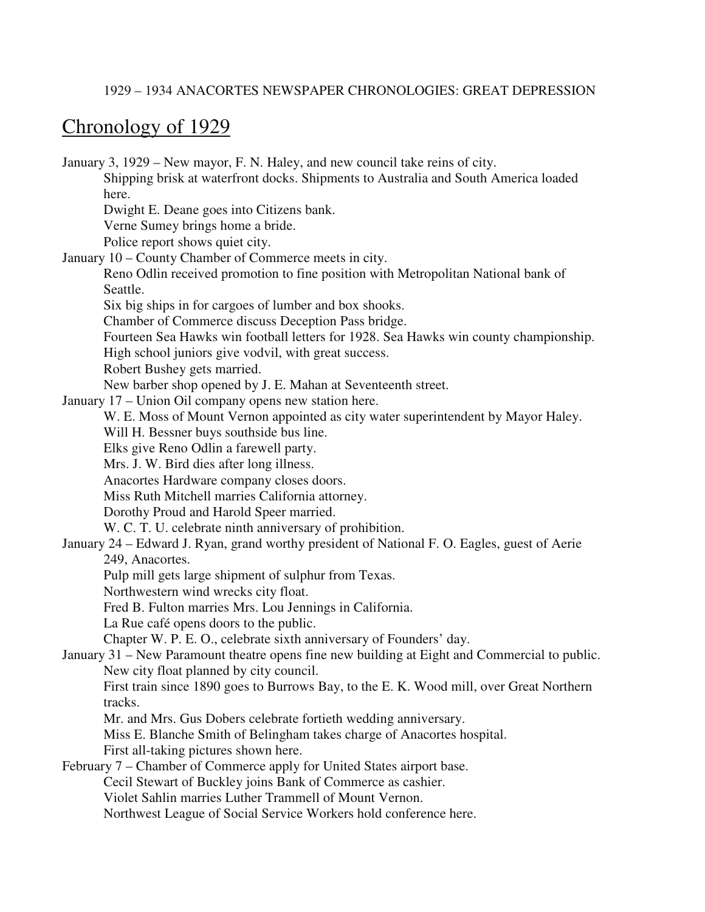#### 1929 – 1934 ANACORTES NEWSPAPER CHRONOLOGIES: GREAT DEPRESSION

### Chronology of 1929

January 3, 1929 – New mayor, F. N. Haley, and new council take reins of city. Shipping brisk at waterfront docks. Shipments to Australia and South America loaded here. Dwight E. Deane goes into Citizens bank. Verne Sumey brings home a bride. Police report shows quiet city. January 10 – County Chamber of Commerce meets in city. Reno Odlin received promotion to fine position with Metropolitan National bank of Seattle. Six big ships in for cargoes of lumber and box shooks. Chamber of Commerce discuss Deception Pass bridge. Fourteen Sea Hawks win football letters for 1928. Sea Hawks win county championship. High school juniors give vodvil, with great success. Robert Bushey gets married. New barber shop opened by J. E. Mahan at Seventeenth street. January 17 – Union Oil company opens new station here. W. E. Moss of Mount Vernon appointed as city water superintendent by Mayor Haley. Will H. Bessner buys southside bus line. Elks give Reno Odlin a farewell party. Mrs. J. W. Bird dies after long illness. Anacortes Hardware company closes doors. Miss Ruth Mitchell marries California attorney. Dorothy Proud and Harold Speer married. W. C. T. U. celebrate ninth anniversary of prohibition. January 24 – Edward J. Ryan, grand worthy president of National F. O. Eagles, guest of Aerie 249, Anacortes. Pulp mill gets large shipment of sulphur from Texas. Northwestern wind wrecks city float. Fred B. Fulton marries Mrs. Lou Jennings in California. La Rue café opens doors to the public. Chapter W. P. E. O., celebrate sixth anniversary of Founders' day. January 31 – New Paramount theatre opens fine new building at Eight and Commercial to public. New city float planned by city council. First train since 1890 goes to Burrows Bay, to the E. K. Wood mill, over Great Northern tracks. Mr. and Mrs. Gus Dobers celebrate fortieth wedding anniversary. Miss E. Blanche Smith of Belingham takes charge of Anacortes hospital. First all-taking pictures shown here. February 7 – Chamber of Commerce apply for United States airport base. Cecil Stewart of Buckley joins Bank of Commerce as cashier. Violet Sahlin marries Luther Trammell of Mount Vernon. Northwest League of Social Service Workers hold conference here.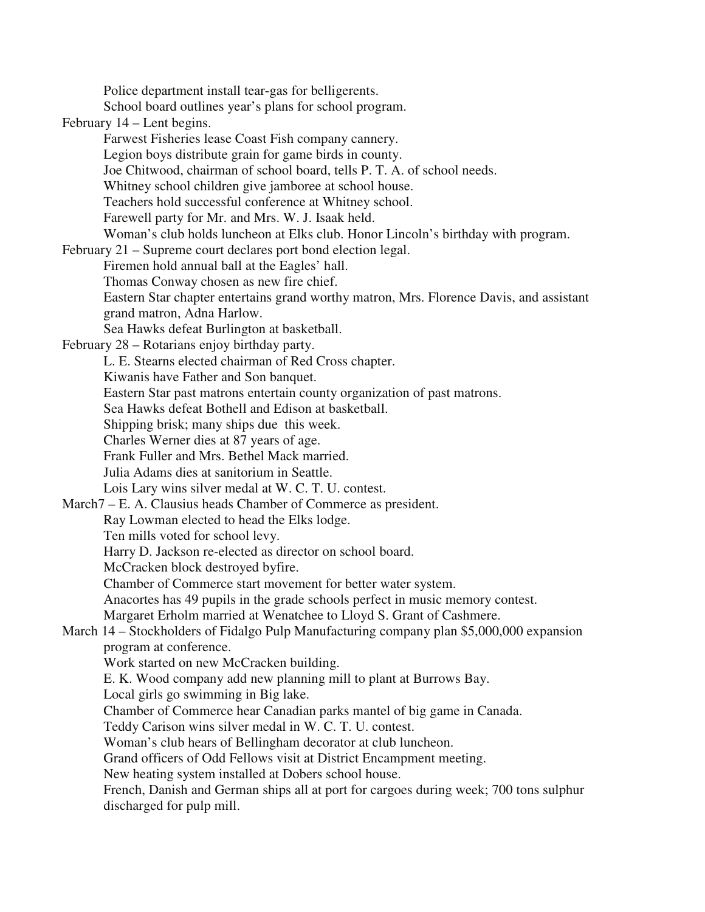Police department install tear-gas for belligerents. School board outlines year's plans for school program. February 14 – Lent begins. Farwest Fisheries lease Coast Fish company cannery. Legion boys distribute grain for game birds in county. Joe Chitwood, chairman of school board, tells P. T. A. of school needs. Whitney school children give jamboree at school house. Teachers hold successful conference at Whitney school. Farewell party for Mr. and Mrs. W. J. Isaak held. Woman's club holds luncheon at Elks club. Honor Lincoln's birthday with program. February 21 – Supreme court declares port bond election legal. Firemen hold annual ball at the Eagles' hall. Thomas Conway chosen as new fire chief. Eastern Star chapter entertains grand worthy matron, Mrs. Florence Davis, and assistant grand matron, Adna Harlow. Sea Hawks defeat Burlington at basketball. February 28 – Rotarians enjoy birthday party. L. E. Stearns elected chairman of Red Cross chapter. Kiwanis have Father and Son banquet. Eastern Star past matrons entertain county organization of past matrons. Sea Hawks defeat Bothell and Edison at basketball. Shipping brisk; many ships due this week. Charles Werner dies at 87 years of age. Frank Fuller and Mrs. Bethel Mack married. Julia Adams dies at sanitorium in Seattle. Lois Lary wins silver medal at W. C. T. U. contest. March7 – E. A. Clausius heads Chamber of Commerce as president. Ray Lowman elected to head the Elks lodge. Ten mills voted for school levy. Harry D. Jackson re-elected as director on school board. McCracken block destroyed byfire. Chamber of Commerce start movement for better water system. Anacortes has 49 pupils in the grade schools perfect in music memory contest. Margaret Erholm married at Wenatchee to Lloyd S. Grant of Cashmere. March 14 – Stockholders of Fidalgo Pulp Manufacturing company plan \$5,000,000 expansion program at conference. Work started on new McCracken building. E. K. Wood company add new planning mill to plant at Burrows Bay. Local girls go swimming in Big lake. Chamber of Commerce hear Canadian parks mantel of big game in Canada. Teddy Carison wins silver medal in W. C. T. U. contest. Woman's club hears of Bellingham decorator at club luncheon. Grand officers of Odd Fellows visit at District Encampment meeting. New heating system installed at Dobers school house. French, Danish and German ships all at port for cargoes during week; 700 tons sulphur discharged for pulp mill.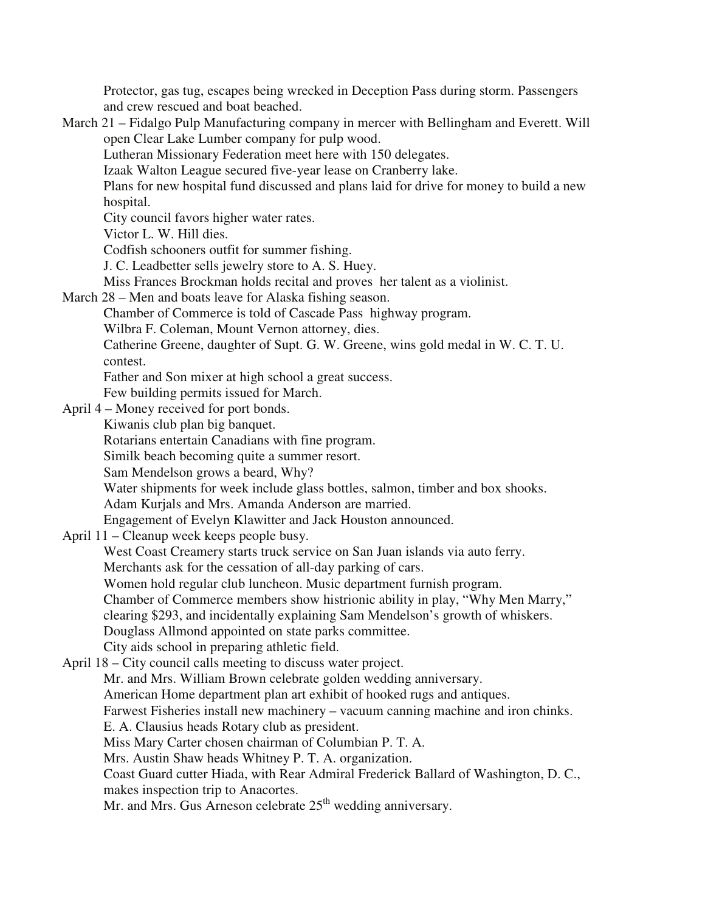Protector, gas tug, escapes being wrecked in Deception Pass during storm. Passengers and crew rescued and boat beached.

March 21 – Fidalgo Pulp Manufacturing company in mercer with Bellingham and Everett. Will open Clear Lake Lumber company for pulp wood. Lutheran Missionary Federation meet here with 150 delegates. Izaak Walton League secured five-year lease on Cranberry lake. Plans for new hospital fund discussed and plans laid for drive for money to build a new hospital. City council favors higher water rates. Victor L. W. Hill dies. Codfish schooners outfit for summer fishing. J. C. Leadbetter sells jewelry store to A. S. Huey. Miss Frances Brockman holds recital and proves her talent as a violinist. March 28 – Men and boats leave for Alaska fishing season. Chamber of Commerce is told of Cascade Pass highway program. Wilbra F. Coleman, Mount Vernon attorney, dies. Catherine Greene, daughter of Supt. G. W. Greene, wins gold medal in W. C. T. U. contest. Father and Son mixer at high school a great success. Few building permits issued for March. April 4 – Money received for port bonds. Kiwanis club plan big banquet. Rotarians entertain Canadians with fine program. Similk beach becoming quite a summer resort. Sam Mendelson grows a beard, Why? Water shipments for week include glass bottles, salmon, timber and box shooks. Adam Kurjals and Mrs. Amanda Anderson are married. Engagement of Evelyn Klawitter and Jack Houston announced. April 11 – Cleanup week keeps people busy. West Coast Creamery starts truck service on San Juan islands via auto ferry. Merchants ask for the cessation of all-day parking of cars. Women hold regular club luncheon. Music department furnish program. Chamber of Commerce members show histrionic ability in play, "Why Men Marry," clearing \$293, and incidentally explaining Sam Mendelson's growth of whiskers. Douglass Allmond appointed on state parks committee. City aids school in preparing athletic field. April 18 – City council calls meeting to discuss water project. Mr. and Mrs. William Brown celebrate golden wedding anniversary. American Home department plan art exhibit of hooked rugs and antiques. Farwest Fisheries install new machinery – vacuum canning machine and iron chinks. E. A. Clausius heads Rotary club as president. Miss Mary Carter chosen chairman of Columbian P. T. A. Mrs. Austin Shaw heads Whitney P. T. A. organization. Coast Guard cutter Hiada, with Rear Admiral Frederick Ballard of Washington, D. C., makes inspection trip to Anacortes. Mr. and Mrs. Gus Arneson celebrate  $25<sup>th</sup>$  wedding anniversary.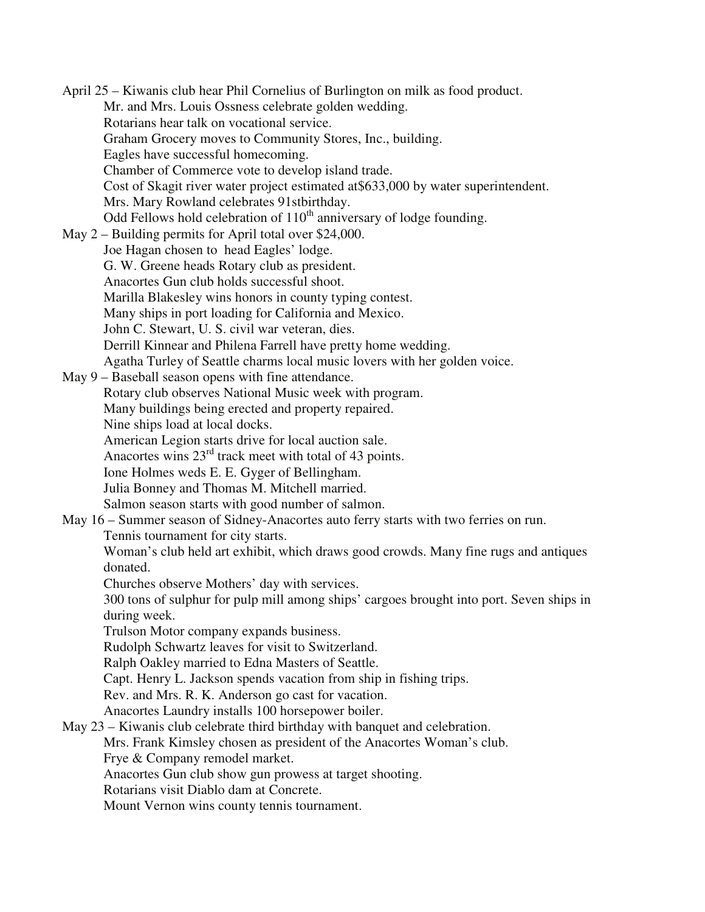April 25 – Kiwanis club hear Phil Cornelius of Burlington on milk as food product. Mr. and Mrs. Louis Ossness celebrate golden wedding. Rotarians hear talk on vocational service. Graham Grocery moves to Community Stores, Inc., building. Eagles have successful homecoming. Chamber of Commerce vote to develop island trade. Cost of Skagit river water project estimated at\$633,000 by water superintendent. Mrs. Mary Rowland celebrates 91stbirthday. Odd Fellows hold celebration of  $110<sup>th</sup>$  anniversary of lodge founding. May 2 – Building permits for April total over \$24,000. Joe Hagan chosen to head Eagles' lodge. G. W. Greene heads Rotary club as president. Anacortes Gun club holds successful shoot. Marilla Blakesley wins honors in county typing contest. Many ships in port loading for California and Mexico. John C. Stewart, U. S. civil war veteran, dies. Derrill Kinnear and Philena Farrell have pretty home wedding. Agatha Turley of Seattle charms local music lovers with her golden voice. May 9 – Baseball season opens with fine attendance. Rotary club observes National Music week with program. Many buildings being erected and property repaired. Nine ships load at local docks. American Legion starts drive for local auction sale. Anacortes wins 23rd track meet with total of 43 points. Ione Holmes weds E. E. Gyger of Bellingham. Julia Bonney and Thomas M. Mitchell married. Salmon season starts with good number of salmon. May 16 – Summer season of Sidney-Anacortes auto ferry starts with two ferries on run. Tennis tournament for city starts. Woman's club held art exhibit, which draws good crowds. Many fine rugs and antiques donated. Churches observe Mothers' day with services. 300 tons of sulphur for pulp mill among ships' cargoes brought into port. Seven ships in during week. Trulson Motor company expands business. Rudolph Schwartz leaves for visit to Switzerland. Ralph Oakley married to Edna Masters of Seattle. Capt. Henry L. Jackson spends vacation from ship in fishing trips. Rev. and Mrs. R. K. Anderson go cast for vacation. Anacortes Laundry installs 100 horsepower boiler. May 23 – Kiwanis club celebrate third birthday with banquet and celebration. Mrs. Frank Kimsley chosen as president of the Anacortes Woman's club. Frye & Company remodel market. Anacortes Gun club show gun prowess at target shooting. Rotarians visit Diablo dam at Concrete. Mount Vernon wins county tennis tournament.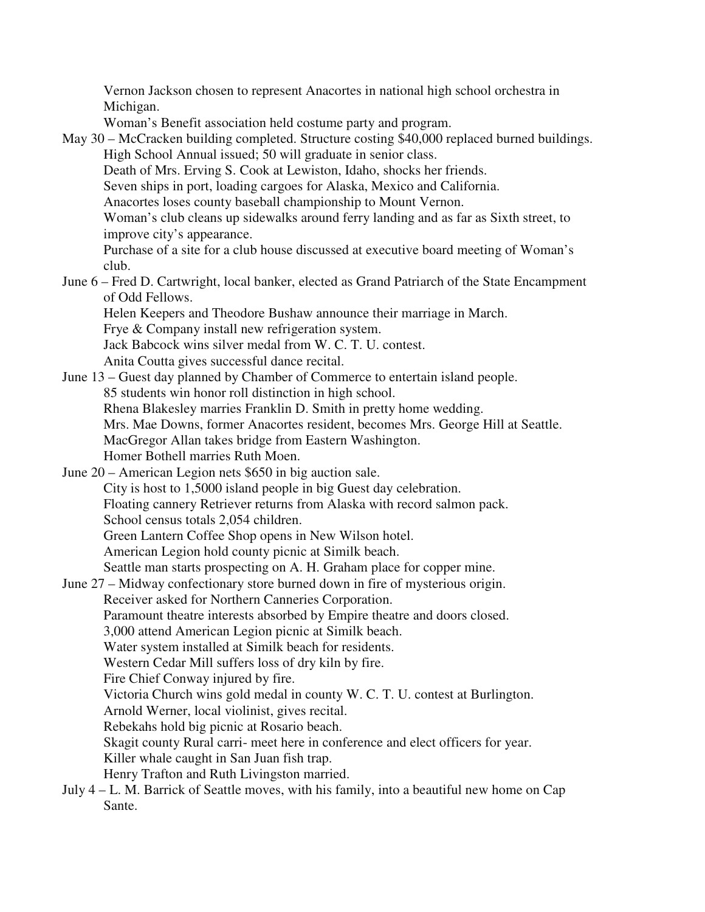Vernon Jackson chosen to represent Anacortes in national high school orchestra in Michigan.

Woman's Benefit association held costume party and program.

May 30 – McCracken building completed. Structure costing \$40,000 replaced burned buildings. High School Annual issued; 50 will graduate in senior class.

Death of Mrs. Erving S. Cook at Lewiston, Idaho, shocks her friends.

Seven ships in port, loading cargoes for Alaska, Mexico and California.

Anacortes loses county baseball championship to Mount Vernon.

 Woman's club cleans up sidewalks around ferry landing and as far as Sixth street, to improve city's appearance.

 Purchase of a site for a club house discussed at executive board meeting of Woman's club.

June 6 – Fred D. Cartwright, local banker, elected as Grand Patriarch of the State Encampment of Odd Fellows.

Helen Keepers and Theodore Bushaw announce their marriage in March.

Frye & Company install new refrigeration system.

Jack Babcock wins silver medal from W. C. T. U. contest.

Anita Coutta gives successful dance recital.

June 13 – Guest day planned by Chamber of Commerce to entertain island people. 85 students win honor roll distinction in high school. Rhena Blakesley marries Franklin D. Smith in pretty home wedding. Mrs. Mae Downs, former Anacortes resident, becomes Mrs. George Hill at Seattle. MacGregor Allan takes bridge from Eastern Washington. Homer Bothell marries Ruth Moen.

June 20 – American Legion nets \$650 in big auction sale. City is host to 1,5000 island people in big Guest day celebration. Floating cannery Retriever returns from Alaska with record salmon pack. School census totals 2,054 children. Green Lantern Coffee Shop opens in New Wilson hotel.

American Legion hold county picnic at Similk beach.

Seattle man starts prospecting on A. H. Graham place for copper mine.

June 27 – Midway confectionary store burned down in fire of mysterious origin. Receiver asked for Northern Canneries Corporation.

Paramount theatre interests absorbed by Empire theatre and doors closed.

3,000 attend American Legion picnic at Similk beach.

Water system installed at Similk beach for residents.

Western Cedar Mill suffers loss of dry kiln by fire.

Fire Chief Conway injured by fire.

Victoria Church wins gold medal in county W. C. T. U. contest at Burlington.

Arnold Werner, local violinist, gives recital.

Rebekahs hold big picnic at Rosario beach.

Skagit county Rural carri- meet here in conference and elect officers for year.

Killer whale caught in San Juan fish trap.

Henry Trafton and Ruth Livingston married.

July 4 – L. M. Barrick of Seattle moves, with his family, into a beautiful new home on Cap Sante.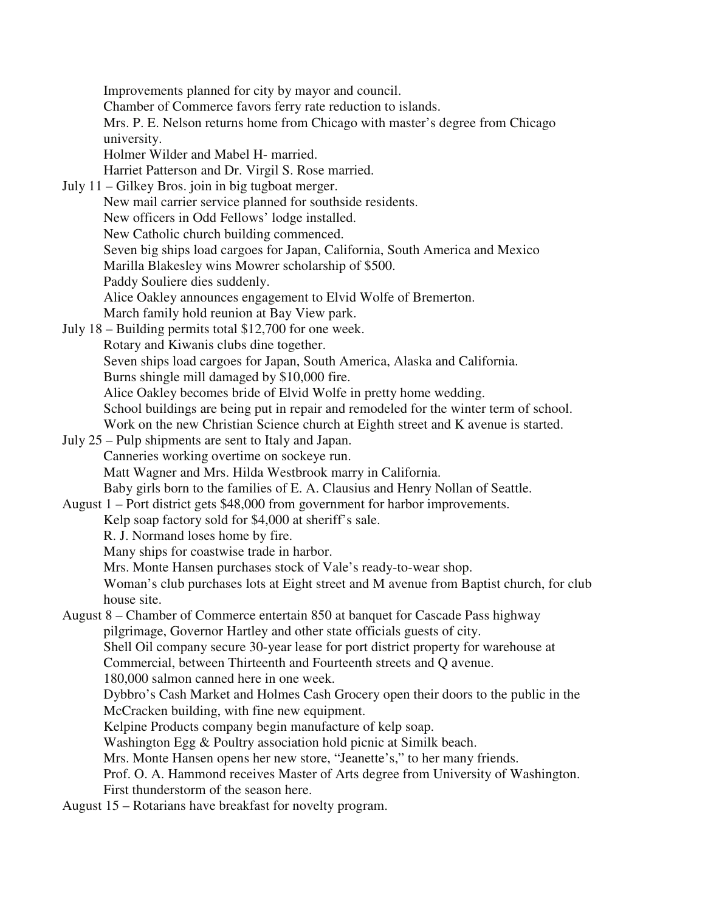Improvements planned for city by mayor and council. Chamber of Commerce favors ferry rate reduction to islands. Mrs. P. E. Nelson returns home from Chicago with master's degree from Chicago university. Holmer Wilder and Mabel H- married. Harriet Patterson and Dr. Virgil S. Rose married. July 11 – Gilkey Bros. join in big tugboat merger. New mail carrier service planned for southside residents. New officers in Odd Fellows' lodge installed. New Catholic church building commenced. Seven big ships load cargoes for Japan, California, South America and Mexico Marilla Blakesley wins Mowrer scholarship of \$500. Paddy Souliere dies suddenly. Alice Oakley announces engagement to Elvid Wolfe of Bremerton. March family hold reunion at Bay View park. July 18 – Building permits total \$12,700 for one week. Rotary and Kiwanis clubs dine together. Seven ships load cargoes for Japan, South America, Alaska and California. Burns shingle mill damaged by \$10,000 fire. Alice Oakley becomes bride of Elvid Wolfe in pretty home wedding. School buildings are being put in repair and remodeled for the winter term of school. Work on the new Christian Science church at Eighth street and K avenue is started. July 25 – Pulp shipments are sent to Italy and Japan. Canneries working overtime on sockeye run. Matt Wagner and Mrs. Hilda Westbrook marry in California. Baby girls born to the families of E. A. Clausius and Henry Nollan of Seattle. August 1 – Port district gets \$48,000 from government for harbor improvements. Kelp soap factory sold for \$4,000 at sheriff's sale. R. J. Normand loses home by fire. Many ships for coastwise trade in harbor. Mrs. Monte Hansen purchases stock of Vale's ready-to-wear shop. Woman's club purchases lots at Eight street and M avenue from Baptist church, for club house site. August 8 – Chamber of Commerce entertain 850 at banquet for Cascade Pass highway pilgrimage, Governor Hartley and other state officials guests of city. Shell Oil company secure 30-year lease for port district property for warehouse at Commercial, between Thirteenth and Fourteenth streets and Q avenue. 180,000 salmon canned here in one week. Dybbro's Cash Market and Holmes Cash Grocery open their doors to the public in the McCracken building, with fine new equipment. Kelpine Products company begin manufacture of kelp soap. Washington Egg & Poultry association hold picnic at Similk beach. Mrs. Monte Hansen opens her new store, "Jeanette's," to her many friends. Prof. O. A. Hammond receives Master of Arts degree from University of Washington. First thunderstorm of the season here. August 15 – Rotarians have breakfast for novelty program.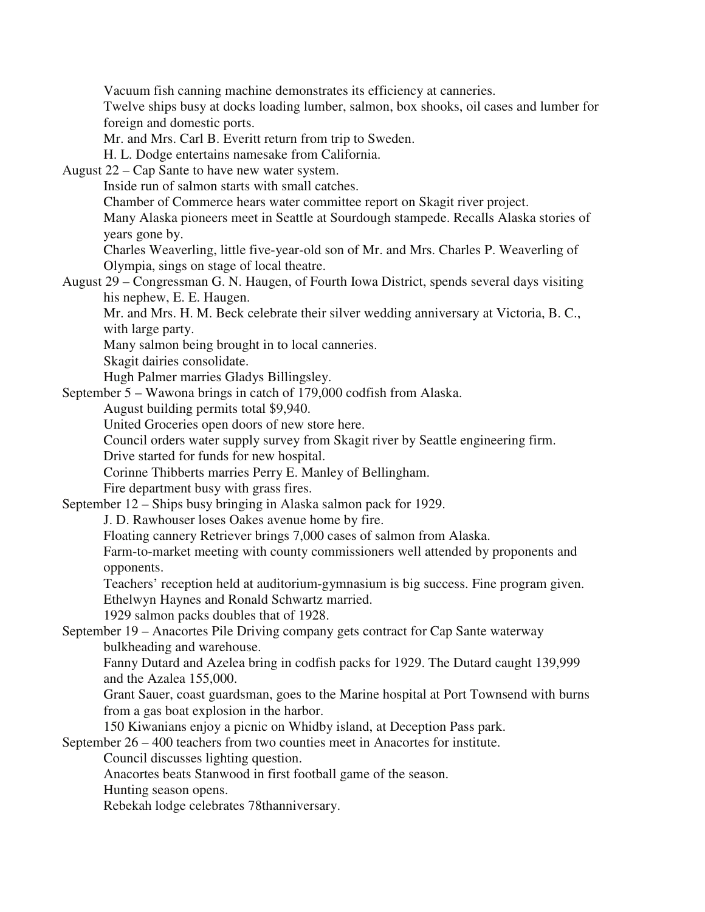Vacuum fish canning machine demonstrates its efficiency at canneries.

 Twelve ships busy at docks loading lumber, salmon, box shooks, oil cases and lumber for foreign and domestic ports.

Mr. and Mrs. Carl B. Everitt return from trip to Sweden.

H. L. Dodge entertains namesake from California.

August 22 – Cap Sante to have new water system.

Inside run of salmon starts with small catches.

Chamber of Commerce hears water committee report on Skagit river project.

 Many Alaska pioneers meet in Seattle at Sourdough stampede. Recalls Alaska stories of years gone by.

 Charles Weaverling, little five-year-old son of Mr. and Mrs. Charles P. Weaverling of Olympia, sings on stage of local theatre.

August 29 – Congressman G. N. Haugen, of Fourth Iowa District, spends several days visiting his nephew, E. E. Haugen.

 Mr. and Mrs. H. M. Beck celebrate their silver wedding anniversary at Victoria, B. C., with large party.

Many salmon being brought in to local canneries.

Skagit dairies consolidate.

Hugh Palmer marries Gladys Billingsley.

September 5 – Wawona brings in catch of 179,000 codfish from Alaska.

August building permits total \$9,940.

United Groceries open doors of new store here.

Council orders water supply survey from Skagit river by Seattle engineering firm.

Drive started for funds for new hospital.

Corinne Thibberts marries Perry E. Manley of Bellingham.

Fire department busy with grass fires.

September 12 – Ships busy bringing in Alaska salmon pack for 1929.

J. D. Rawhouser loses Oakes avenue home by fire.

Floating cannery Retriever brings 7,000 cases of salmon from Alaska.

 Farm-to-market meeting with county commissioners well attended by proponents and opponents.

 Teachers' reception held at auditorium-gymnasium is big success. Fine program given. Ethelwyn Haynes and Ronald Schwartz married.

1929 salmon packs doubles that of 1928.

September 19 – Anacortes Pile Driving company gets contract for Cap Sante waterway bulkheading and warehouse.

 Fanny Dutard and Azelea bring in codfish packs for 1929. The Dutard caught 139,999 and the Azalea 155,000.

 Grant Sauer, coast guardsman, goes to the Marine hospital at Port Townsend with burns from a gas boat explosion in the harbor.

150 Kiwanians enjoy a picnic on Whidby island, at Deception Pass park.

September 26 – 400 teachers from two counties meet in Anacortes for institute.

Council discusses lighting question.

Anacortes beats Stanwood in first football game of the season.

Hunting season opens.

Rebekah lodge celebrates 78thanniversary.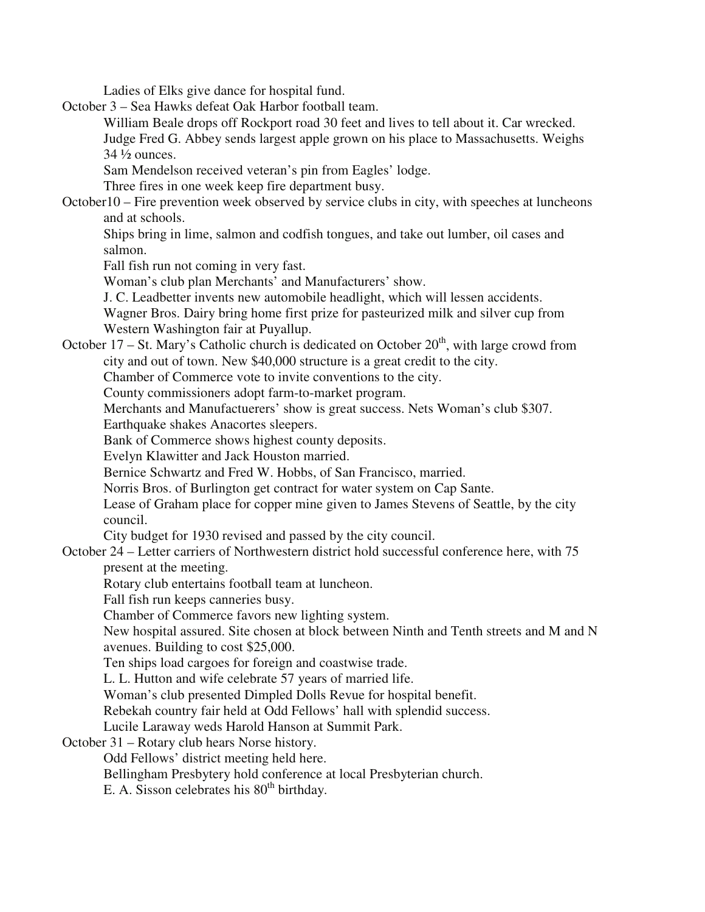Ladies of Elks give dance for hospital fund.

October 3 – Sea Hawks defeat Oak Harbor football team.

 William Beale drops off Rockport road 30 feet and lives to tell about it. Car wrecked. Judge Fred G. Abbey sends largest apple grown on his place to Massachusetts. Weighs 34 ½ ounces.

Sam Mendelson received veteran's pin from Eagles' lodge.

Three fires in one week keep fire department busy.

October10 – Fire prevention week observed by service clubs in city, with speeches at luncheons and at schools.

 Ships bring in lime, salmon and codfish tongues, and take out lumber, oil cases and salmon.

Fall fish run not coming in very fast.

Woman's club plan Merchants' and Manufacturers' show.

J. C. Leadbetter invents new automobile headlight, which will lessen accidents.

 Wagner Bros. Dairy bring home first prize for pasteurized milk and silver cup from Western Washington fair at Puyallup.

October 17 – St. Mary's Catholic church is dedicated on October  $20<sup>th</sup>$ , with large crowd from city and out of town. New \$40,000 structure is a great credit to the city.

Chamber of Commerce vote to invite conventions to the city.

County commissioners adopt farm-to-market program.

Merchants and Manufactuerers' show is great success. Nets Woman's club \$307.

Earthquake shakes Anacortes sleepers.

Bank of Commerce shows highest county deposits.

Evelyn Klawitter and Jack Houston married.

Bernice Schwartz and Fred W. Hobbs, of San Francisco, married.

Norris Bros. of Burlington get contract for water system on Cap Sante.

 Lease of Graham place for copper mine given to James Stevens of Seattle, by the city council.

City budget for 1930 revised and passed by the city council.

October 24 – Letter carriers of Northwestern district hold successful conference here, with 75 present at the meeting.

Rotary club entertains football team at luncheon.

Fall fish run keeps canneries busy.

Chamber of Commerce favors new lighting system.

 New hospital assured. Site chosen at block between Ninth and Tenth streets and M and N avenues. Building to cost \$25,000.

Ten ships load cargoes for foreign and coastwise trade.

L. L. Hutton and wife celebrate 57 years of married life.

Woman's club presented Dimpled Dolls Revue for hospital benefit.

Rebekah country fair held at Odd Fellows' hall with splendid success.

Lucile Laraway weds Harold Hanson at Summit Park.

October 31 – Rotary club hears Norse history.

Odd Fellows' district meeting held here.

Bellingham Presbytery hold conference at local Presbyterian church.

E. A. Sisson celebrates his  $80<sup>th</sup>$  birthday.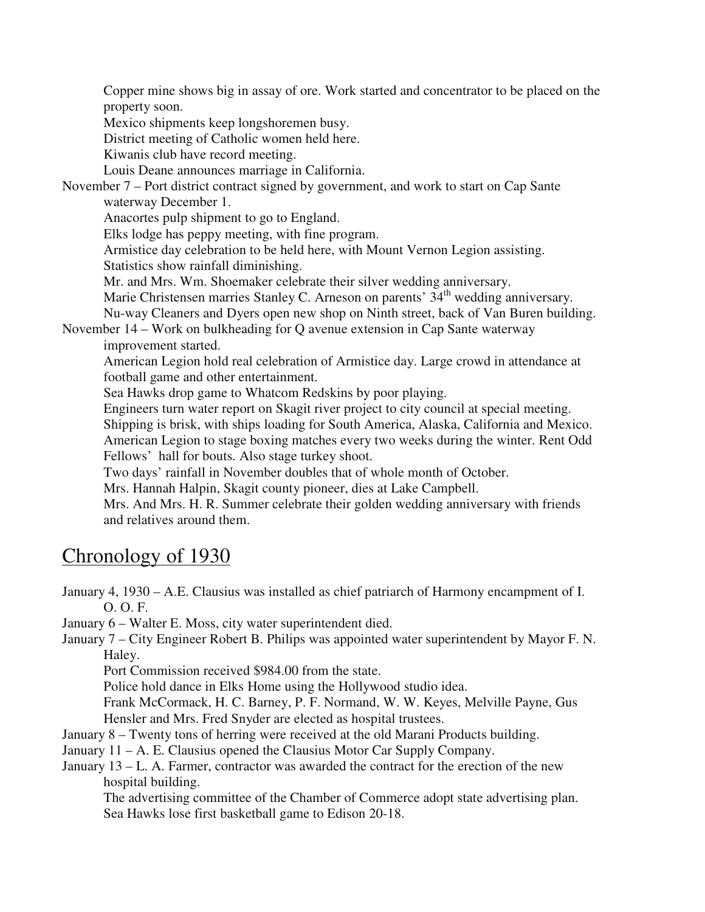Copper mine shows big in assay of ore. Work started and concentrator to be placed on the property soon.

Mexico shipments keep longshoremen busy.

District meeting of Catholic women held here.

Kiwanis club have record meeting.

Louis Deane announces marriage in California.

November 7 – Port district contract signed by government, and work to start on Cap Sante waterway December 1.

Anacortes pulp shipment to go to England.

Elks lodge has peppy meeting, with fine program.

 Armistice day celebration to be held here, with Mount Vernon Legion assisting. Statistics show rainfall diminishing.

Mr. and Mrs. Wm. Shoemaker celebrate their silver wedding anniversary.

Marie Christensen marries Stanley C. Arneson on parents' 34<sup>th</sup> wedding anniversary.

Nu-way Cleaners and Dyers open new shop on Ninth street, back of Van Buren building.

November 14 – Work on bulkheading for Q avenue extension in Cap Sante waterway improvement started.

 American Legion hold real celebration of Armistice day. Large crowd in attendance at football game and other entertainment.

Sea Hawks drop game to Whatcom Redskins by poor playing.

 Engineers turn water report on Skagit river project to city council at special meeting. Shipping is brisk, with ships loading for South America, Alaska, California and Mexico. American Legion to stage boxing matches every two weeks during the winter. Rent Odd

Fellows' hall for bouts. Also stage turkey shoot.

Two days' rainfall in November doubles that of whole month of October.

Mrs. Hannah Halpin, Skagit county pioneer, dies at Lake Campbell.

 Mrs. And Mrs. H. R. Summer celebrate their golden wedding anniversary with friends and relatives around them.

# Chronology of 1930

January 4, 1930 – A.E. Clausius was installed as chief patriarch of Harmony encampment of I. O. O. F.

January 6 – Walter E. Moss, city water superintendent died.

January 7 – City Engineer Robert B. Philips was appointed water superintendent by Mayor F. N. Haley.

Port Commission received \$984.00 from the state.

Police hold dance in Elks Home using the Hollywood studio idea.

Frank McCormack, H. C. Barney, P. F. Normand, W. W. Keyes, Melville Payne, Gus Hensler and Mrs. Fred Snyder are elected as hospital trustees.

January 8 – Twenty tons of herring were received at the old Marani Products building.

January 11 – A. E. Clausius opened the Clausius Motor Car Supply Company.

January 13 – L. A. Farmer, contractor was awarded the contract for the erection of the new hospital building.

The advertising committee of the Chamber of Commerce adopt state advertising plan. Sea Hawks lose first basketball game to Edison 20-18.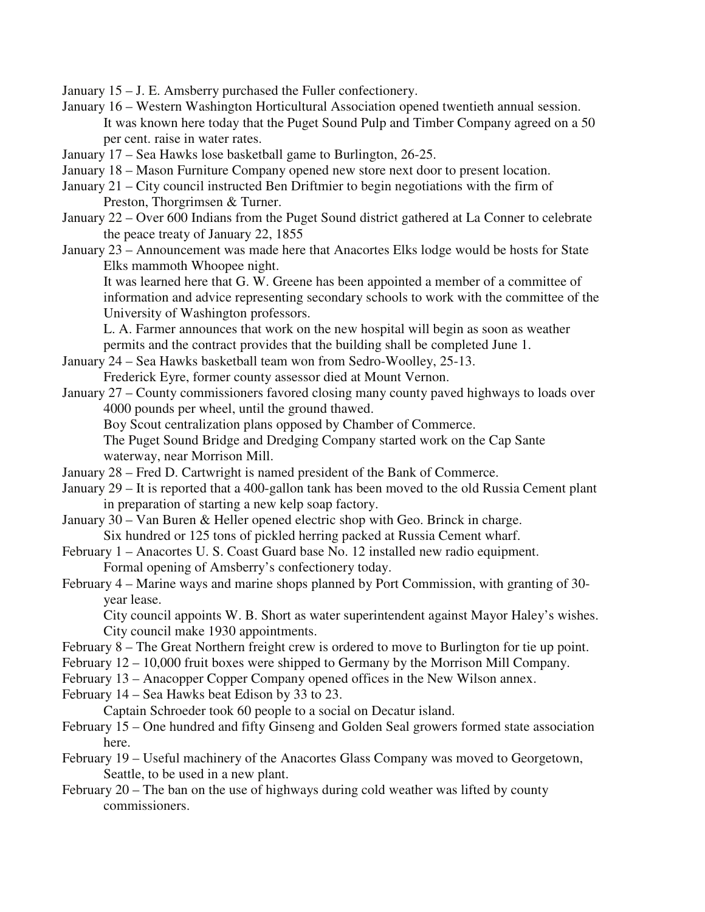January 15 – J. E. Amsberry purchased the Fuller confectionery.

- January 16 Western Washington Horticultural Association opened twentieth annual session. It was known here today that the Puget Sound Pulp and Timber Company agreed on a 50 per cent. raise in water rates.
- January 17 Sea Hawks lose basketball game to Burlington, 26-25.
- January 18 Mason Furniture Company opened new store next door to present location.
- January 21 City council instructed Ben Driftmier to begin negotiations with the firm of Preston, Thorgrimsen & Turner.
- January 22 Over 600 Indians from the Puget Sound district gathered at La Conner to celebrate the peace treaty of January 22, 1855
- January 23 Announcement was made here that Anacortes Elks lodge would be hosts for State Elks mammoth Whoopee night.

It was learned here that G. W. Greene has been appointed a member of a committee of information and advice representing secondary schools to work with the committee of the University of Washington professors.

L. A. Farmer announces that work on the new hospital will begin as soon as weather permits and the contract provides that the building shall be completed June 1.

- January 24 Sea Hawks basketball team won from Sedro-Woolley, 25-13.
	- Frederick Eyre, former county assessor died at Mount Vernon.
- January 27 County commissioners favored closing many county paved highways to loads over 4000 pounds per wheel, until the ground thawed.

Boy Scout centralization plans opposed by Chamber of Commerce.

The Puget Sound Bridge and Dredging Company started work on the Cap Sante waterway, near Morrison Mill.

- January 28 Fred D. Cartwright is named president of the Bank of Commerce.
- January 29 It is reported that a 400-gallon tank has been moved to the old Russia Cement plant in preparation of starting a new kelp soap factory.
- January 30 Van Buren & Heller opened electric shop with Geo. Brinck in charge. Six hundred or 125 tons of pickled herring packed at Russia Cement wharf.
- February 1 Anacortes U. S. Coast Guard base No. 12 installed new radio equipment. Formal opening of Amsberry's confectionery today.
- February 4 Marine ways and marine shops planned by Port Commission, with granting of 30 year lease.

City council appoints W. B. Short as water superintendent against Mayor Haley's wishes. City council make 1930 appointments.

- February 8 The Great Northern freight crew is ordered to move to Burlington for tie up point.
- February 12 10,000 fruit boxes were shipped to Germany by the Morrison Mill Company.
- February 13 Anacopper Copper Company opened offices in the New Wilson annex.
- February 14 Sea Hawks beat Edison by 33 to 23.

Captain Schroeder took 60 people to a social on Decatur island.

- February 15 One hundred and fifty Ginseng and Golden Seal growers formed state association here.
- February 19 Useful machinery of the Anacortes Glass Company was moved to Georgetown, Seattle, to be used in a new plant.
- February 20 The ban on the use of highways during cold weather was lifted by county commissioners.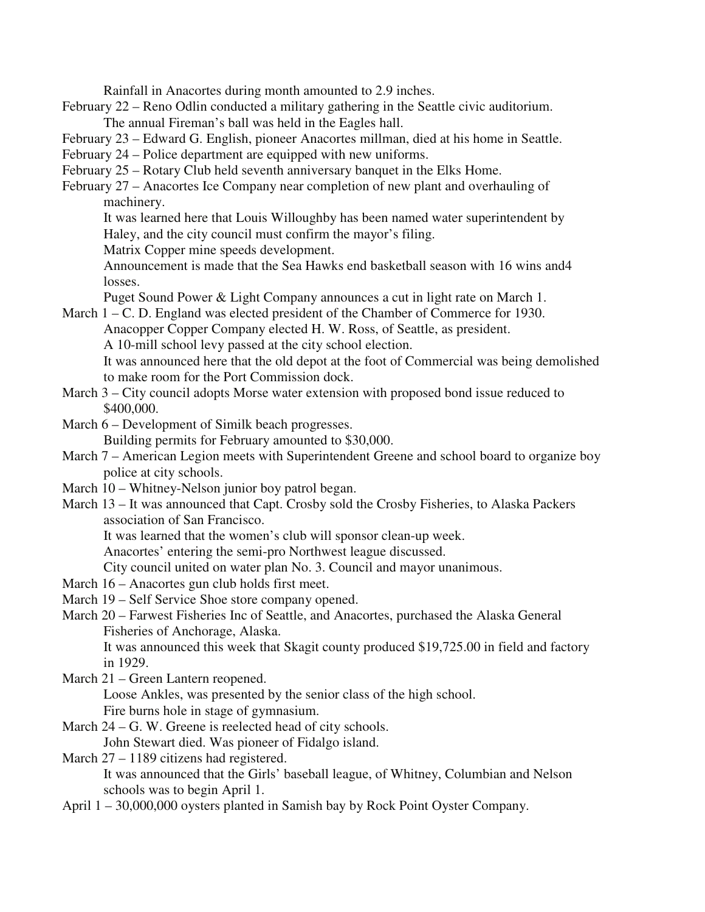Rainfall in Anacortes during month amounted to 2.9 inches.

- February 22 Reno Odlin conducted a military gathering in the Seattle civic auditorium. The annual Fireman's ball was held in the Eagles hall.
- February 23 Edward G. English, pioneer Anacortes millman, died at his home in Seattle.
- February 24 Police department are equipped with new uniforms.
- February 25 Rotary Club held seventh anniversary banquet in the Elks Home.
- February 27 Anacortes Ice Company near completion of new plant and overhauling of machinery.
	- It was learned here that Louis Willoughby has been named water superintendent by Haley, and the city council must confirm the mayor's filing.
	- Matrix Copper mine speeds development.

Announcement is made that the Sea Hawks end basketball season with 16 wins and4 losses.

Puget Sound Power & Light Company announces a cut in light rate on March 1.

- March 1 C. D. England was elected president of the Chamber of Commerce for 1930. Anacopper Copper Company elected H. W. Ross, of Seattle, as president. A 10-mill school levy passed at the city school election. It was announced here that the old depot at the foot of Commercial was being demolished to make room for the Port Commission dock.
- March 3 City council adopts Morse water extension with proposed bond issue reduced to \$400,000.
- March 6 Development of Similk beach progresses. Building permits for February amounted to \$30,000.
- March 7 American Legion meets with Superintendent Greene and school board to organize boy police at city schools.
- March 10 Whitney-Nelson junior boy patrol began.
- March 13 It was announced that Capt. Crosby sold the Crosby Fisheries, to Alaska Packers association of San Francisco.

It was learned that the women's club will sponsor clean-up week.

Anacortes' entering the semi-pro Northwest league discussed.

City council united on water plan No. 3. Council and mayor unanimous.

- March 16 Anacortes gun club holds first meet.
- March 19 Self Service Shoe store company opened.
- March 20 Farwest Fisheries Inc of Seattle, and Anacortes, purchased the Alaska General Fisheries of Anchorage, Alaska.

It was announced this week that Skagit county produced \$19,725.00 in field and factory in 1929.

March 21 – Green Lantern reopened.

Loose Ankles, was presented by the senior class of the high school.

Fire burns hole in stage of gymnasium.

March 24 – G. W. Greene is reelected head of city schools. John Stewart died. Was pioneer of Fidalgo island.

March 27 – 1189 citizens had registered.

It was announced that the Girls' baseball league, of Whitney, Columbian and Nelson schools was to begin April 1.

April 1 – 30,000,000 oysters planted in Samish bay by Rock Point Oyster Company.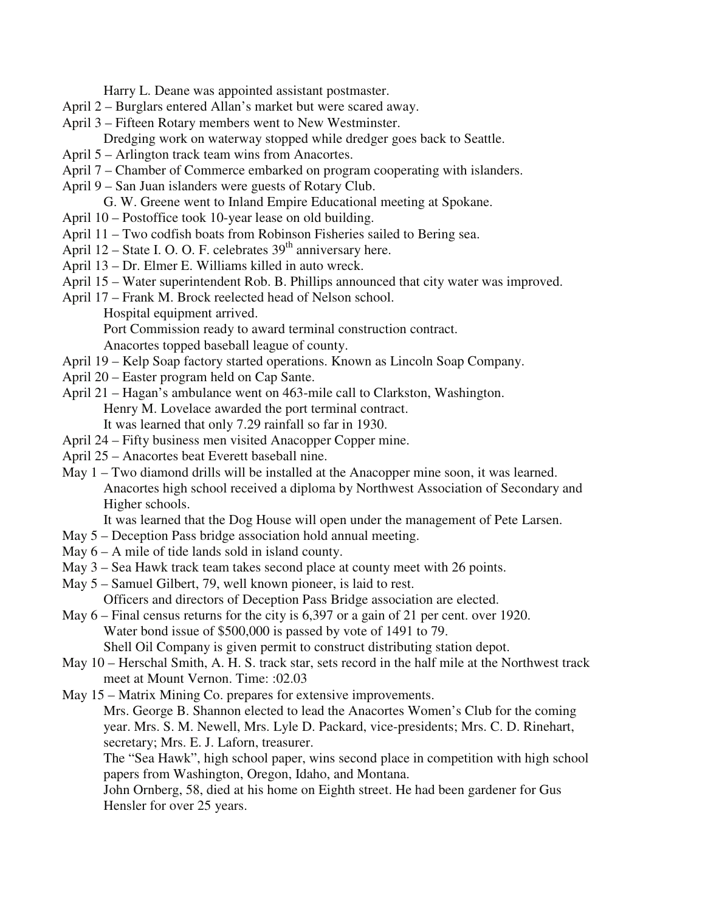Harry L. Deane was appointed assistant postmaster.

- April 2 Burglars entered Allan's market but were scared away.
- April 3 Fifteen Rotary members went to New Westminster.
	- Dredging work on waterway stopped while dredger goes back to Seattle.
- April 5 Arlington track team wins from Anacortes.
- April 7 Chamber of Commerce embarked on program cooperating with islanders.
- April 9 San Juan islanders were guests of Rotary Club. G. W. Greene went to Inland Empire Educational meeting at Spokane.
- April 10 Postoffice took 10-year lease on old building.
- April 11 Two codfish boats from Robinson Fisheries sailed to Bering sea.
- April 12 State I. O. O. F. celebrates  $39<sup>th</sup>$  anniversary here.
- April 13 Dr. Elmer E. Williams killed in auto wreck.
- April 15 Water superintendent Rob. B. Phillips announced that city water was improved.
- April 17 Frank M. Brock reelected head of Nelson school.
	- Hospital equipment arrived.

Port Commission ready to award terminal construction contract.

Anacortes topped baseball league of county.

- April 19 Kelp Soap factory started operations. Known as Lincoln Soap Company.
- April 20 Easter program held on Cap Sante.
- April 21 Hagan's ambulance went on 463-mile call to Clarkston, Washington. Henry M. Lovelace awarded the port terminal contract. It was learned that only 7.29 rainfall so far in 1930.
- April 24 Fifty business men visited Anacopper Copper mine.
- April 25 Anacortes beat Everett baseball nine.
- May 1 Two diamond drills will be installed at the Anacopper mine soon, it was learned. Anacortes high school received a diploma by Northwest Association of Secondary and Higher schools.

It was learned that the Dog House will open under the management of Pete Larsen.

- May 5 Deception Pass bridge association hold annual meeting.
- May 6 A mile of tide lands sold in island county.
- May 3 Sea Hawk track team takes second place at county meet with 26 points.
- May 5 Samuel Gilbert, 79, well known pioneer, is laid to rest. Officers and directors of Deception Pass Bridge association are elected.
- May 6 Final census returns for the city is 6,397 or a gain of 21 per cent. over 1920. Water bond issue of \$500,000 is passed by vote of 1491 to 79. Shell Oil Company is given permit to construct distributing station depot.
- May 10 Herschal Smith, A. H. S. track star, sets record in the half mile at the Northwest track meet at Mount Vernon. Time: :02.03
- May 15 Matrix Mining Co. prepares for extensive improvements.

Mrs. George B. Shannon elected to lead the Anacortes Women's Club for the coming year. Mrs. S. M. Newell, Mrs. Lyle D. Packard, vice-presidents; Mrs. C. D. Rinehart, secretary; Mrs. E. J. Laforn, treasurer.

The "Sea Hawk", high school paper, wins second place in competition with high school papers from Washington, Oregon, Idaho, and Montana.

John Ornberg, 58, died at his home on Eighth street. He had been gardener for Gus Hensler for over 25 years.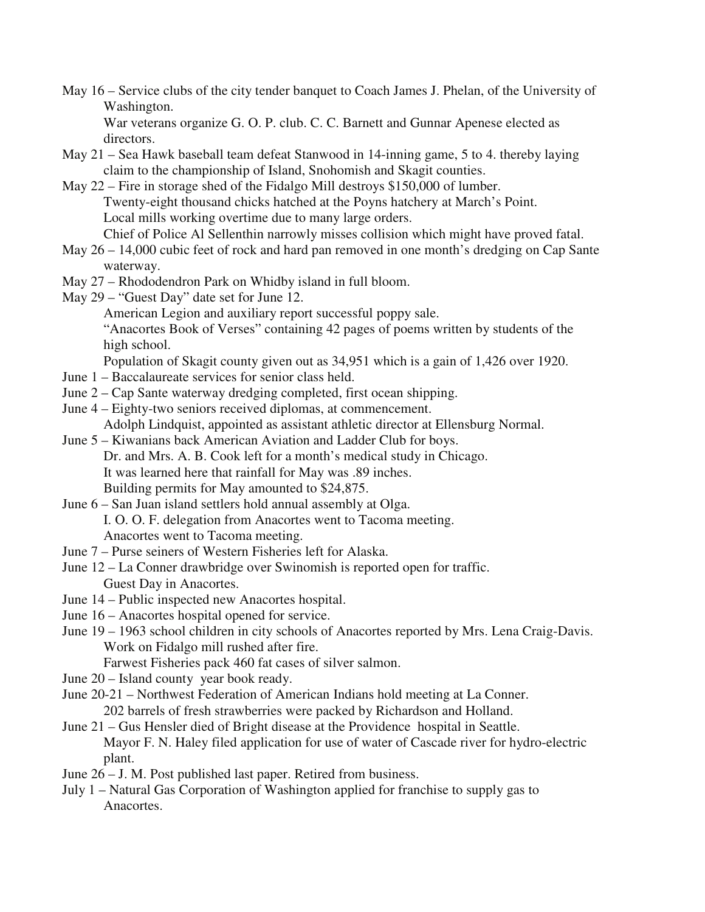May 16 – Service clubs of the city tender banquet to Coach James J. Phelan, of the University of Washington.

War veterans organize G. O. P. club. C. C. Barnett and Gunnar Apenese elected as directors.

- May 21 Sea Hawk baseball team defeat Stanwood in 14-inning game, 5 to 4. thereby laying claim to the championship of Island, Snohomish and Skagit counties.
- May 22 Fire in storage shed of the Fidalgo Mill destroys \$150,000 of lumber. Twenty-eight thousand chicks hatched at the Poyns hatchery at March's Point. Local mills working overtime due to many large orders. Chief of Police Al Sellenthin narrowly misses collision which might have proved fatal.
- May 26 14,000 cubic feet of rock and hard pan removed in one month's dredging on Cap Sante waterway.
- May 27 Rhododendron Park on Whidby island in full bloom.
- May 29 "Guest Day" date set for June 12.

American Legion and auxiliary report successful poppy sale.

"Anacortes Book of Verses" containing 42 pages of poems written by students of the high school.

Population of Skagit county given out as 34,951 which is a gain of 1,426 over 1920.

- June 1 Baccalaureate services for senior class held.
- June 2 Cap Sante waterway dredging completed, first ocean shipping.
- June 4 Eighty-two seniors received diplomas, at commencement.

Adolph Lindquist, appointed as assistant athletic director at Ellensburg Normal.

June 5 – Kiwanians back American Aviation and Ladder Club for boys. Dr. and Mrs. A. B. Cook left for a month's medical study in Chicago. It was learned here that rainfall for May was .89 inches. Building permits for May amounted to \$24,875.

June 6 – San Juan island settlers hold annual assembly at Olga. I. O. O. F. delegation from Anacortes went to Tacoma meeting. Anacortes went to Tacoma meeting.

- June 7 Purse seiners of Western Fisheries left for Alaska.
- June 12 La Conner drawbridge over Swinomish is reported open for traffic. Guest Day in Anacortes.
- June 14 Public inspected new Anacortes hospital.
- June 16 Anacortes hospital opened for service.
- June 19 1963 school children in city schools of Anacortes reported by Mrs. Lena Craig-Davis. Work on Fidalgo mill rushed after fire.
	- Farwest Fisheries pack 460 fat cases of silver salmon.
- June 20 Island county year book ready.
- June 20-21 Northwest Federation of American Indians hold meeting at La Conner.

202 barrels of fresh strawberries were packed by Richardson and Holland.

June 21 – Gus Hensler died of Bright disease at the Providence hospital in Seattle. Mayor F. N. Haley filed application for use of water of Cascade river for hydro-electric plant.

- June 26 J. M. Post published last paper. Retired from business.
- July 1 Natural Gas Corporation of Washington applied for franchise to supply gas to Anacortes.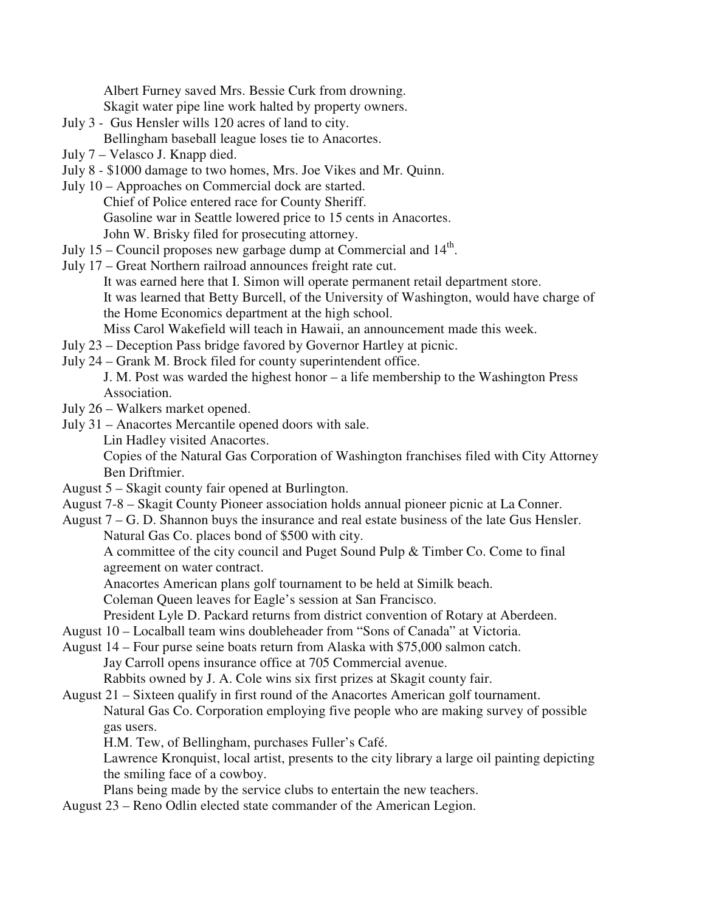Albert Furney saved Mrs. Bessie Curk from drowning.

Skagit water pipe line work halted by property owners.

July 3 - Gus Hensler wills 120 acres of land to city.

Bellingham baseball league loses tie to Anacortes.

- July 7 Velasco J. Knapp died.
- July 8 \$1000 damage to two homes, Mrs. Joe Vikes and Mr. Quinn.
- July 10 Approaches on Commercial dock are started. Chief of Police entered race for County Sheriff. Gasoline war in Seattle lowered price to 15 cents in Anacortes. John W. Brisky filed for prosecuting attorney.
- July 15 Council proposes new garbage dump at Commercial and  $14<sup>th</sup>$ .
- July 17 Great Northern railroad announces freight rate cut.

It was earned here that I. Simon will operate permanent retail department store. It was learned that Betty Burcell, of the University of Washington, would have charge of the Home Economics department at the high school.

Miss Carol Wakefield will teach in Hawaii, an announcement made this week.

- July 23 Deception Pass bridge favored by Governor Hartley at picnic.
- July 24 Grank M. Brock filed for county superintendent office.

J. M. Post was warded the highest honor – a life membership to the Washington Press Association.

- July 26 Walkers market opened.
- July 31 Anacortes Mercantile opened doors with sale.

Lin Hadley visited Anacortes.

Copies of the Natural Gas Corporation of Washington franchises filed with City Attorney Ben Driftmier.

- August 5 Skagit county fair opened at Burlington.
- August 7-8 Skagit County Pioneer association holds annual pioneer picnic at La Conner.
- August 7 G. D. Shannon buys the insurance and real estate business of the late Gus Hensler. Natural Gas Co. places bond of \$500 with city.

A committee of the city council and Puget Sound Pulp & Timber Co. Come to final agreement on water contract.

Anacortes American plans golf tournament to be held at Similk beach.

Coleman Queen leaves for Eagle's session at San Francisco.

President Lyle D. Packard returns from district convention of Rotary at Aberdeen.

- August 10 Localball team wins doubleheader from "Sons of Canada" at Victoria.
- August 14 Four purse seine boats return from Alaska with \$75,000 salmon catch. Jay Carroll opens insurance office at 705 Commercial avenue. Rabbits owned by J. A. Cole wins six first prizes at Skagit county fair.
- August 21 Sixteen qualify in first round of the Anacortes American golf tournament. Natural Gas Co. Corporation employing five people who are making survey of possible gas users.

H.M. Tew, of Bellingham, purchases Fuller's Café.

Lawrence Kronquist, local artist, presents to the city library a large oil painting depicting the smiling face of a cowboy.

Plans being made by the service clubs to entertain the new teachers.

August 23 – Reno Odlin elected state commander of the American Legion.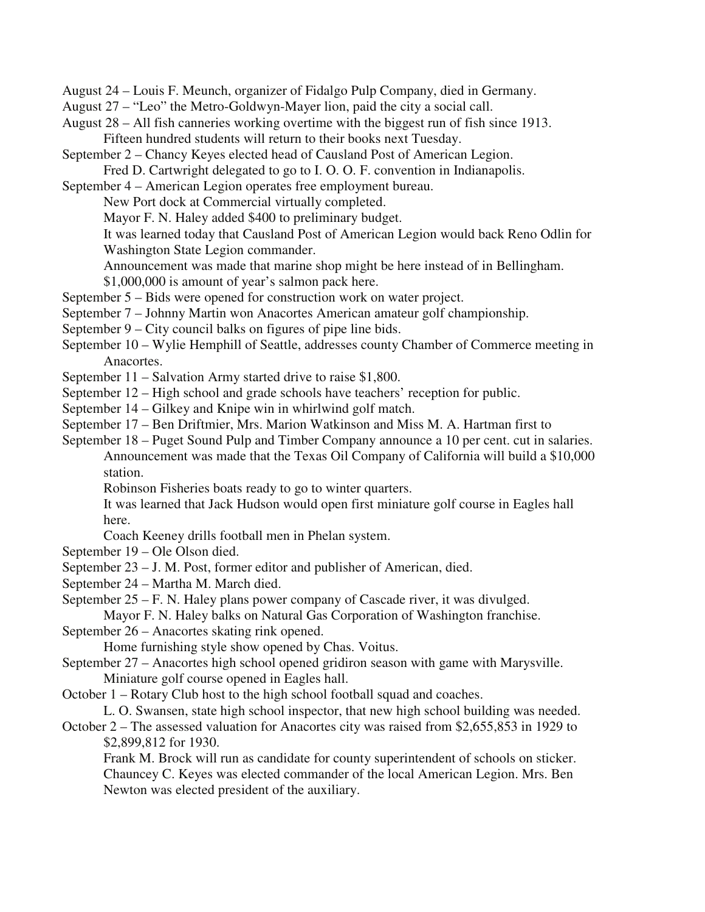August 24 – Louis F. Meunch, organizer of Fidalgo Pulp Company, died in Germany.

- August 27 "Leo" the Metro-Goldwyn-Mayer lion, paid the city a social call.
- August 28 All fish canneries working overtime with the biggest run of fish since 1913. Fifteen hundred students will return to their books next Tuesday.
- September 2 Chancy Keyes elected head of Causland Post of American Legion.
- Fred D. Cartwright delegated to go to I. O. O. F. convention in Indianapolis.
- September 4 American Legion operates free employment bureau.
	- New Port dock at Commercial virtually completed.
	- Mayor F. N. Haley added \$400 to preliminary budget.

It was learned today that Causland Post of American Legion would back Reno Odlin for Washington State Legion commander.

Announcement was made that marine shop might be here instead of in Bellingham.

- \$1,000,000 is amount of year's salmon pack here.
- September 5 Bids were opened for construction work on water project.
- September 7 Johnny Martin won Anacortes American amateur golf championship.
- September 9 City council balks on figures of pipe line bids.
- September 10 Wylie Hemphill of Seattle, addresses county Chamber of Commerce meeting in Anacortes.
- September 11 Salvation Army started drive to raise \$1,800.
- September 12 High school and grade schools have teachers' reception for public.
- September 14 Gilkey and Knipe win in whirlwind golf match.
- September 17 Ben Driftmier, Mrs. Marion Watkinson and Miss M. A. Hartman first to

September 18 – Puget Sound Pulp and Timber Company announce a 10 per cent. cut in salaries. Announcement was made that the Texas Oil Company of California will build a \$10,000 station.

Robinson Fisheries boats ready to go to winter quarters.

It was learned that Jack Hudson would open first miniature golf course in Eagles hall here.

Coach Keeney drills football men in Phelan system.

- September 19 Ole Olson died.
- September 23 J. M. Post, former editor and publisher of American, died.
- September 24 Martha M. March died.
- September 25 F. N. Haley plans power company of Cascade river, it was divulged.

Mayor F. N. Haley balks on Natural Gas Corporation of Washington franchise.

September 26 – Anacortes skating rink opened.

Home furnishing style show opened by Chas. Voitus.

September 27 – Anacortes high school opened gridiron season with game with Marysville. Miniature golf course opened in Eagles hall.

October 1 – Rotary Club host to the high school football squad and coaches.

L. O. Swansen, state high school inspector, that new high school building was needed.

October 2 – The assessed valuation for Anacortes city was raised from \$2,655,853 in 1929 to \$2,899,812 for 1930.

 Frank M. Brock will run as candidate for county superintendent of schools on sticker. Chauncey C. Keyes was elected commander of the local American Legion. Mrs. Ben Newton was elected president of the auxiliary.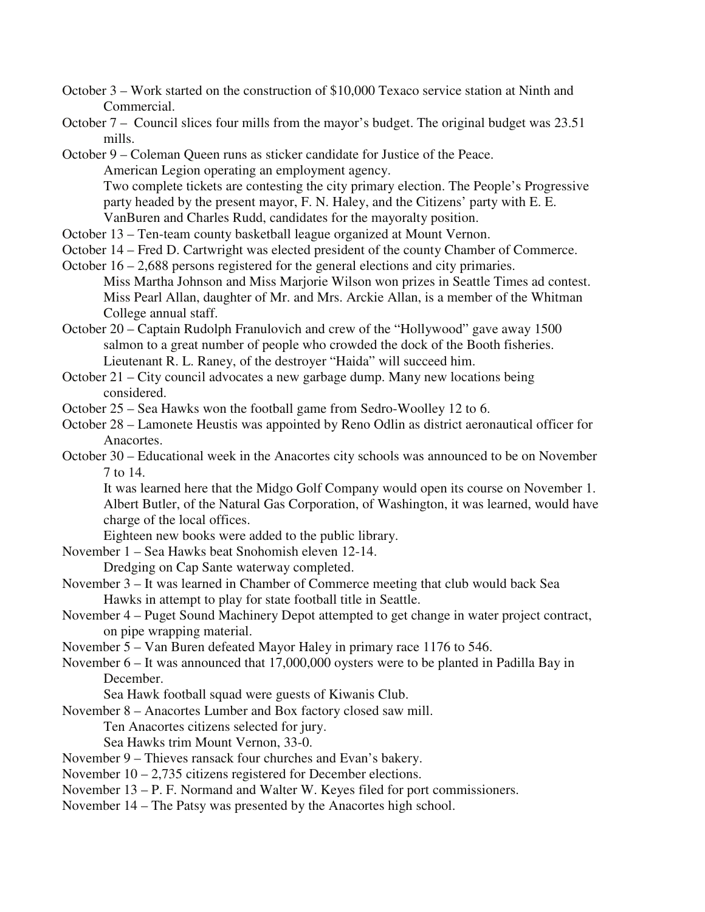- October 3 Work started on the construction of \$10,000 Texaco service station at Ninth and Commercial.
- October 7 Council slices four mills from the mayor's budget. The original budget was 23.51 mills.

October 9 – Coleman Queen runs as sticker candidate for Justice of the Peace. American Legion operating an employment agency. Two complete tickets are contesting the city primary election. The People's Progressive party headed by the present mayor, F. N. Haley, and the Citizens' party with E. E. VanBuren and Charles Rudd, candidates for the mayoralty position.

- October 13 Ten-team county basketball league organized at Mount Vernon.
- October 14 Fred D. Cartwright was elected president of the county Chamber of Commerce.

October 16 – 2,688 persons registered for the general elections and city primaries. Miss Martha Johnson and Miss Marjorie Wilson won prizes in Seattle Times ad contest. Miss Pearl Allan, daughter of Mr. and Mrs. Arckie Allan, is a member of the Whitman College annual staff.

- October 20 Captain Rudolph Franulovich and crew of the "Hollywood" gave away 1500 salmon to a great number of people who crowded the dock of the Booth fisheries. Lieutenant R. L. Raney, of the destroyer "Haida" will succeed him.
- October 21 City council advocates a new garbage dump. Many new locations being considered.
- October 25 Sea Hawks won the football game from Sedro-Woolley 12 to 6.
- October 28 Lamonete Heustis was appointed by Reno Odlin as district aeronautical officer for Anacortes.
- October 30 Educational week in the Anacortes city schools was announced to be on November 7 to 14.

It was learned here that the Midgo Golf Company would open its course on November 1. Albert Butler, of the Natural Gas Corporation, of Washington, it was learned, would have charge of the local offices.

Eighteen new books were added to the public library.

November 1 – Sea Hawks beat Snohomish eleven 12-14.

Dredging on Cap Sante waterway completed.

- November 3 It was learned in Chamber of Commerce meeting that club would back Sea Hawks in attempt to play for state football title in Seattle.
- November 4 Puget Sound Machinery Depot attempted to get change in water project contract, on pipe wrapping material.
- November 5 Van Buren defeated Mayor Haley in primary race 1176 to 546.
- November 6 It was announced that 17,000,000 oysters were to be planted in Padilla Bay in December.

Sea Hawk football squad were guests of Kiwanis Club.

- November 8 Anacortes Lumber and Box factory closed saw mill.
	- Ten Anacortes citizens selected for jury.

Sea Hawks trim Mount Vernon, 33-0.

- November 9 Thieves ransack four churches and Evan's bakery.
- November 10 2,735 citizens registered for December elections.
- November 13 P. F. Normand and Walter W. Keyes filed for port commissioners.
- November 14 The Patsy was presented by the Anacortes high school.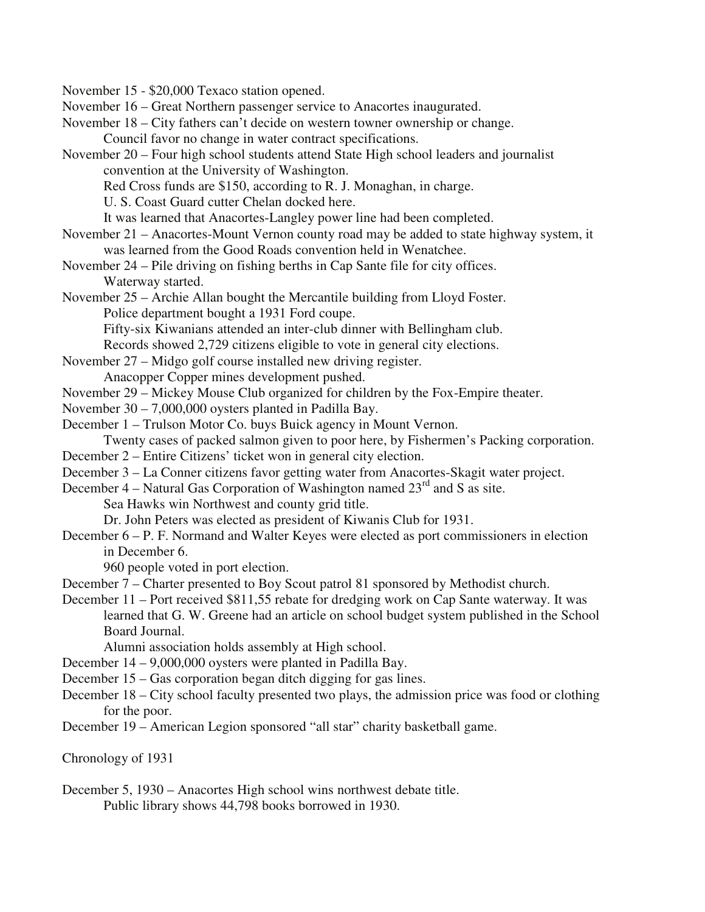November 15 - \$20,000 Texaco station opened.

- November 16 Great Northern passenger service to Anacortes inaugurated.
- November 18 City fathers can't decide on western towner ownership or change.
	- Council favor no change in water contract specifications.
- November 20 Four high school students attend State High school leaders and journalist convention at the University of Washington.
	- Red Cross funds are \$150, according to R. J. Monaghan, in charge.
	- U. S. Coast Guard cutter Chelan docked here.
	- It was learned that Anacortes-Langley power line had been completed.
- November 21 Anacortes-Mount Vernon county road may be added to state highway system, it was learned from the Good Roads convention held in Wenatchee.
- November 24 Pile driving on fishing berths in Cap Sante file for city offices. Waterway started.
- November 25 Archie Allan bought the Mercantile building from Lloyd Foster. Police department bought a 1931 Ford coupe.
	- Fifty-six Kiwanians attended an inter-club dinner with Bellingham club.
	- Records showed 2,729 citizens eligible to vote in general city elections.
- November 27 Midgo golf course installed new driving register.
	- Anacopper Copper mines development pushed.
- November 29 Mickey Mouse Club organized for children by the Fox-Empire theater.
- November 30 7,000,000 oysters planted in Padilla Bay.
- December 1 Trulson Motor Co. buys Buick agency in Mount Vernon. Twenty cases of packed salmon given to poor here, by Fishermen's Packing corporation.
- December 2 Entire Citizens' ticket won in general city election.
- December 3 La Conner citizens favor getting water from Anacortes-Skagit water project.
- December 4 Natural Gas Corporation of Washington named  $23<sup>rd</sup>$  and S as site.
	- Sea Hawks win Northwest and county grid title.
	- Dr. John Peters was elected as president of Kiwanis Club for 1931.
- December 6 P. F. Normand and Walter Keyes were elected as port commissioners in election in December 6.

960 people voted in port election.

- December 7 Charter presented to Boy Scout patrol 81 sponsored by Methodist church.
- December 11 Port received \$811,55 rebate for dredging work on Cap Sante waterway. It was learned that G. W. Greene had an article on school budget system published in the School Board Journal.

Alumni association holds assembly at High school.

- December 14 9,000,000 oysters were planted in Padilla Bay.
- December 15 Gas corporation began ditch digging for gas lines.
- December 18 City school faculty presented two plays, the admission price was food or clothing for the poor.
- December 19 American Legion sponsored "all star" charity basketball game.

Chronology of 1931

December 5, 1930 – Anacortes High school wins northwest debate title. Public library shows 44,798 books borrowed in 1930.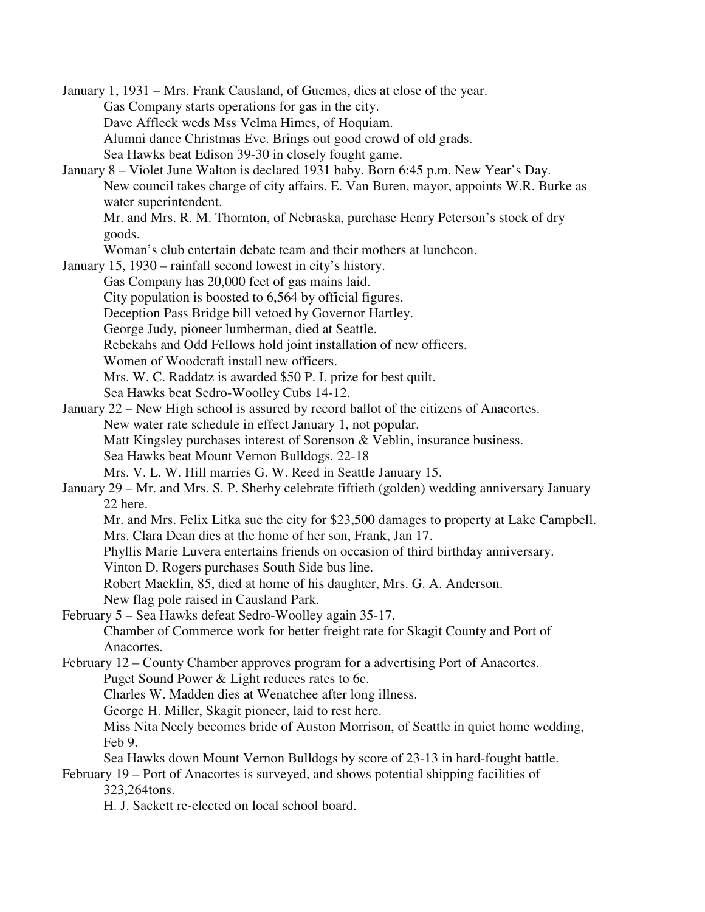January 1, 1931 – Mrs. Frank Causland, of Guemes, dies at close of the year. Gas Company starts operations for gas in the city. Dave Affleck weds Mss Velma Himes, of Hoquiam. Alumni dance Christmas Eve. Brings out good crowd of old grads. Sea Hawks beat Edison 39-30 in closely fought game. January 8 – Violet June Walton is declared 1931 baby. Born 6:45 p.m. New Year's Day. New council takes charge of city affairs. E. Van Buren, mayor, appoints W.R. Burke as water superintendent. Mr. and Mrs. R. M. Thornton, of Nebraska, purchase Henry Peterson's stock of dry goods. Woman's club entertain debate team and their mothers at luncheon. January 15, 1930 – rainfall second lowest in city's history. Gas Company has 20,000 feet of gas mains laid. City population is boosted to 6,564 by official figures. Deception Pass Bridge bill vetoed by Governor Hartley. George Judy, pioneer lumberman, died at Seattle. Rebekahs and Odd Fellows hold joint installation of new officers. Women of Woodcraft install new officers. Mrs. W. C. Raddatz is awarded \$50 P. I. prize for best quilt. Sea Hawks beat Sedro-Woolley Cubs 14-12. January 22 – New High school is assured by record ballot of the citizens of Anacortes. New water rate schedule in effect January 1, not popular. Matt Kingsley purchases interest of Sorenson & Veblin, insurance business. Sea Hawks beat Mount Vernon Bulldogs. 22-18 Mrs. V. L. W. Hill marries G. W. Reed in Seattle January 15. January 29 – Mr. and Mrs. S. P. Sherby celebrate fiftieth (golden) wedding anniversary January 22 here. Mr. and Mrs. Felix Litka sue the city for \$23,500 damages to property at Lake Campbell. Mrs. Clara Dean dies at the home of her son, Frank, Jan 17. Phyllis Marie Luvera entertains friends on occasion of third birthday anniversary. Vinton D. Rogers purchases South Side bus line. Robert Macklin, 85, died at home of his daughter, Mrs. G. A. Anderson. New flag pole raised in Causland Park. February 5 – Sea Hawks defeat Sedro-Woolley again 35-17. Chamber of Commerce work for better freight rate for Skagit County and Port of Anacortes. February 12 – County Chamber approves program for a advertising Port of Anacortes. Puget Sound Power & Light reduces rates to 6c. Charles W. Madden dies at Wenatchee after long illness. George H. Miller, Skagit pioneer, laid to rest here. Miss Nita Neely becomes bride of Auston Morrison, of Seattle in quiet home wedding, Feb 9. Sea Hawks down Mount Vernon Bulldogs by score of 23-13 in hard-fought battle. February 19 – Port of Anacortes is surveyed, and shows potential shipping facilities of 323,264tons. H. J. Sackett re-elected on local school board.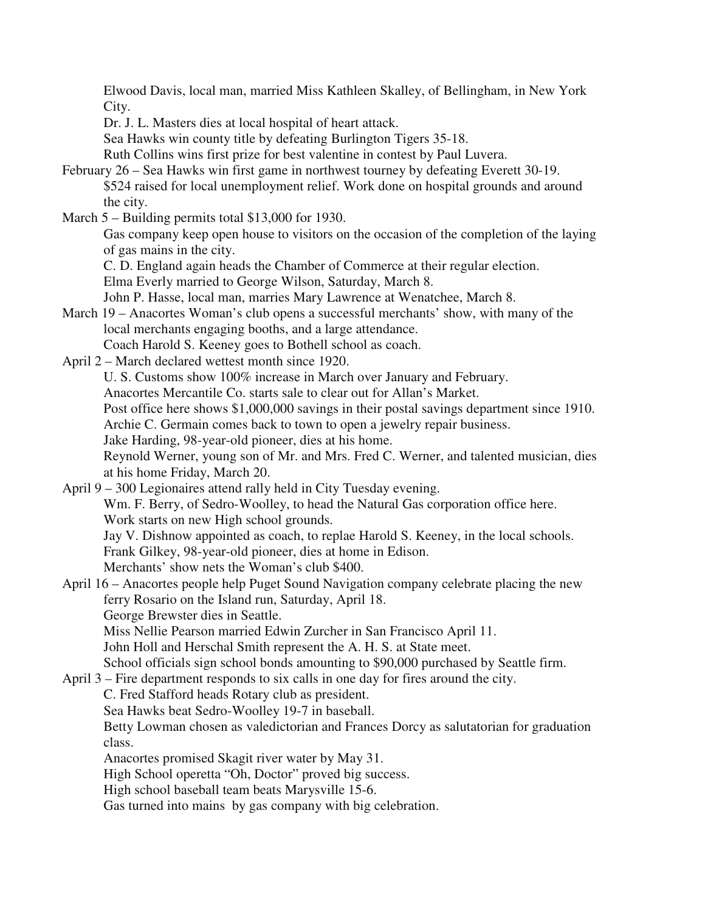Elwood Davis, local man, married Miss Kathleen Skalley, of Bellingham, in New York City.

Dr. J. L. Masters dies at local hospital of heart attack.

Sea Hawks win county title by defeating Burlington Tigers 35-18.

Ruth Collins wins first prize for best valentine in contest by Paul Luvera.

- February 26 Sea Hawks win first game in northwest tourney by defeating Everett 30-19. \$524 raised for local unemployment relief. Work done on hospital grounds and around the city.
- March 5 Building permits total \$13,000 for 1930.

 Gas company keep open house to visitors on the occasion of the completion of the laying of gas mains in the city.

C. D. England again heads the Chamber of Commerce at their regular election.

Elma Everly married to George Wilson, Saturday, March 8.

John P. Hasse, local man, marries Mary Lawrence at Wenatchee, March 8.

March 19 – Anacortes Woman's club opens a successful merchants' show, with many of the local merchants engaging booths, and a large attendance.

Coach Harold S. Keeney goes to Bothell school as coach.

April 2 – March declared wettest month since 1920.

U. S. Customs show 100% increase in March over January and February.

Anacortes Mercantile Co. starts sale to clear out for Allan's Market.

Post office here shows \$1,000,000 savings in their postal savings department since 1910.

Archie C. Germain comes back to town to open a jewelry repair business.

Jake Harding, 98-year-old pioneer, dies at his home.

 Reynold Werner, young son of Mr. and Mrs. Fred C. Werner, and talented musician, dies at his home Friday, March 20.

April 9 – 300 Legionaires attend rally held in City Tuesday evening. Wm. F. Berry, of Sedro-Woolley, to head the Natural Gas corporation office here. Work starts on new High school grounds. Jay V. Dishnow appointed as coach, to replae Harold S. Keeney, in the local schools.

Frank Gilkey, 98-year-old pioneer, dies at home in Edison.

Merchants' show nets the Woman's club \$400.

April 16 – Anacortes people help Puget Sound Navigation company celebrate placing the new ferry Rosario on the Island run, Saturday, April 18.

George Brewster dies in Seattle.

Miss Nellie Pearson married Edwin Zurcher in San Francisco April 11.

John Holl and Herschal Smith represent the A. H. S. at State meet.

School officials sign school bonds amounting to \$90,000 purchased by Seattle firm.

April 3 – Fire department responds to six calls in one day for fires around the city.

C. Fred Stafford heads Rotary club as president.

Sea Hawks beat Sedro-Woolley 19-7 in baseball.

 Betty Lowman chosen as valedictorian and Frances Dorcy as salutatorian for graduation class.

Anacortes promised Skagit river water by May 31.

High School operetta "Oh, Doctor" proved big success.

High school baseball team beats Marysville 15-6.

Gas turned into mains by gas company with big celebration.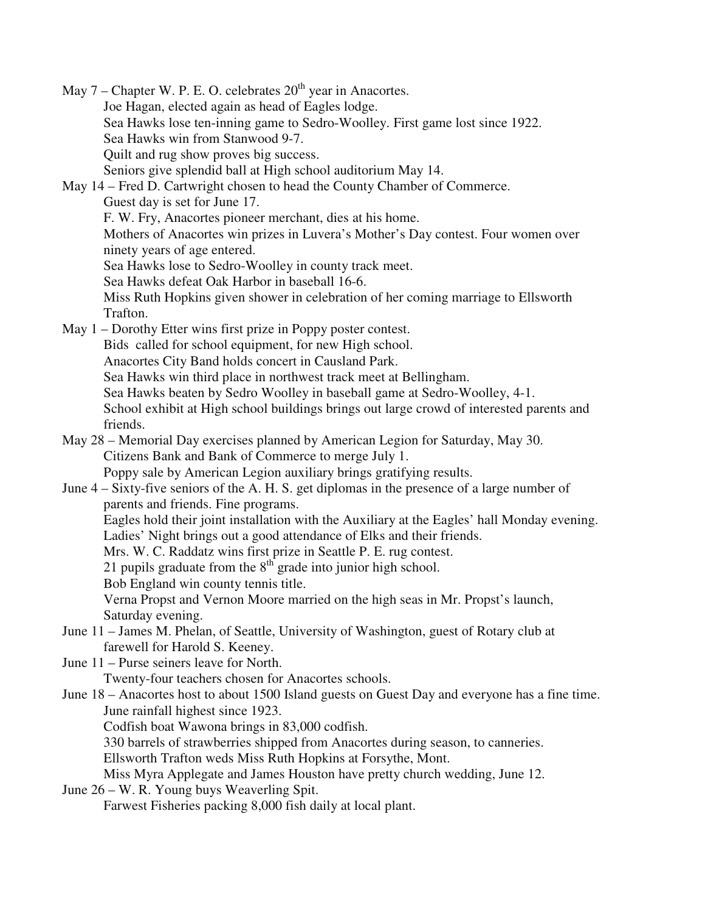May  $7$  – Chapter W. P. E. O. celebrates  $20<sup>th</sup>$  year in Anacortes. Joe Hagan, elected again as head of Eagles lodge. Sea Hawks lose ten-inning game to Sedro-Woolley. First game lost since 1922. Sea Hawks win from Stanwood 9-7. Quilt and rug show proves big success. Seniors give splendid ball at High school auditorium May 14. May 14 – Fred D. Cartwright chosen to head the County Chamber of Commerce. Guest day is set for June 17. F. W. Fry, Anacortes pioneer merchant, dies at his home. Mothers of Anacortes win prizes in Luvera's Mother's Day contest. Four women over ninety years of age entered. Sea Hawks lose to Sedro-Woolley in county track meet. Sea Hawks defeat Oak Harbor in baseball 16-6. Miss Ruth Hopkins given shower in celebration of her coming marriage to Ellsworth Trafton. May 1 – Dorothy Etter wins first prize in Poppy poster contest. Bids called for school equipment, for new High school. Anacortes City Band holds concert in Causland Park. Sea Hawks win third place in northwest track meet at Bellingham. Sea Hawks beaten by Sedro Woolley in baseball game at Sedro-Woolley, 4-1. School exhibit at High school buildings brings out large crowd of interested parents and friends. May 28 – Memorial Day exercises planned by American Legion for Saturday, May 30. Citizens Bank and Bank of Commerce to merge July 1. Poppy sale by American Legion auxiliary brings gratifying results. June 4 – Sixty-five seniors of the A. H. S. get diplomas in the presence of a large number of parents and friends. Fine programs. Eagles hold their joint installation with the Auxiliary at the Eagles' hall Monday evening. Ladies' Night brings out a good attendance of Elks and their friends. Mrs. W. C. Raddatz wins first prize in Seattle P. E. rug contest. 21 pupils graduate from the  $8<sup>th</sup>$  grade into junior high school. Bob England win county tennis title. Verna Propst and Vernon Moore married on the high seas in Mr. Propst's launch, Saturday evening. June 11 – James M. Phelan, of Seattle, University of Washington, guest of Rotary club at farewell for Harold S. Keeney. June 11 – Purse seiners leave for North. Twenty-four teachers chosen for Anacortes schools. June 18 – Anacortes host to about 1500 Island guests on Guest Day and everyone has a fine time. June rainfall highest since 1923. Codfish boat Wawona brings in 83,000 codfish. 330 barrels of strawberries shipped from Anacortes during season, to canneries. Ellsworth Trafton weds Miss Ruth Hopkins at Forsythe, Mont. Miss Myra Applegate and James Houston have pretty church wedding, June 12. June 26 – W. R. Young buys Weaverling Spit. Farwest Fisheries packing 8,000 fish daily at local plant.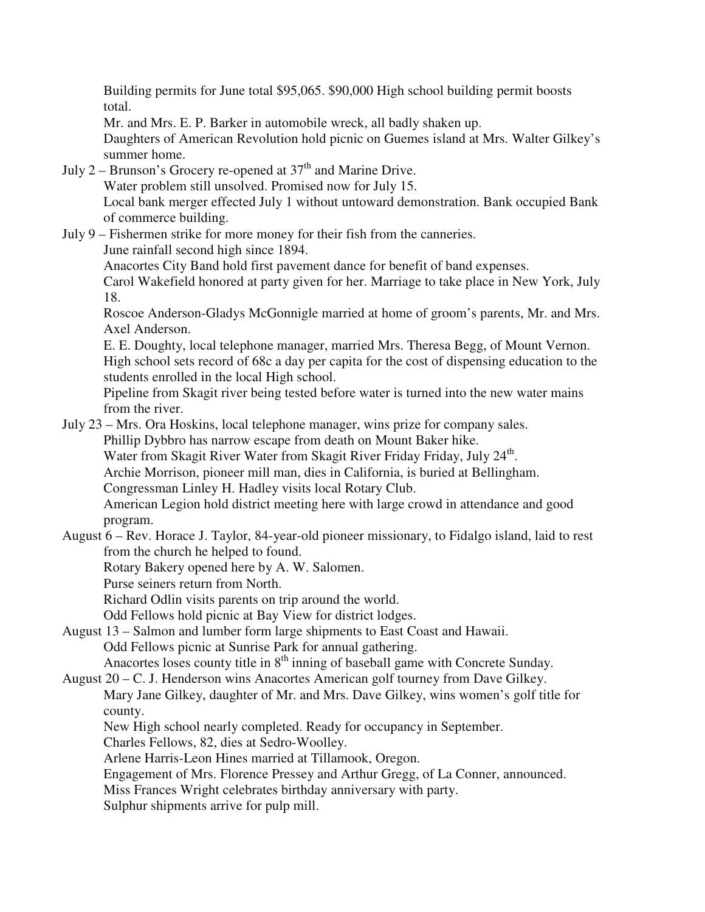Building permits for June total \$95,065. \$90,000 High school building permit boosts total.

Mr. and Mrs. E. P. Barker in automobile wreck, all badly shaken up.

 Daughters of American Revolution hold picnic on Guemes island at Mrs. Walter Gilkey's summer home.

- July 2 Brunson's Grocery re-opened at  $37<sup>th</sup>$  and Marine Drive. Water problem still unsolved. Promised now for July 15. Local bank merger effected July 1 without untoward demonstration. Bank occupied Bank of commerce building.
- July 9 Fishermen strike for more money for their fish from the canneries. June rainfall second high since 1894.

Anacortes City Band hold first pavement dance for benefit of band expenses.

 Carol Wakefield honored at party given for her. Marriage to take place in New York, July 18.

 Roscoe Anderson-Gladys McGonnigle married at home of groom's parents, Mr. and Mrs. Axel Anderson.

 E. E. Doughty, local telephone manager, married Mrs. Theresa Begg, of Mount Vernon. High school sets record of 68c a day per capita for the cost of dispensing education to the students enrolled in the local High school.

 Pipeline from Skagit river being tested before water is turned into the new water mains from the river.

July 23 – Mrs. Ora Hoskins, local telephone manager, wins prize for company sales.

Phillip Dybbro has narrow escape from death on Mount Baker hike.

Water from Skagit River Water from Skagit River Friday Friday, July 24<sup>th</sup>.

Archie Morrison, pioneer mill man, dies in California, is buried at Bellingham.

Congressman Linley H. Hadley visits local Rotary Club.

 American Legion hold district meeting here with large crowd in attendance and good program.

August 6 – Rev. Horace J. Taylor, 84-year-old pioneer missionary, to Fidalgo island, laid to rest from the church he helped to found.

Rotary Bakery opened here by A. W. Salomen.

Purse seiners return from North.

Richard Odlin visits parents on trip around the world.

Odd Fellows hold picnic at Bay View for district lodges.

August 13 – Salmon and lumber form large shipments to East Coast and Hawaii. Odd Fellows picnic at Sunrise Park for annual gathering.

Anacortes loses county title in  $8<sup>th</sup>$  inning of baseball game with Concrete Sunday. August 20 – C. J. Henderson wins Anacortes American golf tourney from Dave Gilkey.

 Mary Jane Gilkey, daughter of Mr. and Mrs. Dave Gilkey, wins women's golf title for county.

New High school nearly completed. Ready for occupancy in September.

Charles Fellows, 82, dies at Sedro-Woolley.

Arlene Harris-Leon Hines married at Tillamook, Oregon.

Engagement of Mrs. Florence Pressey and Arthur Gregg, of La Conner, announced.

Miss Frances Wright celebrates birthday anniversary with party.

Sulphur shipments arrive for pulp mill.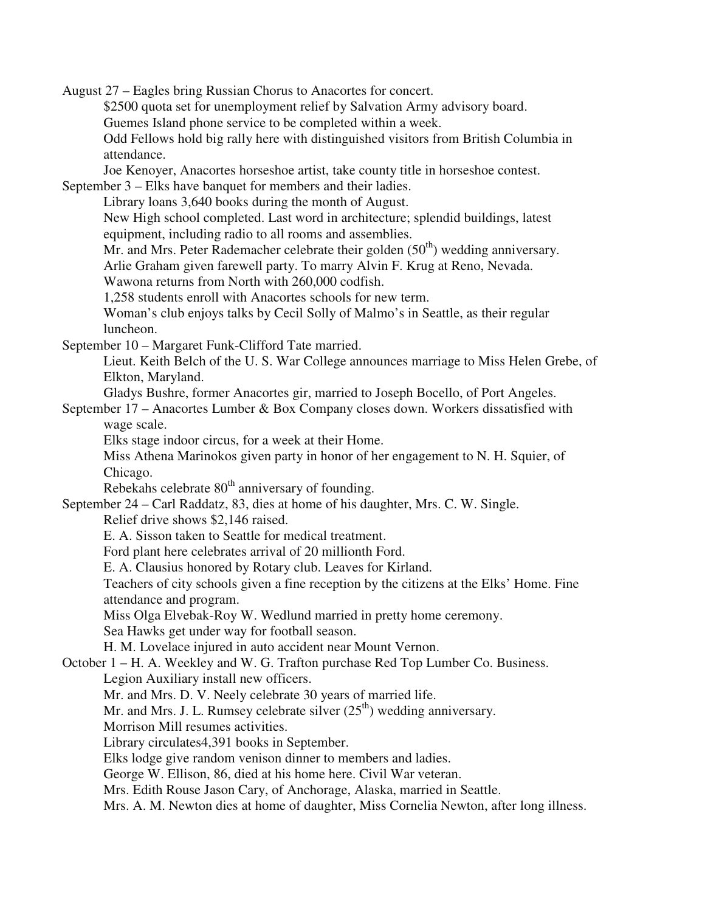August 27 – Eagles bring Russian Chorus to Anacortes for concert. \$2500 quota set for unemployment relief by Salvation Army advisory board. Guemes Island phone service to be completed within a week. Odd Fellows hold big rally here with distinguished visitors from British Columbia in attendance. Joe Kenoyer, Anacortes horseshoe artist, take county title in horseshoe contest. September 3 – Elks have banquet for members and their ladies. Library loans 3,640 books during the month of August. New High school completed. Last word in architecture; splendid buildings, latest equipment, including radio to all rooms and assemblies. Mr. and Mrs. Peter Rademacher celebrate their golden  $(50<sup>th</sup>)$  wedding anniversary. Arlie Graham given farewell party. To marry Alvin F. Krug at Reno, Nevada. Wawona returns from North with 260,000 codfish. 1,258 students enroll with Anacortes schools for new term. Woman's club enjoys talks by Cecil Solly of Malmo's in Seattle, as their regular luncheon. September 10 – Margaret Funk-Clifford Tate married. Lieut. Keith Belch of the U. S. War College announces marriage to Miss Helen Grebe, of Elkton, Maryland. Gladys Bushre, former Anacortes gir, married to Joseph Bocello, of Port Angeles. September 17 – Anacortes Lumber & Box Company closes down. Workers dissatisfied with wage scale. Elks stage indoor circus, for a week at their Home. Miss Athena Marinokos given party in honor of her engagement to N. H. Squier, of Chicago. Rebekahs celebrate  $80<sup>th</sup>$  anniversary of founding. September 24 – Carl Raddatz, 83, dies at home of his daughter, Mrs. C. W. Single. Relief drive shows \$2,146 raised. E. A. Sisson taken to Seattle for medical treatment. Ford plant here celebrates arrival of 20 millionth Ford. E. A. Clausius honored by Rotary club. Leaves for Kirland. Teachers of city schools given a fine reception by the citizens at the Elks' Home. Fine attendance and program. Miss Olga Elvebak-Roy W. Wedlund married in pretty home ceremony. Sea Hawks get under way for football season. H. M. Lovelace injured in auto accident near Mount Vernon. October 1 – H. A. Weekley and W. G. Trafton purchase Red Top Lumber Co. Business. Legion Auxiliary install new officers. Mr. and Mrs. D. V. Neely celebrate 30 years of married life. Mr. and Mrs. J. L. Rumsey celebrate silver  $(25<sup>th</sup>)$  wedding anniversary. Morrison Mill resumes activities. Library circulates4,391 books in September. Elks lodge give random venison dinner to members and ladies. George W. Ellison, 86, died at his home here. Civil War veteran. Mrs. Edith Rouse Jason Cary, of Anchorage, Alaska, married in Seattle. Mrs. A. M. Newton dies at home of daughter, Miss Cornelia Newton, after long illness.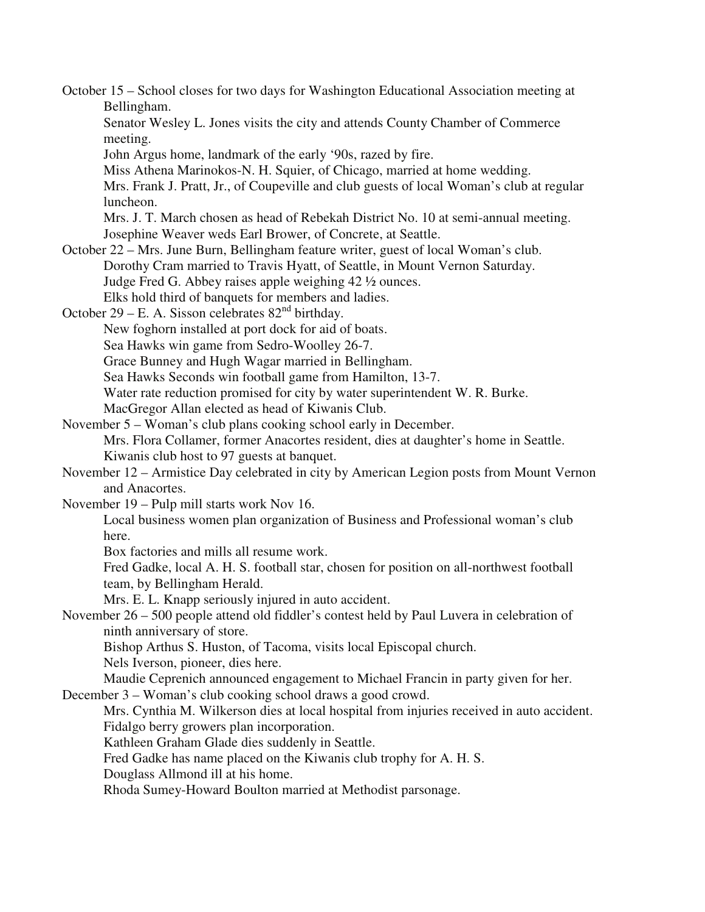October 15 – School closes for two days for Washington Educational Association meeting at Bellingham. Senator Wesley L. Jones visits the city and attends County Chamber of Commerce meeting. John Argus home, landmark of the early '90s, razed by fire. Miss Athena Marinokos-N. H. Squier, of Chicago, married at home wedding. Mrs. Frank J. Pratt, Jr., of Coupeville and club guests of local Woman's club at regular luncheon. Mrs. J. T. March chosen as head of Rebekah District No. 10 at semi-annual meeting. Josephine Weaver weds Earl Brower, of Concrete, at Seattle. October 22 – Mrs. June Burn, Bellingham feature writer, guest of local Woman's club. Dorothy Cram married to Travis Hyatt, of Seattle, in Mount Vernon Saturday. Judge Fred G. Abbey raises apple weighing 42 ½ ounces. Elks hold third of banquets for members and ladies. October 29 – E. A. Sisson celebrates  $82<sup>nd</sup>$  birthday. New foghorn installed at port dock for aid of boats. Sea Hawks win game from Sedro-Woolley 26-7. Grace Bunney and Hugh Wagar married in Bellingham. Sea Hawks Seconds win football game from Hamilton, 13-7. Water rate reduction promised for city by water superintendent W. R. Burke. MacGregor Allan elected as head of Kiwanis Club. November 5 – Woman's club plans cooking school early in December. Mrs. Flora Collamer, former Anacortes resident, dies at daughter's home in Seattle. Kiwanis club host to 97 guests at banquet. November 12 – Armistice Day celebrated in city by American Legion posts from Mount Vernon and Anacortes. November 19 – Pulp mill starts work Nov 16. Local business women plan organization of Business and Professional woman's club here. Box factories and mills all resume work. Fred Gadke, local A. H. S. football star, chosen for position on all-northwest football team, by Bellingham Herald. Mrs. E. L. Knapp seriously injured in auto accident. November 26 – 500 people attend old fiddler's contest held by Paul Luvera in celebration of ninth anniversary of store. Bishop Arthus S. Huston, of Tacoma, visits local Episcopal church. Nels Iverson, pioneer, dies here. Maudie Ceprenich announced engagement to Michael Francin in party given for her. December 3 – Woman's club cooking school draws a good crowd. Mrs. Cynthia M. Wilkerson dies at local hospital from injuries received in auto accident. Fidalgo berry growers plan incorporation. Kathleen Graham Glade dies suddenly in Seattle. Fred Gadke has name placed on the Kiwanis club trophy for A. H. S. Douglass Allmond ill at his home. Rhoda Sumey-Howard Boulton married at Methodist parsonage.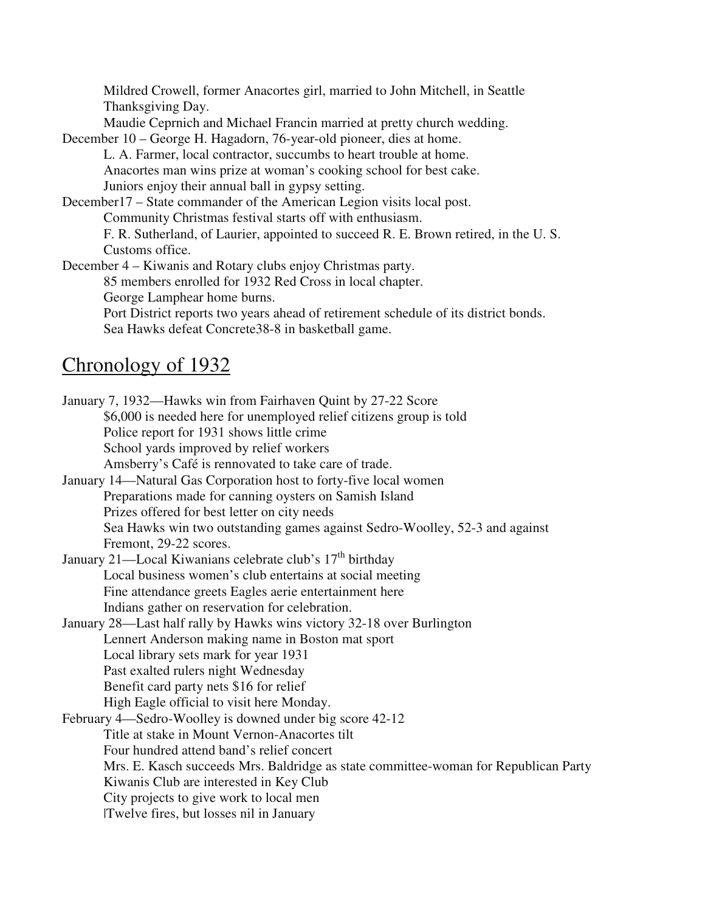Mildred Crowell, former Anacortes girl, married to John Mitchell, in Seattle Thanksgiving Day.

Maudie Ceprnich and Michael Francin married at pretty church wedding.

December 10 – George H. Hagadorn, 76-year-old pioneer, dies at home.

 L. A. Farmer, local contractor, succumbs to heart trouble at home. Anacortes man wins prize at woman's cooking school for best cake. Juniors enjoy their annual ball in gypsy setting.

December17 – State commander of the American Legion visits local post. Community Christmas festival starts off with enthusiasm.

 F. R. Sutherland, of Laurier, appointed to succeed R. E. Brown retired, in the U. S. Customs office.

December 4 – Kiwanis and Rotary clubs enjoy Christmas party.

85 members enrolled for 1932 Red Cross in local chapter.

George Lamphear home burns.

 Port District reports two years ahead of retirement schedule of its district bonds. Sea Hawks defeat Concrete38-8 in basketball game.

# Chronology of 1932

January 7, 1932—Hawks win from Fairhaven Quint by 27-22 Score \$6,000 is needed here for unemployed relief citizens group is told Police report for 1931 shows little crime School yards improved by relief workers Amsberry's Café is rennovated to take care of trade. January 14—Natural Gas Corporation host to forty-five local women Preparations made for canning oysters on Samish Island Prizes offered for best letter on city needs Sea Hawks win two outstanding games against Sedro-Woolley, 52-3 and against Fremont, 29-22 scores. January 21—Local Kiwanians celebrate club's 17<sup>th</sup> birthday Local business women's club entertains at social meeting Fine attendance greets Eagles aerie entertainment here Indians gather on reservation for celebration. January 28—Last half rally by Hawks wins victory 32-18 over Burlington Lennert Anderson making name in Boston mat sport Local library sets mark for year 1931 Past exalted rulers night Wednesday Benefit card party nets \$16 for relief High Eagle official to visit here Monday. February 4—Sedro-Woolley is downed under big score 42-12 Title at stake in Mount Vernon-Anacortes tilt Four hundred attend band's relief concert Mrs. E. Kasch succeeds Mrs. Baldridge as state committee-woman for Republican Party Kiwanis Club are interested in Key Club City projects to give work to local men |Twelve fires, but losses nil in January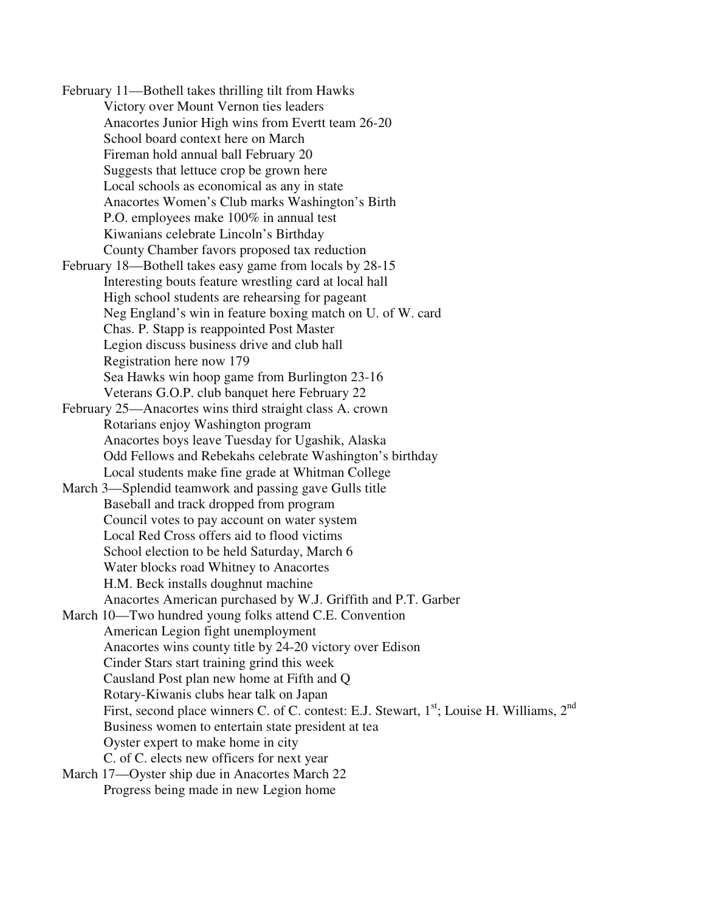February 11—Bothell takes thrilling tilt from Hawks Victory over Mount Vernon ties leaders Anacortes Junior High wins from Evertt team 26-20 School board context here on March Fireman hold annual ball February 20 Suggests that lettuce crop be grown here Local schools as economical as any in state Anacortes Women's Club marks Washington's Birth P.O. employees make 100% in annual test Kiwanians celebrate Lincoln's Birthday County Chamber favors proposed tax reduction February 18—Bothell takes easy game from locals by 28-15 Interesting bouts feature wrestling card at local hall High school students are rehearsing for pageant Neg England's win in feature boxing match on U. of W. card Chas. P. Stapp is reappointed Post Master Legion discuss business drive and club hall

Registration here now 179 Sea Hawks win hoop game from Burlington 23-16 Veterans G.O.P. club banquet here February 22

February 25—Anacortes wins third straight class A. crown Rotarians enjoy Washington program Anacortes boys leave Tuesday for Ugashik, Alaska Odd Fellows and Rebekahs celebrate Washington's birthday Local students make fine grade at Whitman College

March 3—Splendid teamwork and passing gave Gulls title Baseball and track dropped from program Council votes to pay account on water system Local Red Cross offers aid to flood victims School election to be held Saturday, March 6 Water blocks road Whitney to Anacortes H.M. Beck installs doughnut machine Anacortes American purchased by W.J. Griffith and P.T. Garber

March 10—Two hundred young folks attend C.E. Convention American Legion fight unemployment Anacortes wins county title by 24-20 victory over Edison Cinder Stars start training grind this week Causland Post plan new home at Fifth and Q Rotary-Kiwanis clubs hear talk on Japan First, second place winners C. of C. contest: E.J. Stewart,  $1<sup>st</sup>$ ; Louise H. Williams,  $2<sup>nd</sup>$ Business women to entertain state president at tea Oyster expert to make home in city C. of C. elects new officers for next year

March 17—Oyster ship due in Anacortes March 22 Progress being made in new Legion home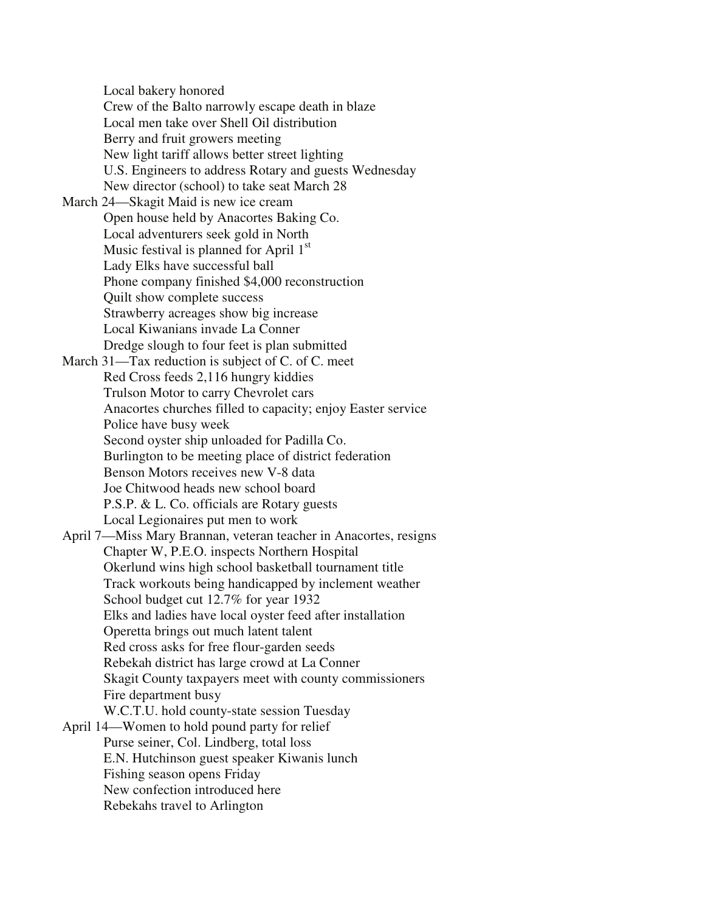Local bakery honored Crew of the Balto narrowly escape death in blaze Local men take over Shell Oil distribution Berry and fruit growers meeting New light tariff allows better street lighting U.S. Engineers to address Rotary and guests Wednesday New director (school) to take seat March 28 March 24—Skagit Maid is new ice cream Open house held by Anacortes Baking Co. Local adventurers seek gold in North Music festival is planned for April  $1<sup>st</sup>$ Lady Elks have successful ball Phone company finished \$4,000 reconstruction Quilt show complete success Strawberry acreages show big increase Local Kiwanians invade La Conner Dredge slough to four feet is plan submitted March 31—Tax reduction is subject of C. of C. meet Red Cross feeds 2,116 hungry kiddies Trulson Motor to carry Chevrolet cars Anacortes churches filled to capacity; enjoy Easter service Police have busy week Second oyster ship unloaded for Padilla Co. Burlington to be meeting place of district federation Benson Motors receives new V-8 data Joe Chitwood heads new school board P.S.P. & L. Co. officials are Rotary guests Local Legionaires put men to work April 7—Miss Mary Brannan, veteran teacher in Anacortes, resigns Chapter W, P.E.O. inspects Northern Hospital Okerlund wins high school basketball tournament title Track workouts being handicapped by inclement weather School budget cut 12.7% for year 1932 Elks and ladies have local oyster feed after installation Operetta brings out much latent talent Red cross asks for free flour-garden seeds Rebekah district has large crowd at La Conner Skagit County taxpayers meet with county commissioners Fire department busy W.C.T.U. hold county-state session Tuesday April 14—Women to hold pound party for relief Purse seiner, Col. Lindberg, total loss E.N. Hutchinson guest speaker Kiwanis lunch Fishing season opens Friday New confection introduced here Rebekahs travel to Arlington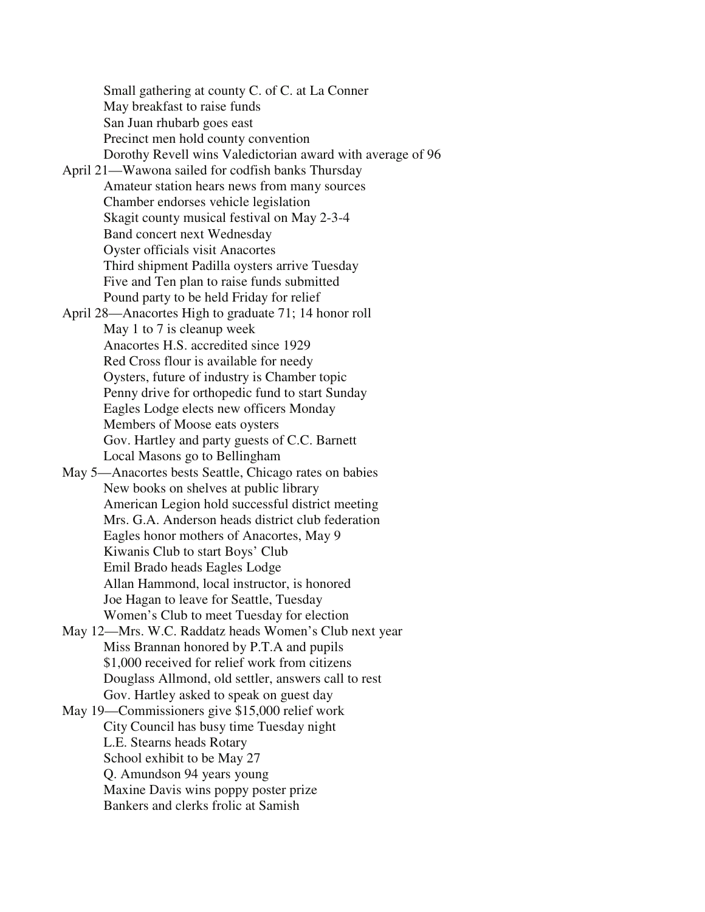Small gathering at county C. of C. at La Conner May breakfast to raise funds San Juan rhubarb goes east Precinct men hold county convention Dorothy Revell wins Valedictorian award with average of 96 April 21—Wawona sailed for codfish banks Thursday Amateur station hears news from many sources Chamber endorses vehicle legislation Skagit county musical festival on May 2-3-4 Band concert next Wednesday Oyster officials visit Anacortes Third shipment Padilla oysters arrive Tuesday Five and Ten plan to raise funds submitted Pound party to be held Friday for relief April 28—Anacortes High to graduate 71; 14 honor roll May 1 to 7 is cleanup week Anacortes H.S. accredited since 1929 Red Cross flour is available for needy Oysters, future of industry is Chamber topic Penny drive for orthopedic fund to start Sunday Eagles Lodge elects new officers Monday Members of Moose eats oysters Gov. Hartley and party guests of C.C. Barnett Local Masons go to Bellingham May 5—Anacortes bests Seattle, Chicago rates on babies New books on shelves at public library American Legion hold successful district meeting Mrs. G.A. Anderson heads district club federation Eagles honor mothers of Anacortes, May 9 Kiwanis Club to start Boys' Club Emil Brado heads Eagles Lodge Allan Hammond, local instructor, is honored Joe Hagan to leave for Seattle, Tuesday Women's Club to meet Tuesday for election May 12—Mrs. W.C. Raddatz heads Women's Club next year Miss Brannan honored by P.T.A and pupils \$1,000 received for relief work from citizens Douglass Allmond, old settler, answers call to rest Gov. Hartley asked to speak on guest day May 19—Commissioners give \$15,000 relief work City Council has busy time Tuesday night L.E. Stearns heads Rotary School exhibit to be May 27 Q. Amundson 94 years young Maxine Davis wins poppy poster prize Bankers and clerks frolic at Samish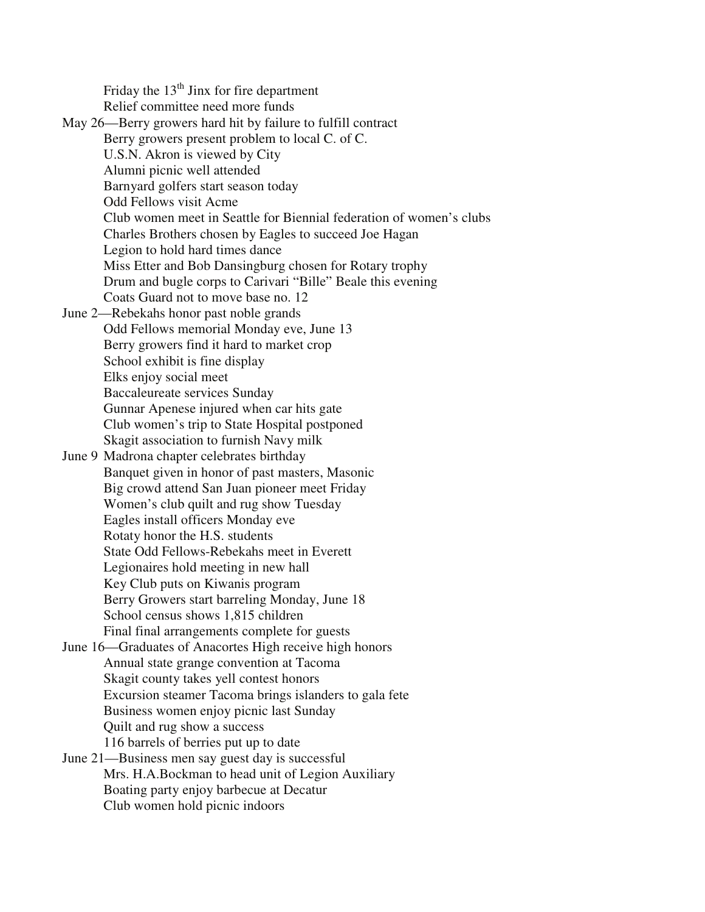Friday the  $13<sup>th</sup>$  Jinx for fire department Relief committee need more funds

May 26—Berry growers hard hit by failure to fulfill contract Berry growers present problem to local C. of C. U.S.N. Akron is viewed by City Alumni picnic well attended Barnyard golfers start season today Odd Fellows visit Acme Club women meet in Seattle for Biennial federation of women's clubs Charles Brothers chosen by Eagles to succeed Joe Hagan Legion to hold hard times dance Miss Etter and Bob Dansingburg chosen for Rotary trophy Drum and bugle corps to Carivari "Bille" Beale this evening Coats Guard not to move base no. 12 June 2—Rebekahs honor past noble grands Odd Fellows memorial Monday eve, June 13 Berry growers find it hard to market crop School exhibit is fine display Elks enjoy social meet Baccaleureate services Sunday Gunnar Apenese injured when car hits gate Club women's trip to State Hospital postponed Skagit association to furnish Navy milk June 9 Madrona chapter celebrates birthday Banquet given in honor of past masters, Masonic Big crowd attend San Juan pioneer meet Friday Women's club quilt and rug show Tuesday Eagles install officers Monday eve Rotaty honor the H.S. students State Odd Fellows-Rebekahs meet in Everett Legionaires hold meeting in new hall Key Club puts on Kiwanis program Berry Growers start barreling Monday, June 18 School census shows 1,815 children Final final arrangements complete for guests June 16—Graduates of Anacortes High receive high honors Annual state grange convention at Tacoma Skagit county takes yell contest honors Excursion steamer Tacoma brings islanders to gala fete Business women enjoy picnic last Sunday Quilt and rug show a success 116 barrels of berries put up to date June 21—Business men say guest day is successful Mrs. H.A.Bockman to head unit of Legion Auxiliary Boating party enjoy barbecue at Decatur Club women hold picnic indoors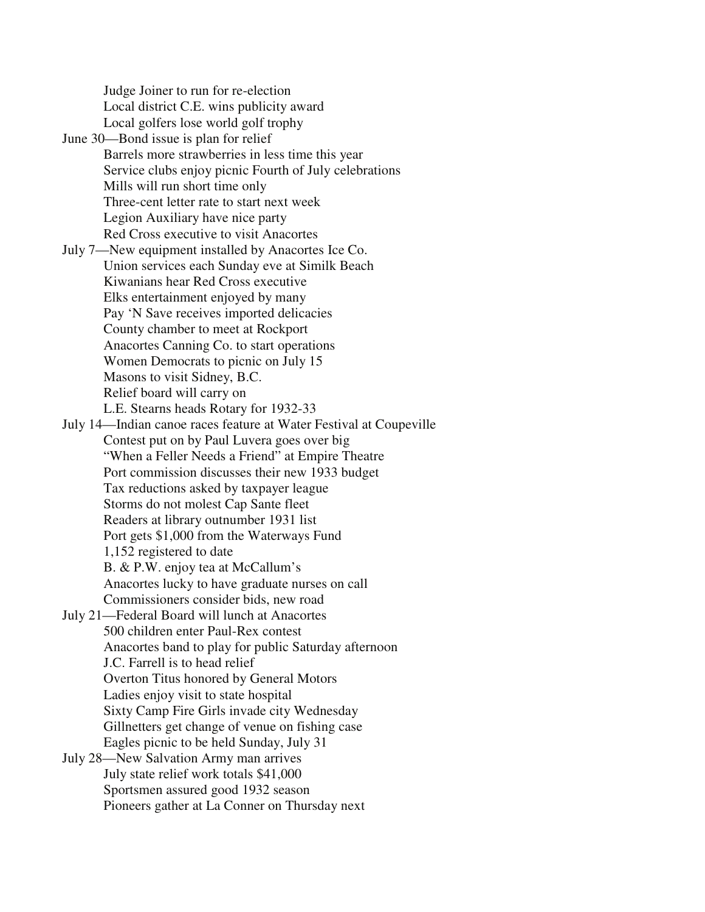Judge Joiner to run for re-election Local district C.E. wins publicity award Local golfers lose world golf trophy

- June 30—Bond issue is plan for relief Barrels more strawberries in less time this year Service clubs enjoy picnic Fourth of July celebrations Mills will run short time only Three-cent letter rate to start next week Legion Auxiliary have nice party Red Cross executive to visit Anacortes
- July 7—New equipment installed by Anacortes Ice Co. Union services each Sunday eve at Similk Beach Kiwanians hear Red Cross executive Elks entertainment enjoyed by many Pay 'N Save receives imported delicacies County chamber to meet at Rockport Anacortes Canning Co. to start operations Women Democrats to picnic on July 15 Masons to visit Sidney, B.C. Relief board will carry on L.E. Stearns heads Rotary for 1932-33
- July 14—Indian canoe races feature at Water Festival at Coupeville Contest put on by Paul Luvera goes over big "When a Feller Needs a Friend" at Empire Theatre Port commission discusses their new 1933 budget Tax reductions asked by taxpayer league Storms do not molest Cap Sante fleet Readers at library outnumber 1931 list Port gets \$1,000 from the Waterways Fund 1,152 registered to date B. & P.W. enjoy tea at McCallum's
	- Anacortes lucky to have graduate nurses on call Commissioners consider bids, new road
- July 21—Federal Board will lunch at Anacortes 500 children enter Paul-Rex contest Anacortes band to play for public Saturday afternoon J.C. Farrell is to head relief Overton Titus honored by General Motors Ladies enjoy visit to state hospital Sixty Camp Fire Girls invade city Wednesday Gillnetters get change of venue on fishing case Eagles picnic to be held Sunday, July 31
- July 28—New Salvation Army man arrives July state relief work totals \$41,000 Sportsmen assured good 1932 season Pioneers gather at La Conner on Thursday next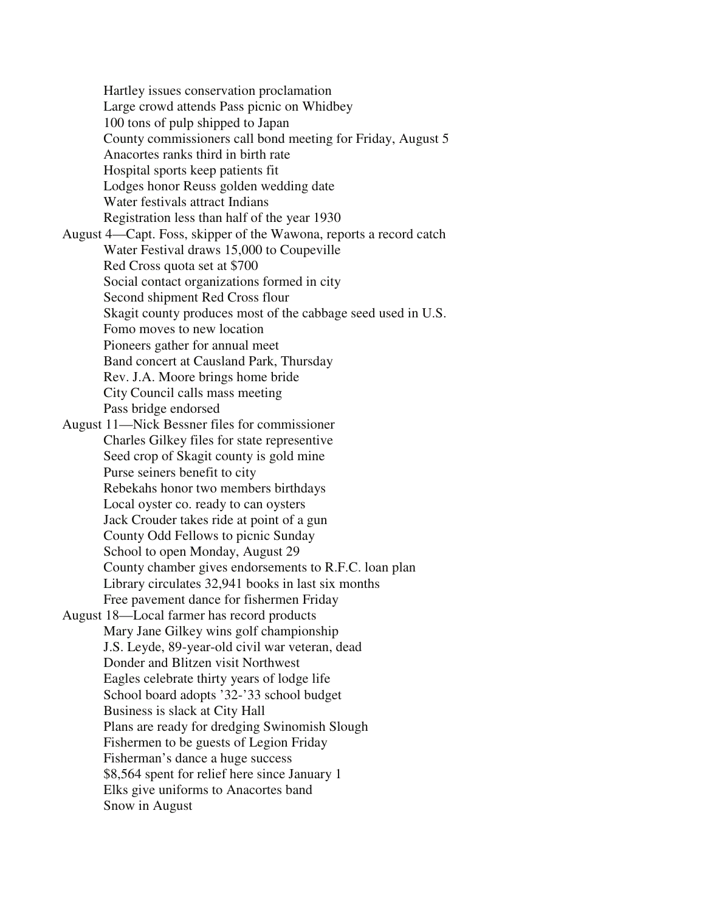Hartley issues conservation proclamation Large crowd attends Pass picnic on Whidbey 100 tons of pulp shipped to Japan County commissioners call bond meeting for Friday, August 5 Anacortes ranks third in birth rate Hospital sports keep patients fit Lodges honor Reuss golden wedding date Water festivals attract Indians Registration less than half of the year 1930 August 4—Capt. Foss, skipper of the Wawona, reports a record catch Water Festival draws 15,000 to Coupeville Red Cross quota set at \$700 Social contact organizations formed in city Second shipment Red Cross flour Skagit county produces most of the cabbage seed used in U.S. Fomo moves to new location Pioneers gather for annual meet Band concert at Causland Park, Thursday Rev. J.A. Moore brings home bride City Council calls mass meeting Pass bridge endorsed August 11—Nick Bessner files for commissioner Charles Gilkey files for state representive Seed crop of Skagit county is gold mine Purse seiners benefit to city Rebekahs honor two members birthdays Local oyster co. ready to can oysters Jack Crouder takes ride at point of a gun County Odd Fellows to picnic Sunday School to open Monday, August 29 County chamber gives endorsements to R.F.C. loan plan Library circulates 32,941 books in last six months Free pavement dance for fishermen Friday August 18—Local farmer has record products Mary Jane Gilkey wins golf championship J.S. Leyde, 89-year-old civil war veteran, dead Donder and Blitzen visit Northwest Eagles celebrate thirty years of lodge life School board adopts '32-'33 school budget Business is slack at City Hall Plans are ready for dredging Swinomish Slough Fishermen to be guests of Legion Friday Fisherman's dance a huge success \$8,564 spent for relief here since January 1 Elks give uniforms to Anacortes band Snow in August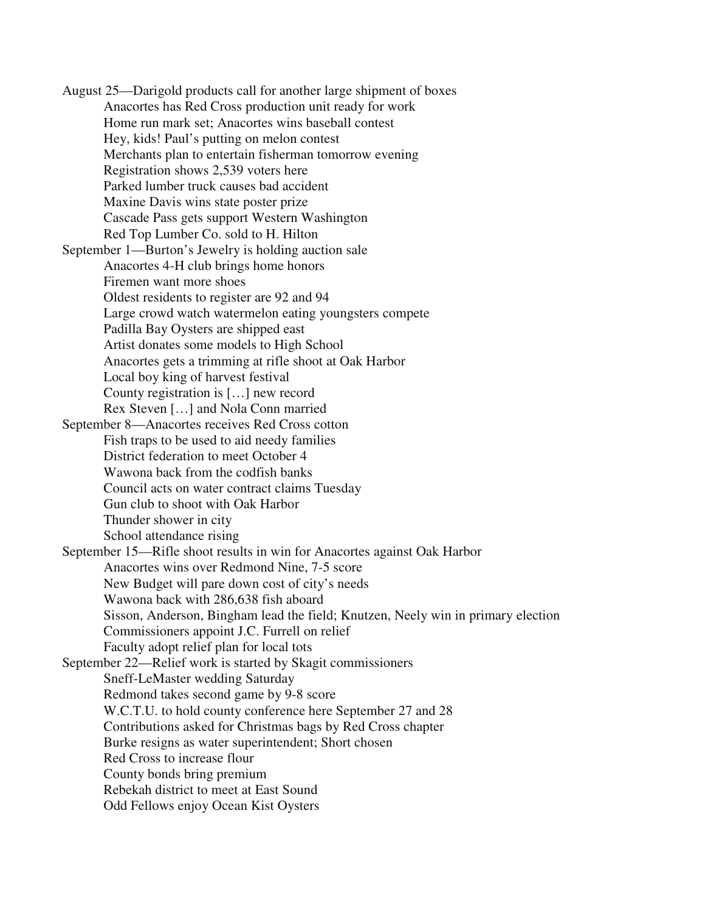August 25—Darigold products call for another large shipment of boxes Anacortes has Red Cross production unit ready for work Home run mark set; Anacortes wins baseball contest Hey, kids! Paul's putting on melon contest Merchants plan to entertain fisherman tomorrow evening Registration shows 2,539 voters here Parked lumber truck causes bad accident Maxine Davis wins state poster prize Cascade Pass gets support Western Washington Red Top Lumber Co. sold to H. Hilton September 1—Burton's Jewelry is holding auction sale Anacortes 4-H club brings home honors Firemen want more shoes Oldest residents to register are 92 and 94 Large crowd watch watermelon eating youngsters compete Padilla Bay Oysters are shipped east Artist donates some models to High School Anacortes gets a trimming at rifle shoot at Oak Harbor Local boy king of harvest festival County registration is […] new record Rex Steven […] and Nola Conn married September 8—Anacortes receives Red Cross cotton Fish traps to be used to aid needy families District federation to meet October 4 Wawona back from the codfish banks Council acts on water contract claims Tuesday Gun club to shoot with Oak Harbor Thunder shower in city School attendance rising September 15—Rifle shoot results in win for Anacortes against Oak Harbor Anacortes wins over Redmond Nine, 7-5 score New Budget will pare down cost of city's needs Wawona back with 286,638 fish aboard Sisson, Anderson, Bingham lead the field; Knutzen, Neely win in primary election Commissioners appoint J.C. Furrell on relief Faculty adopt relief plan for local tots September 22—Relief work is started by Skagit commissioners Sneff-LeMaster wedding Saturday Redmond takes second game by 9-8 score W.C.T.U. to hold county conference here September 27 and 28 Contributions asked for Christmas bags by Red Cross chapter Burke resigns as water superintendent; Short chosen Red Cross to increase flour County bonds bring premium Rebekah district to meet at East Sound Odd Fellows enjoy Ocean Kist Oysters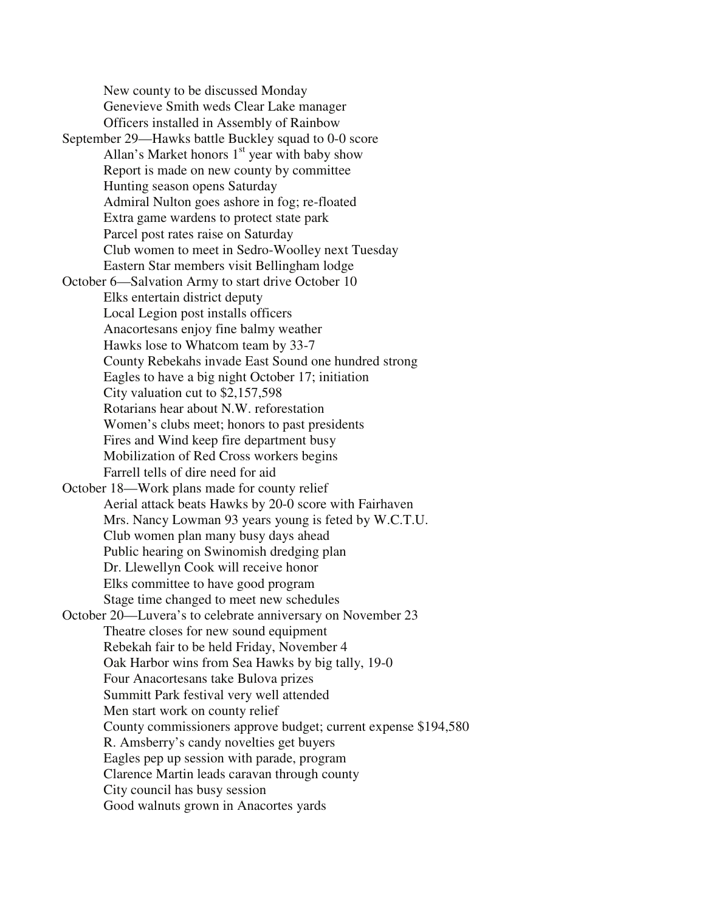New county to be discussed Monday Genevieve Smith weds Clear Lake manager Officers installed in Assembly of Rainbow September 29—Hawks battle Buckley squad to 0-0 score Allan's Market honors  $1<sup>st</sup>$  year with baby show Report is made on new county by committee Hunting season opens Saturday Admiral Nulton goes ashore in fog; re-floated Extra game wardens to protect state park Parcel post rates raise on Saturday Club women to meet in Sedro-Woolley next Tuesday Eastern Star members visit Bellingham lodge October 6—Salvation Army to start drive October 10 Elks entertain district deputy Local Legion post installs officers Anacortesans enjoy fine balmy weather Hawks lose to Whatcom team by 33-7 County Rebekahs invade East Sound one hundred strong Eagles to have a big night October 17; initiation City valuation cut to \$2,157,598 Rotarians hear about N.W. reforestation Women's clubs meet; honors to past presidents Fires and Wind keep fire department busy Mobilization of Red Cross workers begins Farrell tells of dire need for aid October 18—Work plans made for county relief Aerial attack beats Hawks by 20-0 score with Fairhaven Mrs. Nancy Lowman 93 years young is feted by W.C.T.U. Club women plan many busy days ahead Public hearing on Swinomish dredging plan Dr. Llewellyn Cook will receive honor Elks committee to have good program Stage time changed to meet new schedules October 20—Luvera's to celebrate anniversary on November 23 Theatre closes for new sound equipment Rebekah fair to be held Friday, November 4 Oak Harbor wins from Sea Hawks by big tally, 19-0 Four Anacortesans take Bulova prizes Summitt Park festival very well attended Men start work on county relief County commissioners approve budget; current expense \$194,580 R. Amsberry's candy novelties get buyers Eagles pep up session with parade, program Clarence Martin leads caravan through county City council has busy session Good walnuts grown in Anacortes yards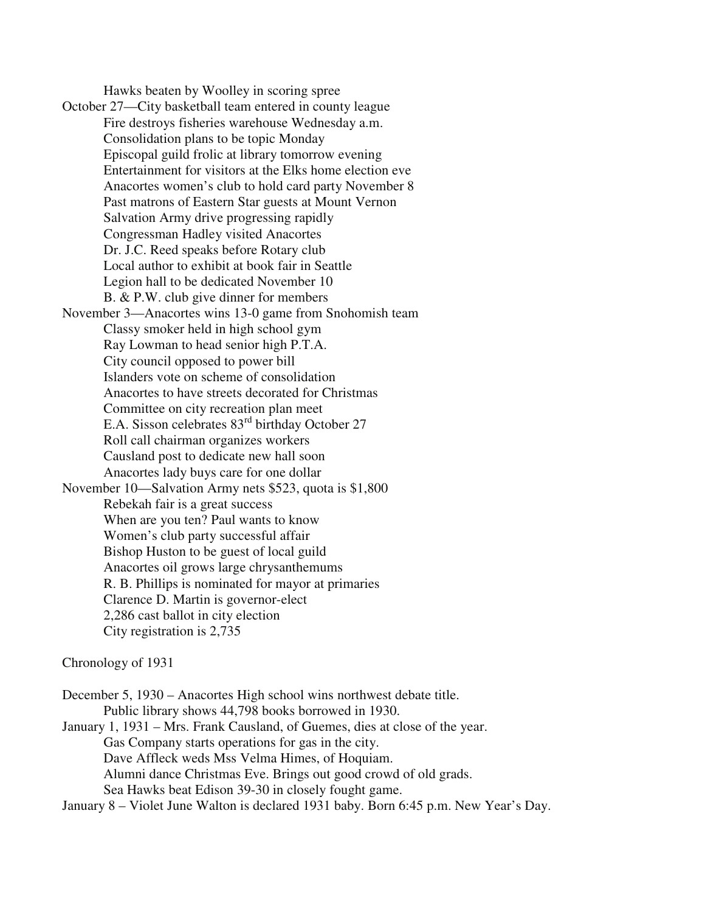Hawks beaten by Woolley in scoring spree

October 27—City basketball team entered in county league Fire destroys fisheries warehouse Wednesday a.m. Consolidation plans to be topic Monday Episcopal guild frolic at library tomorrow evening Entertainment for visitors at the Elks home election eve Anacortes women's club to hold card party November 8 Past matrons of Eastern Star guests at Mount Vernon Salvation Army drive progressing rapidly Congressman Hadley visited Anacortes Dr. J.C. Reed speaks before Rotary club Local author to exhibit at book fair in Seattle Legion hall to be dedicated November 10 B. & P.W. club give dinner for members November 3—Anacortes wins 13-0 game from Snohomish team Classy smoker held in high school gym Ray Lowman to head senior high P.T.A. City council opposed to power bill Islanders vote on scheme of consolidation Anacortes to have streets decorated for Christmas Committee on city recreation plan meet E.A. Sisson celebrates 83<sup>rd</sup> birthday October 27 Roll call chairman organizes workers Causland post to dedicate new hall soon Anacortes lady buys care for one dollar November 10—Salvation Army nets \$523, quota is \$1,800 Rebekah fair is a great success When are you ten? Paul wants to know Women's club party successful affair Bishop Huston to be guest of local guild Anacortes oil grows large chrysanthemums R. B. Phillips is nominated for mayor at primaries Clarence D. Martin is governor-elect 2,286 cast ballot in city election City registration is 2,735

#### Chronology of 1931

December 5, 1930 – Anacortes High school wins northwest debate title. Public library shows 44,798 books borrowed in 1930. January 1, 1931 – Mrs. Frank Causland, of Guemes, dies at close of the year. Gas Company starts operations for gas in the city. Dave Affleck weds Mss Velma Himes, of Hoquiam. Alumni dance Christmas Eve. Brings out good crowd of old grads. Sea Hawks beat Edison 39-30 in closely fought game.

January 8 – Violet June Walton is declared 1931 baby. Born 6:45 p.m. New Year's Day.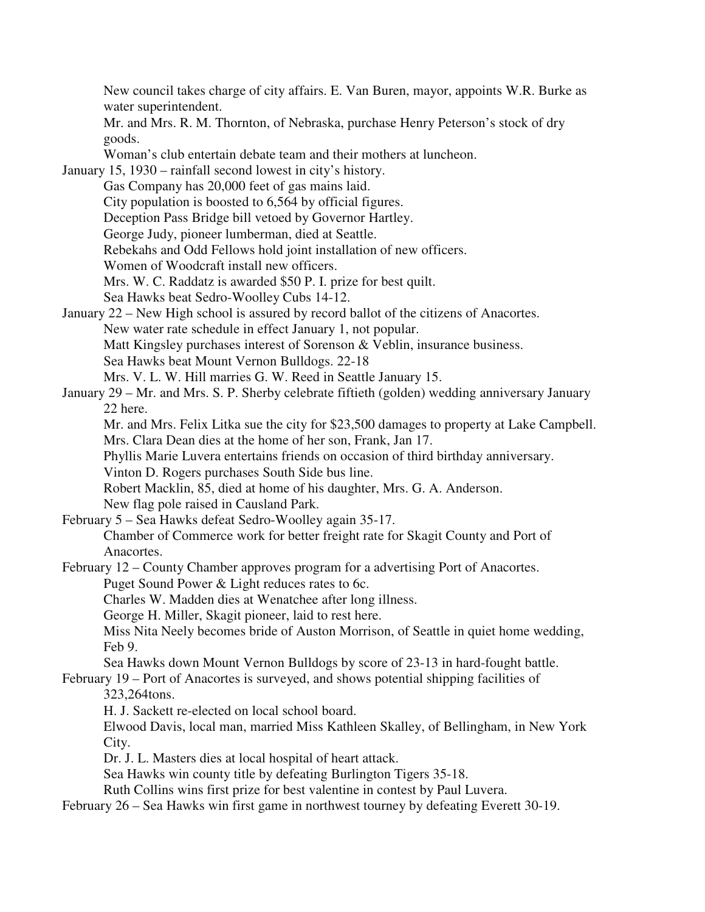New council takes charge of city affairs. E. Van Buren, mayor, appoints W.R. Burke as water superintendent. Mr. and Mrs. R. M. Thornton, of Nebraska, purchase Henry Peterson's stock of dry goods. Woman's club entertain debate team and their mothers at luncheon. January 15, 1930 – rainfall second lowest in city's history. Gas Company has 20,000 feet of gas mains laid. City population is boosted to 6,564 by official figures. Deception Pass Bridge bill vetoed by Governor Hartley. George Judy, pioneer lumberman, died at Seattle. Rebekahs and Odd Fellows hold joint installation of new officers. Women of Woodcraft install new officers. Mrs. W. C. Raddatz is awarded \$50 P. I. prize for best quilt. Sea Hawks beat Sedro-Woolley Cubs 14-12. January 22 – New High school is assured by record ballot of the citizens of Anacortes. New water rate schedule in effect January 1, not popular. Matt Kingsley purchases interest of Sorenson & Veblin, insurance business. Sea Hawks beat Mount Vernon Bulldogs. 22-18 Mrs. V. L. W. Hill marries G. W. Reed in Seattle January 15. January 29 – Mr. and Mrs. S. P. Sherby celebrate fiftieth (golden) wedding anniversary January 22 here. Mr. and Mrs. Felix Litka sue the city for \$23,500 damages to property at Lake Campbell. Mrs. Clara Dean dies at the home of her son, Frank, Jan 17. Phyllis Marie Luvera entertains friends on occasion of third birthday anniversary. Vinton D. Rogers purchases South Side bus line. Robert Macklin, 85, died at home of his daughter, Mrs. G. A. Anderson. New flag pole raised in Causland Park. February 5 – Sea Hawks defeat Sedro-Woolley again 35-17. Chamber of Commerce work for better freight rate for Skagit County and Port of Anacortes. February 12 – County Chamber approves program for a advertising Port of Anacortes. Puget Sound Power & Light reduces rates to 6c. Charles W. Madden dies at Wenatchee after long illness. George H. Miller, Skagit pioneer, laid to rest here. Miss Nita Neely becomes bride of Auston Morrison, of Seattle in quiet home wedding, Feb 9. Sea Hawks down Mount Vernon Bulldogs by score of 23-13 in hard-fought battle. February 19 – Port of Anacortes is surveyed, and shows potential shipping facilities of 323,264tons. H. J. Sackett re-elected on local school board. Elwood Davis, local man, married Miss Kathleen Skalley, of Bellingham, in New York City. Dr. J. L. Masters dies at local hospital of heart attack. Sea Hawks win county title by defeating Burlington Tigers 35-18. Ruth Collins wins first prize for best valentine in contest by Paul Luvera. February 26 – Sea Hawks win first game in northwest tourney by defeating Everett 30-19.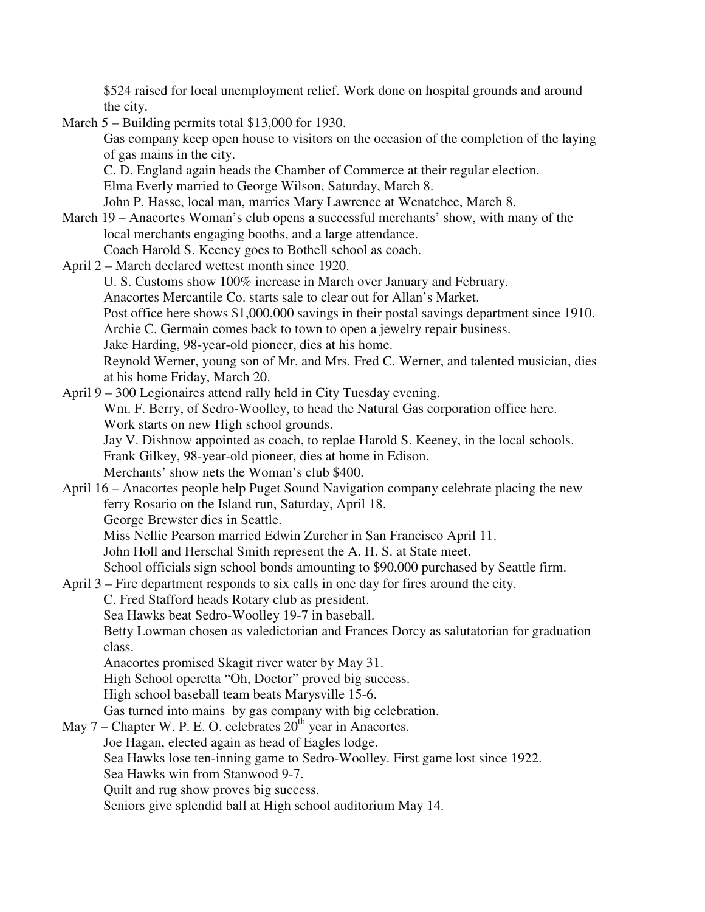\$524 raised for local unemployment relief. Work done on hospital grounds and around the city.

March 5 – Building permits total \$13,000 for 1930.

 Gas company keep open house to visitors on the occasion of the completion of the laying of gas mains in the city.

C. D. England again heads the Chamber of Commerce at their regular election.

Elma Everly married to George Wilson, Saturday, March 8.

John P. Hasse, local man, marries Mary Lawrence at Wenatchee, March 8.

- March 19 Anacortes Woman's club opens a successful merchants' show, with many of the local merchants engaging booths, and a large attendance.
	- Coach Harold S. Keeney goes to Bothell school as coach.
- April 2 March declared wettest month since 1920.

U. S. Customs show 100% increase in March over January and February.

Anacortes Mercantile Co. starts sale to clear out for Allan's Market.

Post office here shows \$1,000,000 savings in their postal savings department since 1910.

Archie C. Germain comes back to town to open a jewelry repair business.

Jake Harding, 98-year-old pioneer, dies at his home.

 Reynold Werner, young son of Mr. and Mrs. Fred C. Werner, and talented musician, dies at his home Friday, March 20.

April 9 – 300 Legionaires attend rally held in City Tuesday evening. Wm. F. Berry, of Sedro-Woolley, to head the Natural Gas corporation office here. Work starts on new High school grounds. Jay V. Dishnow appointed as coach, to replae Harold S. Keeney, in the local schools.

Frank Gilkey, 98-year-old pioneer, dies at home in Edison.

Merchants' show nets the Woman's club \$400.

April 16 – Anacortes people help Puget Sound Navigation company celebrate placing the new ferry Rosario on the Island run, Saturday, April 18.

George Brewster dies in Seattle.

Miss Nellie Pearson married Edwin Zurcher in San Francisco April 11.

John Holl and Herschal Smith represent the A. H. S. at State meet.

School officials sign school bonds amounting to \$90,000 purchased by Seattle firm.

April 3 – Fire department responds to six calls in one day for fires around the city.

C. Fred Stafford heads Rotary club as president.

Sea Hawks beat Sedro-Woolley 19-7 in baseball.

 Betty Lowman chosen as valedictorian and Frances Dorcy as salutatorian for graduation class.

Anacortes promised Skagit river water by May 31.

High School operetta "Oh, Doctor" proved big success.

High school baseball team beats Marysville 15-6.

Gas turned into mains by gas company with big celebration.

May  $7$  – Chapter W. P. E. O. celebrates  $20<sup>th</sup>$  year in Anacortes.

Joe Hagan, elected again as head of Eagles lodge.

Sea Hawks lose ten-inning game to Sedro-Woolley. First game lost since 1922.

Sea Hawks win from Stanwood 9-7.

Quilt and rug show proves big success.

Seniors give splendid ball at High school auditorium May 14.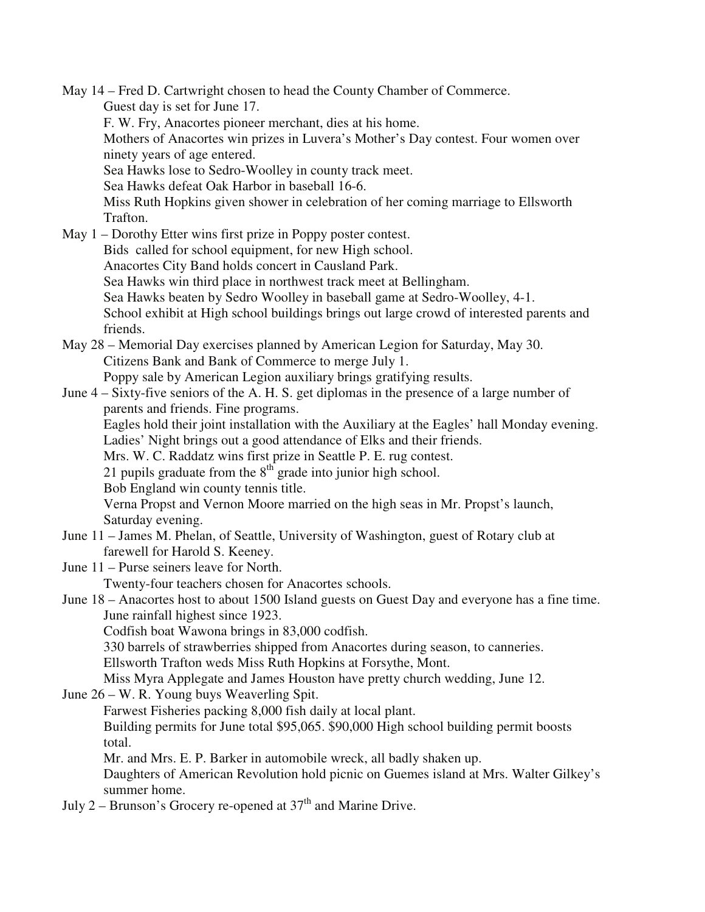May 14 – Fred D. Cartwright chosen to head the County Chamber of Commerce. Guest day is set for June 17. F. W. Fry, Anacortes pioneer merchant, dies at his home. Mothers of Anacortes win prizes in Luvera's Mother's Day contest. Four women over ninety years of age entered. Sea Hawks lose to Sedro-Woolley in county track meet. Sea Hawks defeat Oak Harbor in baseball 16-6. Miss Ruth Hopkins given shower in celebration of her coming marriage to Ellsworth Trafton. May 1 – Dorothy Etter wins first prize in Poppy poster contest. Bids called for school equipment, for new High school. Anacortes City Band holds concert in Causland Park. Sea Hawks win third place in northwest track meet at Bellingham. Sea Hawks beaten by Sedro Woolley in baseball game at Sedro-Woolley, 4-1. School exhibit at High school buildings brings out large crowd of interested parents and friends. May 28 – Memorial Day exercises planned by American Legion for Saturday, May 30. Citizens Bank and Bank of Commerce to merge July 1. Poppy sale by American Legion auxiliary brings gratifying results. June 4 – Sixty-five seniors of the A. H. S. get diplomas in the presence of a large number of parents and friends. Fine programs. Eagles hold their joint installation with the Auxiliary at the Eagles' hall Monday evening. Ladies' Night brings out a good attendance of Elks and their friends. Mrs. W. C. Raddatz wins first prize in Seattle P. E. rug contest. 21 pupils graduate from the  $8<sup>th</sup>$  grade into junior high school. Bob England win county tennis title. Verna Propst and Vernon Moore married on the high seas in Mr. Propst's launch, Saturday evening. June 11 – James M. Phelan, of Seattle, University of Washington, guest of Rotary club at farewell for Harold S. Keeney. June 11 – Purse seiners leave for North. Twenty-four teachers chosen for Anacortes schools. June 18 – Anacortes host to about 1500 Island guests on Guest Day and everyone has a fine time. June rainfall highest since 1923. Codfish boat Wawona brings in 83,000 codfish. 330 barrels of strawberries shipped from Anacortes during season, to canneries. Ellsworth Trafton weds Miss Ruth Hopkins at Forsythe, Mont. Miss Myra Applegate and James Houston have pretty church wedding, June 12. June 26 – W. R. Young buys Weaverling Spit. Farwest Fisheries packing 8,000 fish daily at local plant. Building permits for June total \$95,065. \$90,000 High school building permit boosts total. Mr. and Mrs. E. P. Barker in automobile wreck, all badly shaken up. Daughters of American Revolution hold picnic on Guemes island at Mrs. Walter Gilkey's summer home. July 2 – Brunson's Grocery re-opened at  $37<sup>th</sup>$  and Marine Drive.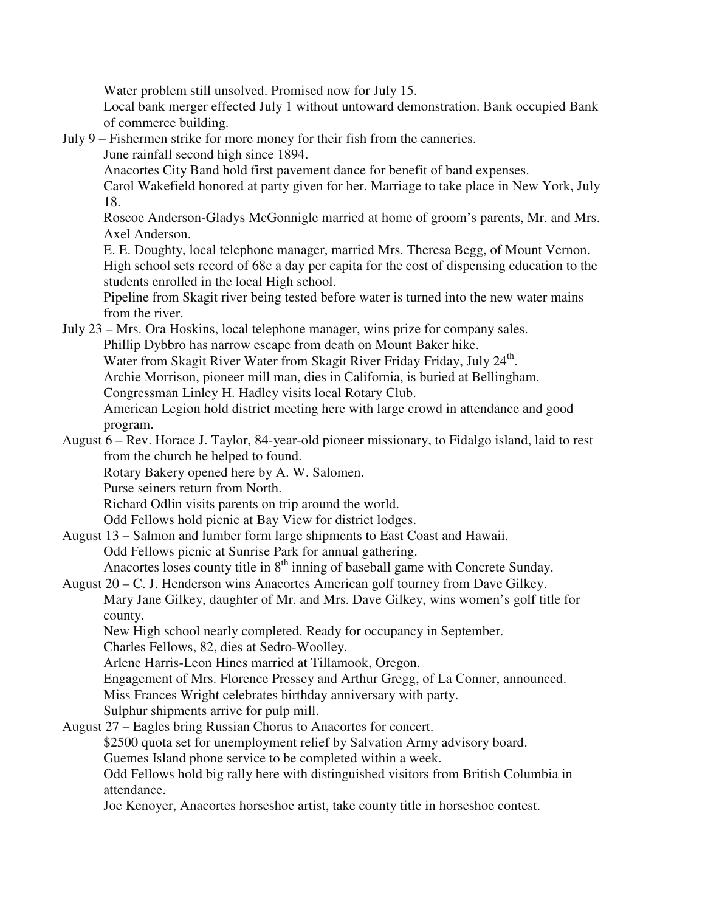Water problem still unsolved. Promised now for July 15.

 Local bank merger effected July 1 without untoward demonstration. Bank occupied Bank of commerce building.

July 9 – Fishermen strike for more money for their fish from the canneries.

June rainfall second high since 1894.

Anacortes City Band hold first pavement dance for benefit of band expenses.

 Carol Wakefield honored at party given for her. Marriage to take place in New York, July 18.

 Roscoe Anderson-Gladys McGonnigle married at home of groom's parents, Mr. and Mrs. Axel Anderson.

 E. E. Doughty, local telephone manager, married Mrs. Theresa Begg, of Mount Vernon. High school sets record of 68c a day per capita for the cost of dispensing education to the students enrolled in the local High school.

 Pipeline from Skagit river being tested before water is turned into the new water mains from the river.

July 23 – Mrs. Ora Hoskins, local telephone manager, wins prize for company sales. Phillip Dybbro has narrow escape from death on Mount Baker hike.

Water from Skagit River Water from Skagit River Friday Friday, July 24<sup>th</sup>.

Archie Morrison, pioneer mill man, dies in California, is buried at Bellingham.

Congressman Linley H. Hadley visits local Rotary Club.

 American Legion hold district meeting here with large crowd in attendance and good program.

August 6 – Rev. Horace J. Taylor, 84-year-old pioneer missionary, to Fidalgo island, laid to rest from the church he helped to found.

Rotary Bakery opened here by A. W. Salomen.

Purse seiners return from North.

Richard Odlin visits parents on trip around the world.

Odd Fellows hold picnic at Bay View for district lodges.

August 13 – Salmon and lumber form large shipments to East Coast and Hawaii. Odd Fellows picnic at Sunrise Park for annual gathering. Anacortes loses county title in  $8<sup>th</sup>$  inning of baseball game with Concrete Sunday.

August 20 – C. J. Henderson wins Anacortes American golf tourney from Dave Gilkey.

 Mary Jane Gilkey, daughter of Mr. and Mrs. Dave Gilkey, wins women's golf title for county.

New High school nearly completed. Ready for occupancy in September.

Charles Fellows, 82, dies at Sedro-Woolley.

Arlene Harris-Leon Hines married at Tillamook, Oregon.

Engagement of Mrs. Florence Pressey and Arthur Gregg, of La Conner, announced.

Miss Frances Wright celebrates birthday anniversary with party.

Sulphur shipments arrive for pulp mill.

August 27 – Eagles bring Russian Chorus to Anacortes for concert.

\$2500 quota set for unemployment relief by Salvation Army advisory board.

Guemes Island phone service to be completed within a week.

 Odd Fellows hold big rally here with distinguished visitors from British Columbia in attendance.

Joe Kenoyer, Anacortes horseshoe artist, take county title in horseshoe contest.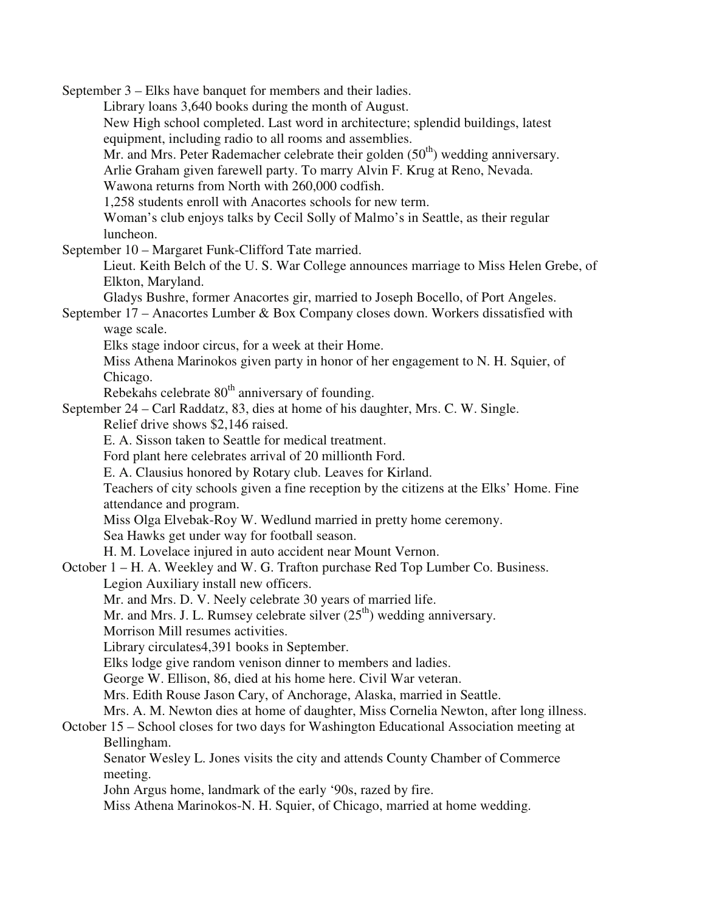September 3 – Elks have banquet for members and their ladies.

 Library loans 3,640 books during the month of August. New High school completed. Last word in architecture; splendid buildings, latest equipment, including radio to all rooms and assemblies. Mr. and Mrs. Peter Rademacher celebrate their golden  $(50<sup>th</sup>)$  wedding anniversary. Arlie Graham given farewell party. To marry Alvin F. Krug at Reno, Nevada. Wawona returns from North with 260,000 codfish. 1,258 students enroll with Anacortes schools for new term. Woman's club enjoys talks by Cecil Solly of Malmo's in Seattle, as their regular luncheon. September 10 – Margaret Funk-Clifford Tate married. Lieut. Keith Belch of the U. S. War College announces marriage to Miss Helen Grebe, of Elkton, Maryland. Gladys Bushre, former Anacortes gir, married to Joseph Bocello, of Port Angeles. September 17 – Anacortes Lumber & Box Company closes down. Workers dissatisfied with wage scale. Elks stage indoor circus, for a week at their Home. Miss Athena Marinokos given party in honor of her engagement to N. H. Squier, of Chicago. Rebekahs celebrate  $80<sup>th</sup>$  anniversary of founding. September 24 – Carl Raddatz, 83, dies at home of his daughter, Mrs. C. W. Single. Relief drive shows \$2,146 raised. E. A. Sisson taken to Seattle for medical treatment. Ford plant here celebrates arrival of 20 millionth Ford. E. A. Clausius honored by Rotary club. Leaves for Kirland. Teachers of city schools given a fine reception by the citizens at the Elks' Home. Fine attendance and program. Miss Olga Elvebak-Roy W. Wedlund married in pretty home ceremony. Sea Hawks get under way for football season. H. M. Lovelace injured in auto accident near Mount Vernon. October 1 – H. A. Weekley and W. G. Trafton purchase Red Top Lumber Co. Business. Legion Auxiliary install new officers.

Mr. and Mrs. D. V. Neely celebrate 30 years of married life.

Mr. and Mrs. J. L. Rumsey celebrate silver  $(25<sup>th</sup>)$  wedding anniversary.

Morrison Mill resumes activities.

Library circulates4,391 books in September.

Elks lodge give random venison dinner to members and ladies.

George W. Ellison, 86, died at his home here. Civil War veteran.

Mrs. Edith Rouse Jason Cary, of Anchorage, Alaska, married in Seattle.

Mrs. A. M. Newton dies at home of daughter, Miss Cornelia Newton, after long illness.

October 15 – School closes for two days for Washington Educational Association meeting at Bellingham.

 Senator Wesley L. Jones visits the city and attends County Chamber of Commerce meeting.

John Argus home, landmark of the early '90s, razed by fire.

Miss Athena Marinokos-N. H. Squier, of Chicago, married at home wedding.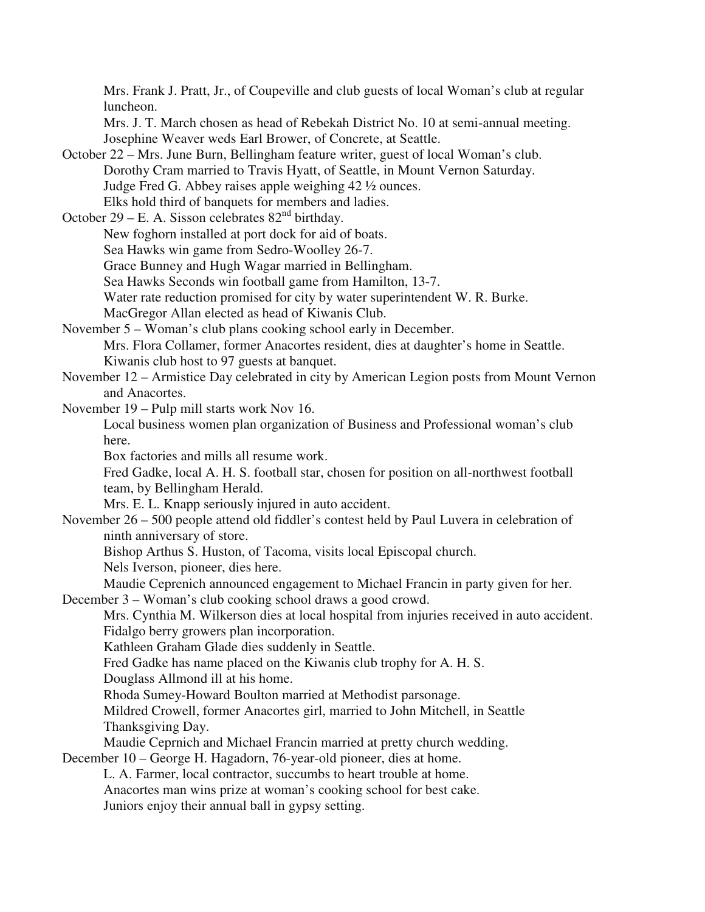Mrs. Frank J. Pratt, Jr., of Coupeville and club guests of local Woman's club at regular luncheon. Mrs. J. T. March chosen as head of Rebekah District No. 10 at semi-annual meeting. Josephine Weaver weds Earl Brower, of Concrete, at Seattle. October 22 – Mrs. June Burn, Bellingham feature writer, guest of local Woman's club. Dorothy Cram married to Travis Hyatt, of Seattle, in Mount Vernon Saturday. Judge Fred G. Abbey raises apple weighing 42 ½ ounces. Elks hold third of banquets for members and ladies. October 29 – E. A. Sisson celebrates  $82<sup>nd</sup>$  birthday. New foghorn installed at port dock for aid of boats. Sea Hawks win game from Sedro-Woolley 26-7. Grace Bunney and Hugh Wagar married in Bellingham. Sea Hawks Seconds win football game from Hamilton, 13-7. Water rate reduction promised for city by water superintendent W. R. Burke. MacGregor Allan elected as head of Kiwanis Club. November 5 – Woman's club plans cooking school early in December. Mrs. Flora Collamer, former Anacortes resident, dies at daughter's home in Seattle. Kiwanis club host to 97 guests at banquet. November 12 – Armistice Day celebrated in city by American Legion posts from Mount Vernon and Anacortes. November 19 – Pulp mill starts work Nov 16. Local business women plan organization of Business and Professional woman's club here. Box factories and mills all resume work. Fred Gadke, local A. H. S. football star, chosen for position on all-northwest football team, by Bellingham Herald. Mrs. E. L. Knapp seriously injured in auto accident. November 26 – 500 people attend old fiddler's contest held by Paul Luvera in celebration of ninth anniversary of store. Bishop Arthus S. Huston, of Tacoma, visits local Episcopal church. Nels Iverson, pioneer, dies here. Maudie Ceprenich announced engagement to Michael Francin in party given for her. December 3 – Woman's club cooking school draws a good crowd. Mrs. Cynthia M. Wilkerson dies at local hospital from injuries received in auto accident. Fidalgo berry growers plan incorporation. Kathleen Graham Glade dies suddenly in Seattle. Fred Gadke has name placed on the Kiwanis club trophy for A. H. S. Douglass Allmond ill at his home. Rhoda Sumey-Howard Boulton married at Methodist parsonage. Mildred Crowell, former Anacortes girl, married to John Mitchell, in Seattle Thanksgiving Day. Maudie Ceprnich and Michael Francin married at pretty church wedding. December 10 – George H. Hagadorn, 76-year-old pioneer, dies at home. L. A. Farmer, local contractor, succumbs to heart trouble at home. Anacortes man wins prize at woman's cooking school for best cake. Juniors enjoy their annual ball in gypsy setting.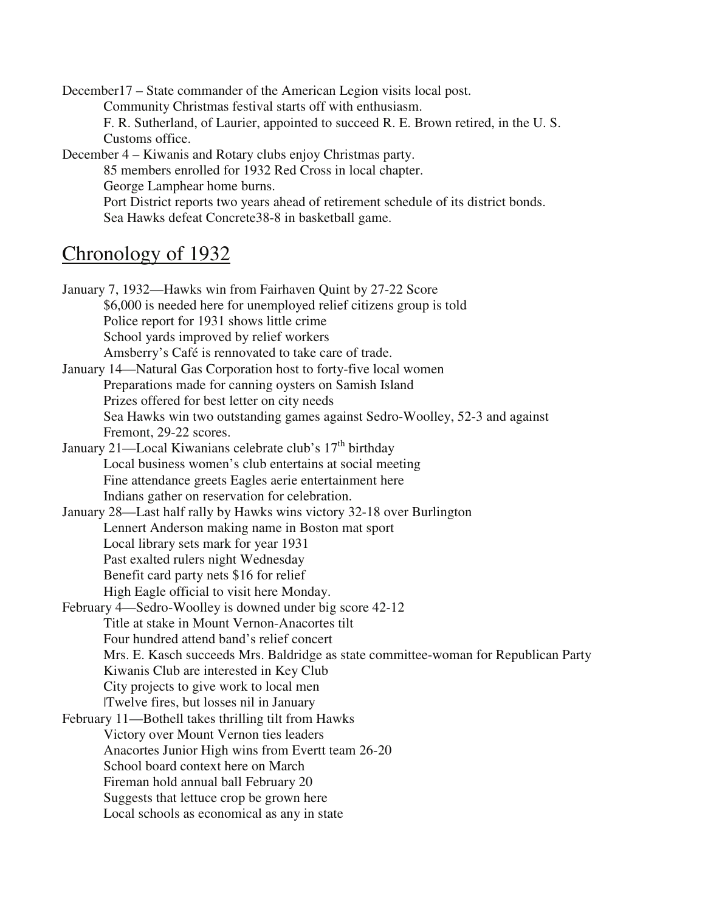December17 – State commander of the American Legion visits local post. Community Christmas festival starts off with enthusiasm. F. R. Sutherland, of Laurier, appointed to succeed R. E. Brown retired, in the U. S. Customs office. December 4 – Kiwanis and Rotary clubs enjoy Christmas party. 85 members enrolled for 1932 Red Cross in local chapter. George Lamphear home burns.

 Port District reports two years ahead of retirement schedule of its district bonds. Sea Hawks defeat Concrete38-8 in basketball game.

## Chronology of 1932

January 7, 1932—Hawks win from Fairhaven Quint by 27-22 Score \$6,000 is needed here for unemployed relief citizens group is told Police report for 1931 shows little crime School yards improved by relief workers Amsberry's Café is rennovated to take care of trade. January 14—Natural Gas Corporation host to forty-five local women Preparations made for canning oysters on Samish Island Prizes offered for best letter on city needs Sea Hawks win two outstanding games against Sedro-Woolley, 52-3 and against Fremont, 29-22 scores. January 21—Local Kiwanians celebrate club's 17<sup>th</sup> birthday Local business women's club entertains at social meeting Fine attendance greets Eagles aerie entertainment here Indians gather on reservation for celebration. January 28—Last half rally by Hawks wins victory 32-18 over Burlington Lennert Anderson making name in Boston mat sport Local library sets mark for year 1931 Past exalted rulers night Wednesday Benefit card party nets \$16 for relief High Eagle official to visit here Monday. February 4—Sedro-Woolley is downed under big score 42-12 Title at stake in Mount Vernon-Anacortes tilt Four hundred attend band's relief concert Mrs. E. Kasch succeeds Mrs. Baldridge as state committee-woman for Republican Party Kiwanis Club are interested in Key Club City projects to give work to local men |Twelve fires, but losses nil in January February 11—Bothell takes thrilling tilt from Hawks Victory over Mount Vernon ties leaders Anacortes Junior High wins from Evertt team 26-20 School board context here on March Fireman hold annual ball February 20 Suggests that lettuce crop be grown here Local schools as economical as any in state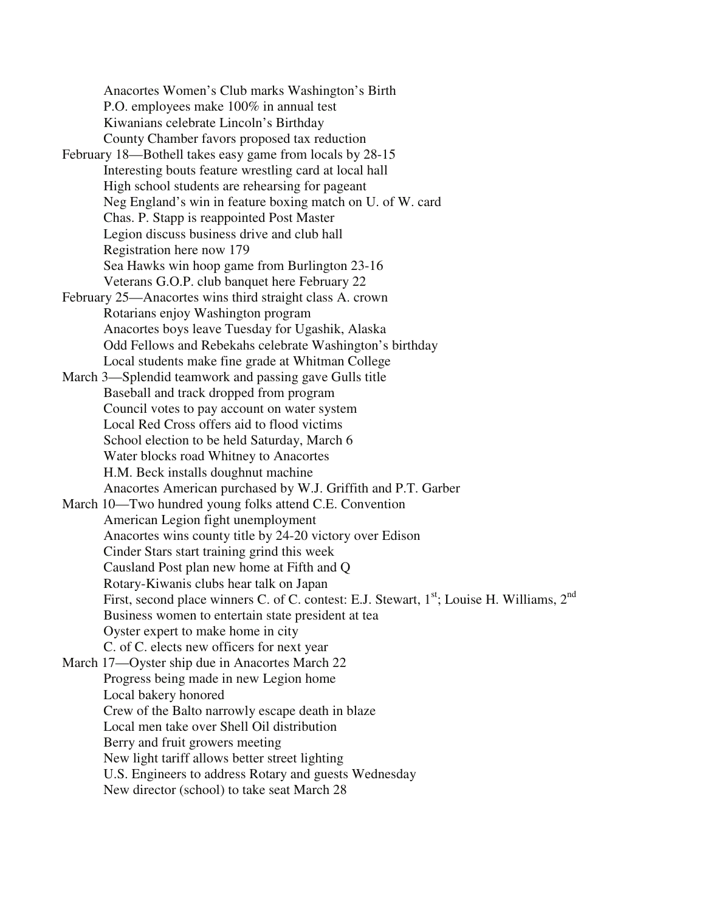Anacortes Women's Club marks Washington's Birth P.O. employees make 100% in annual test Kiwanians celebrate Lincoln's Birthday County Chamber favors proposed tax reduction February 18—Bothell takes easy game from locals by 28-15 Interesting bouts feature wrestling card at local hall High school students are rehearsing for pageant Neg England's win in feature boxing match on U. of W. card Chas. P. Stapp is reappointed Post Master Legion discuss business drive and club hall Registration here now 179 Sea Hawks win hoop game from Burlington 23-16 Veterans G.O.P. club banquet here February 22 February 25—Anacortes wins third straight class A. crown Rotarians enjoy Washington program Anacortes boys leave Tuesday for Ugashik, Alaska Odd Fellows and Rebekahs celebrate Washington's birthday Local students make fine grade at Whitman College March 3—Splendid teamwork and passing gave Gulls title Baseball and track dropped from program Council votes to pay account on water system Local Red Cross offers aid to flood victims School election to be held Saturday, March 6 Water blocks road Whitney to Anacortes H.M. Beck installs doughnut machine Anacortes American purchased by W.J. Griffith and P.T. Garber March 10—Two hundred young folks attend C.E. Convention American Legion fight unemployment Anacortes wins county title by 24-20 victory over Edison Cinder Stars start training grind this week Causland Post plan new home at Fifth and Q Rotary-Kiwanis clubs hear talk on Japan First, second place winners C. of C. contest: E.J. Stewart, 1<sup>st</sup>; Louise H. Williams, 2<sup>nd</sup> Business women to entertain state president at tea Oyster expert to make home in city C. of C. elects new officers for next year March 17—Oyster ship due in Anacortes March 22 Progress being made in new Legion home Local bakery honored Crew of the Balto narrowly escape death in blaze Local men take over Shell Oil distribution Berry and fruit growers meeting New light tariff allows better street lighting U.S. Engineers to address Rotary and guests Wednesday New director (school) to take seat March 28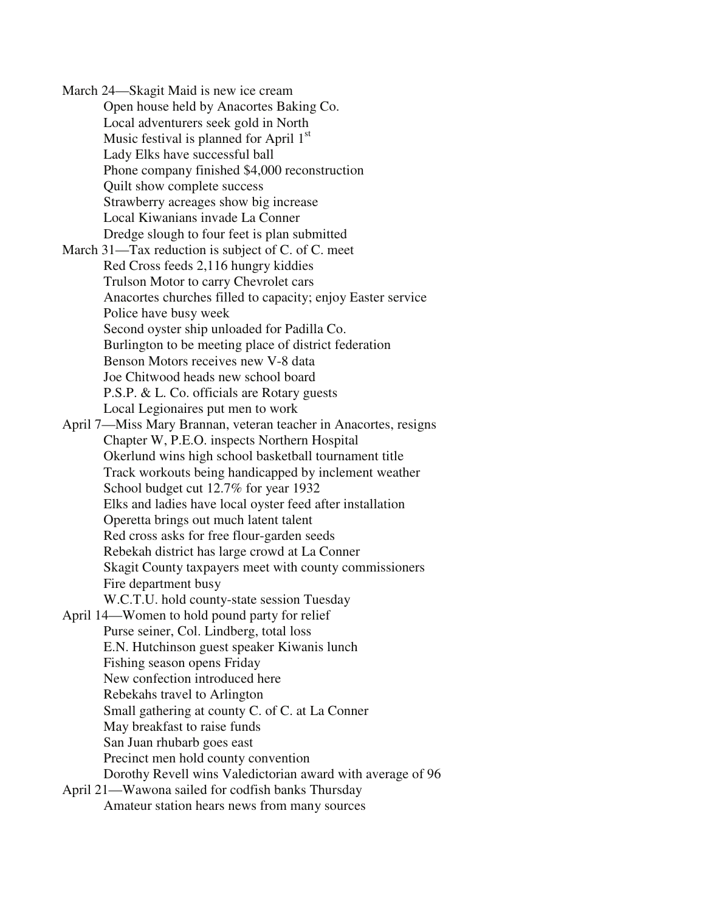March 24—Skagit Maid is new ice cream Open house held by Anacortes Baking Co. Local adventurers seek gold in North Music festival is planned for April  $1<sup>st</sup>$ Lady Elks have successful ball Phone company finished \$4,000 reconstruction Quilt show complete success Strawberry acreages show big increase Local Kiwanians invade La Conner Dredge slough to four feet is plan submitted March 31—Tax reduction is subject of C. of C. meet Red Cross feeds 2,116 hungry kiddies Trulson Motor to carry Chevrolet cars Anacortes churches filled to capacity; enjoy Easter service Police have busy week Second oyster ship unloaded for Padilla Co. Burlington to be meeting place of district federation Benson Motors receives new V-8 data Joe Chitwood heads new school board P.S.P. & L. Co. officials are Rotary guests Local Legionaires put men to work April 7—Miss Mary Brannan, veteran teacher in Anacortes, resigns Chapter W, P.E.O. inspects Northern Hospital Okerlund wins high school basketball tournament title Track workouts being handicapped by inclement weather School budget cut 12.7% for year 1932 Elks and ladies have local oyster feed after installation Operetta brings out much latent talent Red cross asks for free flour-garden seeds Rebekah district has large crowd at La Conner Skagit County taxpayers meet with county commissioners Fire department busy W.C.T.U. hold county-state session Tuesday April 14—Women to hold pound party for relief Purse seiner, Col. Lindberg, total loss E.N. Hutchinson guest speaker Kiwanis lunch Fishing season opens Friday New confection introduced here Rebekahs travel to Arlington Small gathering at county C. of C. at La Conner May breakfast to raise funds San Juan rhubarb goes east Precinct men hold county convention Dorothy Revell wins Valedictorian award with average of 96 April 21—Wawona sailed for codfish banks Thursday Amateur station hears news from many sources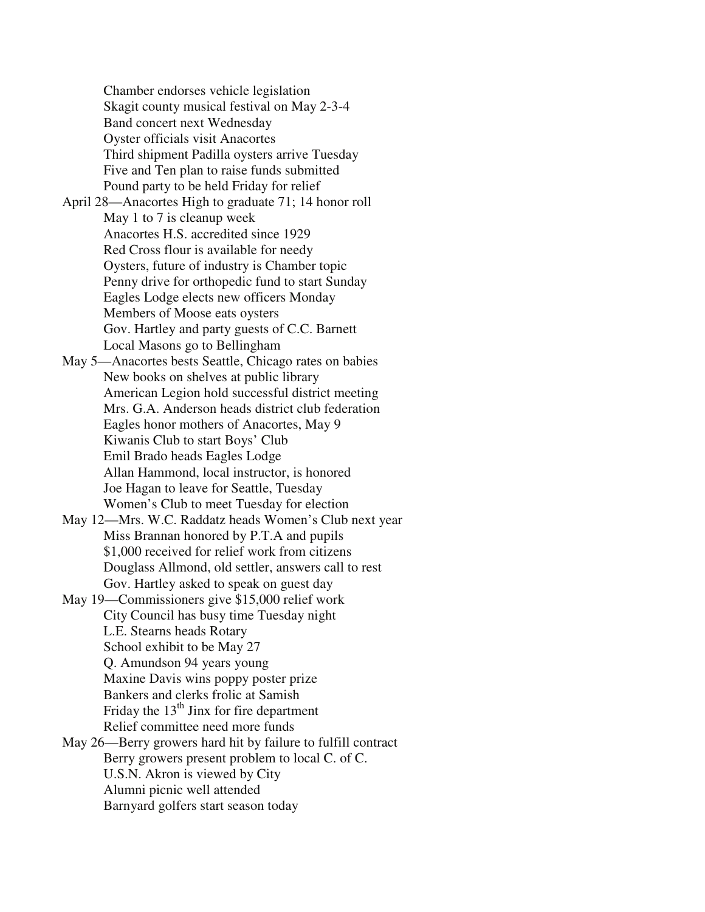Chamber endorses vehicle legislation Skagit county musical festival on May 2-3-4 Band concert next Wednesday Oyster officials visit Anacortes Third shipment Padilla oysters arrive Tuesday Five and Ten plan to raise funds submitted Pound party to be held Friday for relief

April 28—Anacortes High to graduate 71; 14 honor roll May 1 to 7 is cleanup week Anacortes H.S. accredited since 1929 Red Cross flour is available for needy Oysters, future of industry is Chamber topic Penny drive for orthopedic fund to start Sunday Eagles Lodge elects new officers Monday Members of Moose eats oysters Gov. Hartley and party guests of C.C. Barnett Local Masons go to Bellingham

May 5—Anacortes bests Seattle, Chicago rates on babies New books on shelves at public library American Legion hold successful district meeting Mrs. G.A. Anderson heads district club federation Eagles honor mothers of Anacortes, May 9 Kiwanis Club to start Boys' Club Emil Brado heads Eagles Lodge Allan Hammond, local instructor, is honored Joe Hagan to leave for Seattle, Tuesday Women's Club to meet Tuesday for election

May 12—Mrs. W.C. Raddatz heads Women's Club next year Miss Brannan honored by P.T.A and pupils \$1,000 received for relief work from citizens Douglass Allmond, old settler, answers call to rest Gov. Hartley asked to speak on guest day

May 19—Commissioners give \$15,000 relief work City Council has busy time Tuesday night L.E. Stearns heads Rotary School exhibit to be May 27 Q. Amundson 94 years young Maxine Davis wins poppy poster prize Bankers and clerks frolic at Samish Friday the  $13<sup>th</sup>$  Jinx for fire department Relief committee need more funds May 26—Berry growers hard hit by failure to fulfill contract Berry growers present problem to local C. of C. U.S.N. Akron is viewed by City

Alumni picnic well attended

Barnyard golfers start season today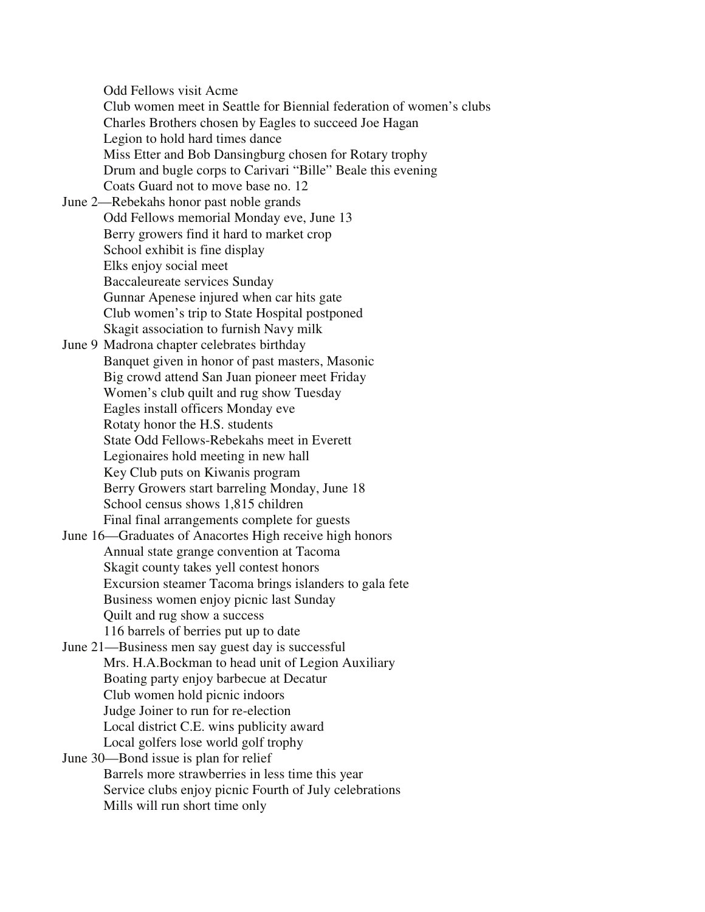Odd Fellows visit Acme

 Club women meet in Seattle for Biennial federation of women's clubs Charles Brothers chosen by Eagles to succeed Joe Hagan Legion to hold hard times dance Miss Etter and Bob Dansingburg chosen for Rotary trophy Drum and bugle corps to Carivari "Bille" Beale this evening Coats Guard not to move base no. 12

June 2—Rebekahs honor past noble grands Odd Fellows memorial Monday eve, June 13 Berry growers find it hard to market crop School exhibit is fine display Elks enjoy social meet Baccaleureate services Sunday Gunnar Apenese injured when car hits gate Club women's trip to State Hospital postponed Skagit association to furnish Navy milk

June 9 Madrona chapter celebrates birthday Banquet given in honor of past masters, Masonic Big crowd attend San Juan pioneer meet Friday Women's club quilt and rug show Tuesday Eagles install officers Monday eve Rotaty honor the H.S. students State Odd Fellows-Rebekahs meet in Everett Legionaires hold meeting in new hall Key Club puts on Kiwanis program Berry Growers start barreling Monday, June 18 School census shows 1,815 children Final final arrangements complete for guests

June 16—Graduates of Anacortes High receive high honors Annual state grange convention at Tacoma Skagit county takes yell contest honors Excursion steamer Tacoma brings islanders to gala fete Business women enjoy picnic last Sunday Quilt and rug show a success 116 barrels of berries put up to date

June 21—Business men say guest day is successful Mrs. H.A.Bockman to head unit of Legion Auxiliary Boating party enjoy barbecue at Decatur Club women hold picnic indoors Judge Joiner to run for re-election Local district C.E. wins publicity award Local golfers lose world golf trophy

June 30—Bond issue is plan for relief Barrels more strawberries in less time this year Service clubs enjoy picnic Fourth of July celebrations Mills will run short time only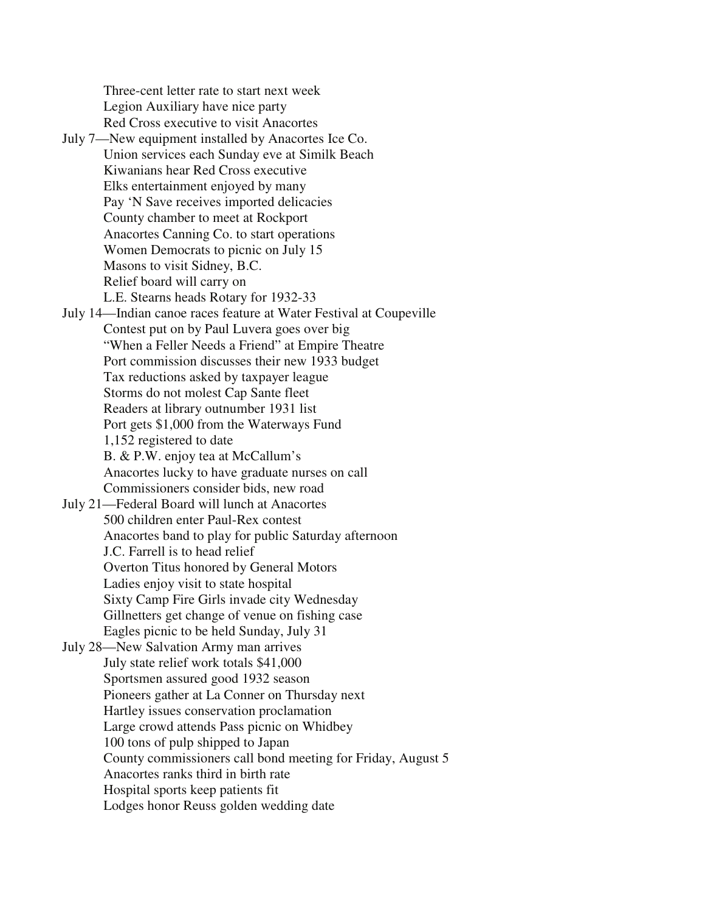Three-cent letter rate to start next week Legion Auxiliary have nice party Red Cross executive to visit Anacortes

July 7—New equipment installed by Anacortes Ice Co. Union services each Sunday eve at Similk Beach Kiwanians hear Red Cross executive Elks entertainment enjoyed by many Pay 'N Save receives imported delicacies County chamber to meet at Rockport Anacortes Canning Co. to start operations Women Democrats to picnic on July 15 Masons to visit Sidney, B.C. Relief board will carry on L.E. Stearns heads Rotary for 1932-33 July 14—Indian canoe races feature at Water Festival at Coupeville Contest put on by Paul Luvera goes over big "When a Feller Needs a Friend" at Empire Theatre Port commission discusses their new 1933 budget Tax reductions asked by taxpayer league Storms do not molest Cap Sante fleet Readers at library outnumber 1931 list Port gets \$1,000 from the Waterways Fund 1,152 registered to date B. & P.W. enjoy tea at McCallum's Anacortes lucky to have graduate nurses on call Commissioners consider bids, new road July 21—Federal Board will lunch at Anacortes 500 children enter Paul-Rex contest Anacortes band to play for public Saturday afternoon J.C. Farrell is to head relief Overton Titus honored by General Motors Ladies enjoy visit to state hospital Sixty Camp Fire Girls invade city Wednesday Gillnetters get change of venue on fishing case Eagles picnic to be held Sunday, July 31 July 28—New Salvation Army man arrives

 July state relief work totals \$41,000 Sportsmen assured good 1932 season Pioneers gather at La Conner on Thursday next Hartley issues conservation proclamation Large crowd attends Pass picnic on Whidbey 100 tons of pulp shipped to Japan County commissioners call bond meeting for Friday, August 5 Anacortes ranks third in birth rate Hospital sports keep patients fit Lodges honor Reuss golden wedding date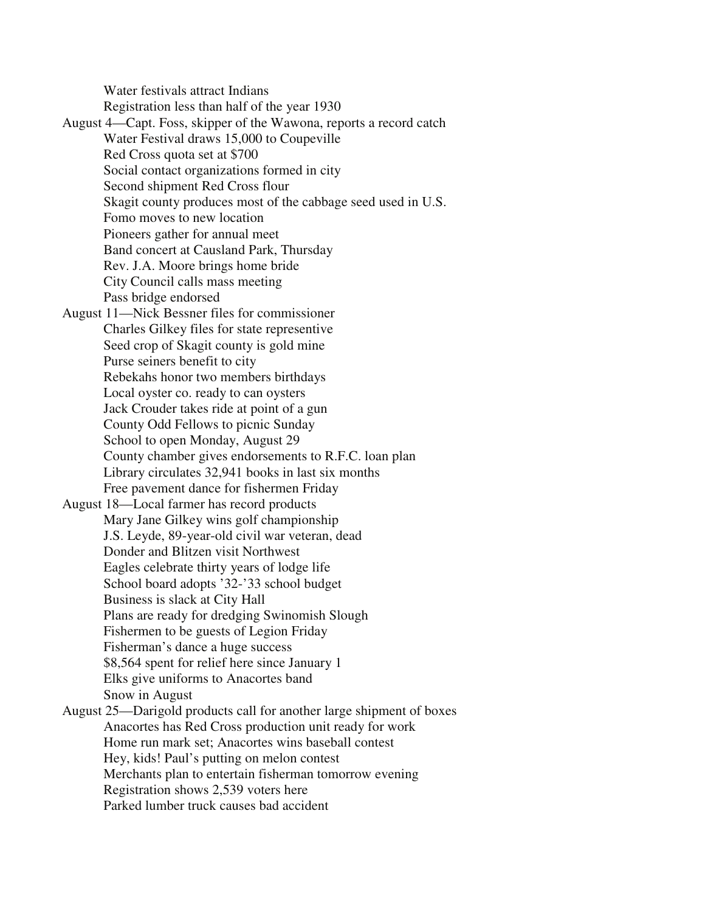Water festivals attract Indians Registration less than half of the year 1930

August 4—Capt. Foss, skipper of the Wawona, reports a record catch Water Festival draws 15,000 to Coupeville Red Cross quota set at \$700 Social contact organizations formed in city Second shipment Red Cross flour Skagit county produces most of the cabbage seed used in U.S. Fomo moves to new location Pioneers gather for annual meet Band concert at Causland Park, Thursday Rev. J.A. Moore brings home bride City Council calls mass meeting Pass bridge endorsed August 11—Nick Bessner files for commissioner Charles Gilkey files for state representive Seed crop of Skagit county is gold mine Purse seiners benefit to city Rebekahs honor two members birthdays Local oyster co. ready to can oysters Jack Crouder takes ride at point of a gun County Odd Fellows to picnic Sunday School to open Monday, August 29 County chamber gives endorsements to R.F.C. loan plan Library circulates 32,941 books in last six months Free pavement dance for fishermen Friday August 18—Local farmer has record products Mary Jane Gilkey wins golf championship J.S. Leyde, 89-year-old civil war veteran, dead Donder and Blitzen visit Northwest Eagles celebrate thirty years of lodge life School board adopts '32-'33 school budget Business is slack at City Hall Plans are ready for dredging Swinomish Slough Fishermen to be guests of Legion Friday Fisherman's dance a huge success \$8,564 spent for relief here since January 1 Elks give uniforms to Anacortes band Snow in August August 25—Darigold products call for another large shipment of boxes Anacortes has Red Cross production unit ready for work Home run mark set; Anacortes wins baseball contest Hey, kids! Paul's putting on melon contest Merchants plan to entertain fisherman tomorrow evening Registration shows 2,539 voters here Parked lumber truck causes bad accident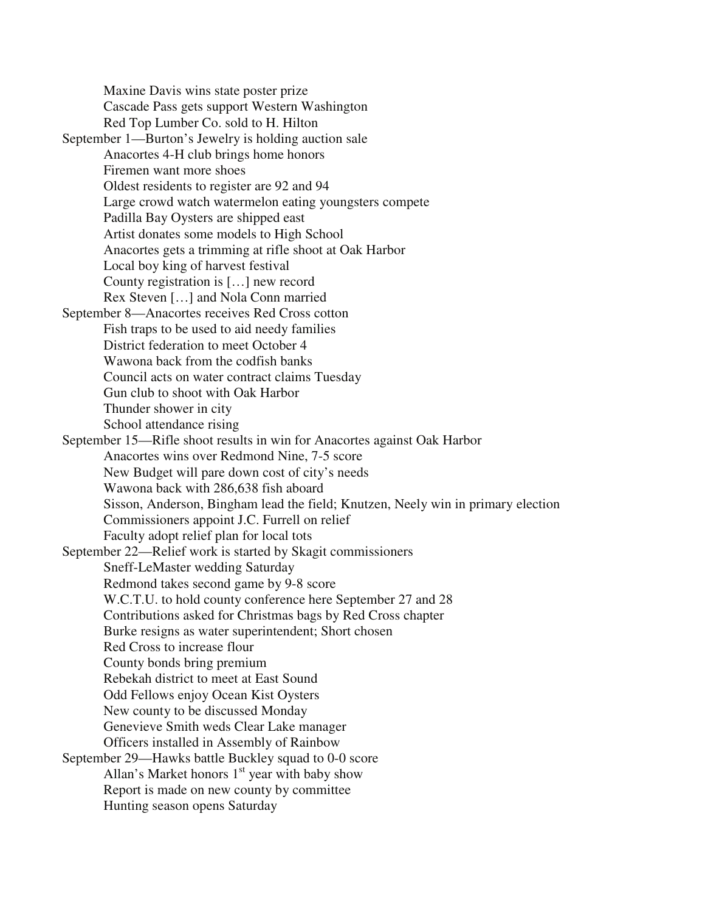Maxine Davis wins state poster prize Cascade Pass gets support Western Washington Red Top Lumber Co. sold to H. Hilton September 1—Burton's Jewelry is holding auction sale Anacortes 4-H club brings home honors Firemen want more shoes Oldest residents to register are 92 and 94 Large crowd watch watermelon eating youngsters compete Padilla Bay Oysters are shipped east Artist donates some models to High School Anacortes gets a trimming at rifle shoot at Oak Harbor Local boy king of harvest festival County registration is […] new record Rex Steven […] and Nola Conn married September 8—Anacortes receives Red Cross cotton Fish traps to be used to aid needy families District federation to meet October 4 Wawona back from the codfish banks Council acts on water contract claims Tuesday Gun club to shoot with Oak Harbor Thunder shower in city School attendance rising September 15—Rifle shoot results in win for Anacortes against Oak Harbor Anacortes wins over Redmond Nine, 7-5 score New Budget will pare down cost of city's needs Wawona back with 286,638 fish aboard Sisson, Anderson, Bingham lead the field; Knutzen, Neely win in primary election Commissioners appoint J.C. Furrell on relief Faculty adopt relief plan for local tots September 22—Relief work is started by Skagit commissioners Sneff-LeMaster wedding Saturday Redmond takes second game by 9-8 score W.C.T.U. to hold county conference here September 27 and 28 Contributions asked for Christmas bags by Red Cross chapter Burke resigns as water superintendent; Short chosen Red Cross to increase flour County bonds bring premium Rebekah district to meet at East Sound Odd Fellows enjoy Ocean Kist Oysters New county to be discussed Monday Genevieve Smith weds Clear Lake manager Officers installed in Assembly of Rainbow September 29—Hawks battle Buckley squad to 0-0 score Allan's Market honors  $1<sup>st</sup>$  year with baby show Report is made on new county by committee Hunting season opens Saturday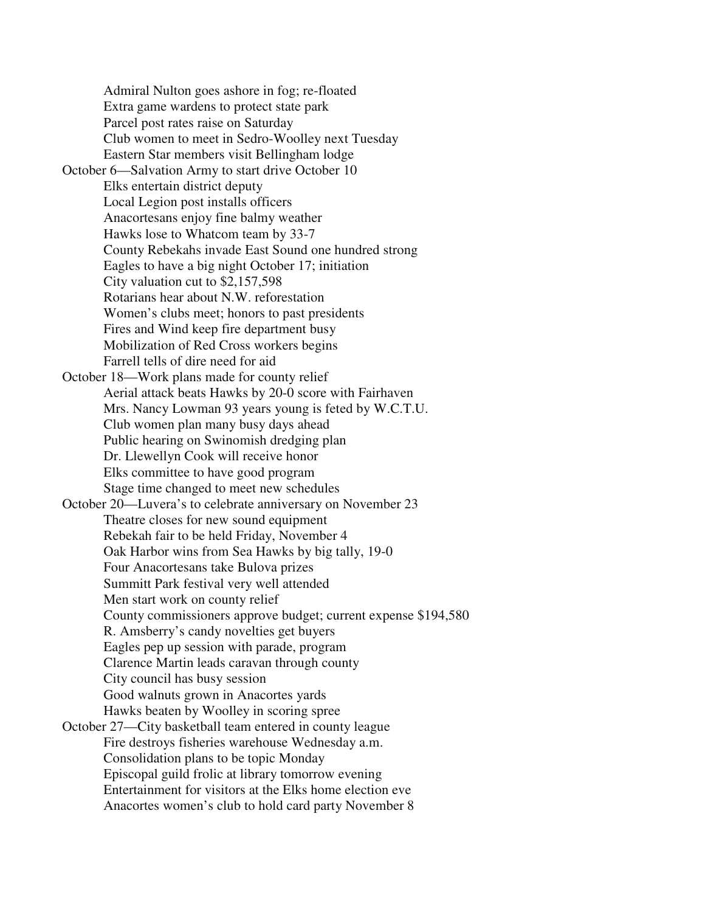Admiral Nulton goes ashore in fog; re-floated Extra game wardens to protect state park Parcel post rates raise on Saturday Club women to meet in Sedro-Woolley next Tuesday Eastern Star members visit Bellingham lodge October 6—Salvation Army to start drive October 10 Elks entertain district deputy Local Legion post installs officers Anacortesans enjoy fine balmy weather Hawks lose to Whatcom team by 33-7 County Rebekahs invade East Sound one hundred strong Eagles to have a big night October 17; initiation City valuation cut to \$2,157,598 Rotarians hear about N.W. reforestation Women's clubs meet; honors to past presidents Fires and Wind keep fire department busy Mobilization of Red Cross workers begins Farrell tells of dire need for aid October 18—Work plans made for county relief Aerial attack beats Hawks by 20-0 score with Fairhaven Mrs. Nancy Lowman 93 years young is feted by W.C.T.U. Club women plan many busy days ahead Public hearing on Swinomish dredging plan Dr. Llewellyn Cook will receive honor Elks committee to have good program Stage time changed to meet new schedules October 20—Luvera's to celebrate anniversary on November 23 Theatre closes for new sound equipment Rebekah fair to be held Friday, November 4 Oak Harbor wins from Sea Hawks by big tally, 19-0 Four Anacortesans take Bulova prizes Summitt Park festival very well attended Men start work on county relief County commissioners approve budget; current expense \$194,580 R. Amsberry's candy novelties get buyers Eagles pep up session with parade, program Clarence Martin leads caravan through county City council has busy session Good walnuts grown in Anacortes yards Hawks beaten by Woolley in scoring spree October 27—City basketball team entered in county league Fire destroys fisheries warehouse Wednesday a.m. Consolidation plans to be topic Monday Episcopal guild frolic at library tomorrow evening Entertainment for visitors at the Elks home election eve Anacortes women's club to hold card party November 8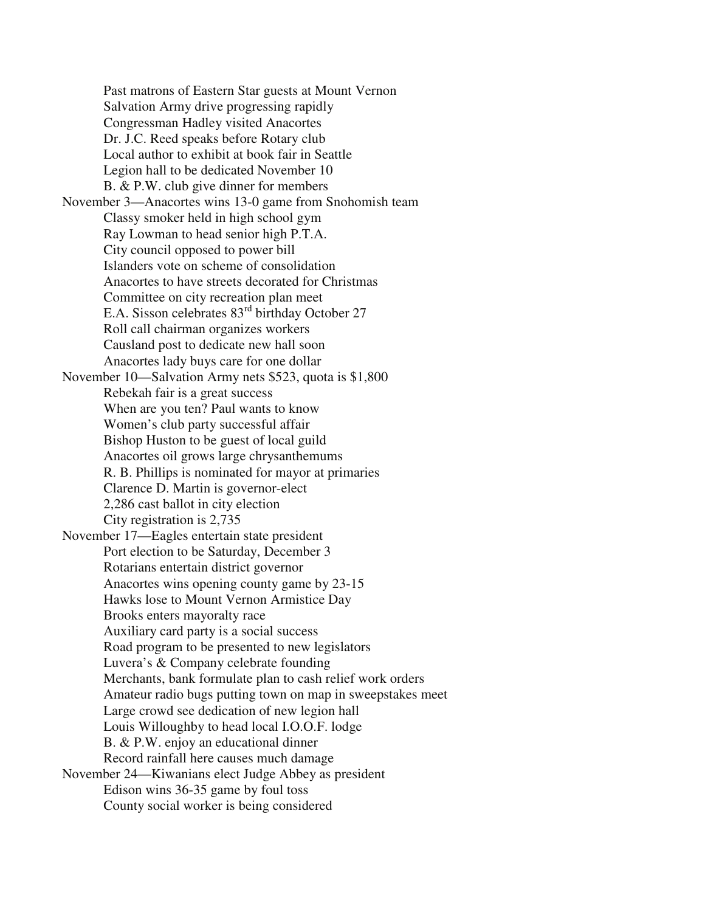Past matrons of Eastern Star guests at Mount Vernon Salvation Army drive progressing rapidly Congressman Hadley visited Anacortes Dr. J.C. Reed speaks before Rotary club Local author to exhibit at book fair in Seattle Legion hall to be dedicated November 10 B. & P.W. club give dinner for members November 3—Anacortes wins 13-0 game from Snohomish team Classy smoker held in high school gym Ray Lowman to head senior high P.T.A. City council opposed to power bill Islanders vote on scheme of consolidation Anacortes to have streets decorated for Christmas Committee on city recreation plan meet E.A. Sisson celebrates 83rd birthday October 27 Roll call chairman organizes workers Causland post to dedicate new hall soon Anacortes lady buys care for one dollar November 10—Salvation Army nets \$523, quota is \$1,800 Rebekah fair is a great success When are you ten? Paul wants to know Women's club party successful affair Bishop Huston to be guest of local guild Anacortes oil grows large chrysanthemums R. B. Phillips is nominated for mayor at primaries Clarence D. Martin is governor-elect 2,286 cast ballot in city election City registration is 2,735 November 17—Eagles entertain state president Port election to be Saturday, December 3 Rotarians entertain district governor Anacortes wins opening county game by 23-15 Hawks lose to Mount Vernon Armistice Day Brooks enters mayoralty race Auxiliary card party is a social success Road program to be presented to new legislators Luvera's & Company celebrate founding Merchants, bank formulate plan to cash relief work orders Amateur radio bugs putting town on map in sweepstakes meet Large crowd see dedication of new legion hall Louis Willoughby to head local I.O.O.F. lodge B. & P.W. enjoy an educational dinner Record rainfall here causes much damage November 24—Kiwanians elect Judge Abbey as president Edison wins 36-35 game by foul toss County social worker is being considered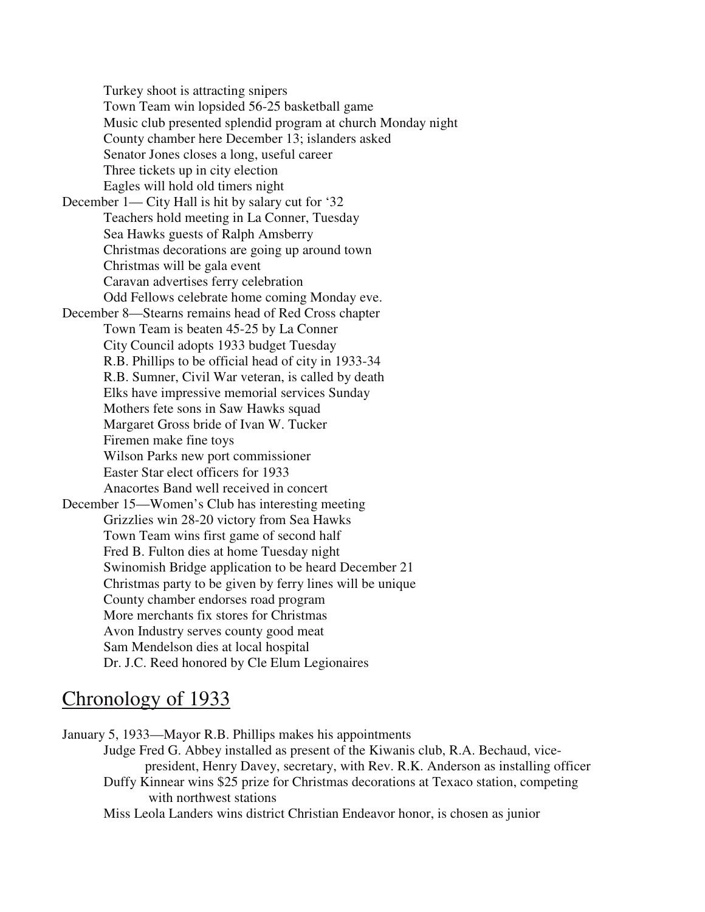Turkey shoot is attracting snipers Town Team win lopsided 56-25 basketball game Music club presented splendid program at church Monday night County chamber here December 13; islanders asked Senator Jones closes a long, useful career Three tickets up in city election Eagles will hold old timers night December 1— City Hall is hit by salary cut for '32 Teachers hold meeting in La Conner, Tuesday Sea Hawks guests of Ralph Amsberry Christmas decorations are going up around town Christmas will be gala event Caravan advertises ferry celebration Odd Fellows celebrate home coming Monday eve. December 8—Stearns remains head of Red Cross chapter Town Team is beaten 45-25 by La Conner City Council adopts 1933 budget Tuesday R.B. Phillips to be official head of city in 1933-34 R.B. Sumner, Civil War veteran, is called by death Elks have impressive memorial services Sunday Mothers fete sons in Saw Hawks squad Margaret Gross bride of Ivan W. Tucker Firemen make fine toys Wilson Parks new port commissioner Easter Star elect officers for 1933 Anacortes Band well received in concert December 15—Women's Club has interesting meeting Grizzlies win 28-20 victory from Sea Hawks Town Team wins first game of second half Fred B. Fulton dies at home Tuesday night Swinomish Bridge application to be heard December 21 Christmas party to be given by ferry lines will be unique County chamber endorses road program More merchants fix stores for Christmas Avon Industry serves county good meat Sam Mendelson dies at local hospital Dr. J.C. Reed honored by Cle Elum Legionaires

## Chronology of 1933

January 5, 1933—Mayor R.B. Phillips makes his appointments

 Judge Fred G. Abbey installed as present of the Kiwanis club, R.A. Bechaud, vice president, Henry Davey, secretary, with Rev. R.K. Anderson as installing officer Duffy Kinnear wins \$25 prize for Christmas decorations at Texaco station, competing with northwest stations

Miss Leola Landers wins district Christian Endeavor honor, is chosen as junior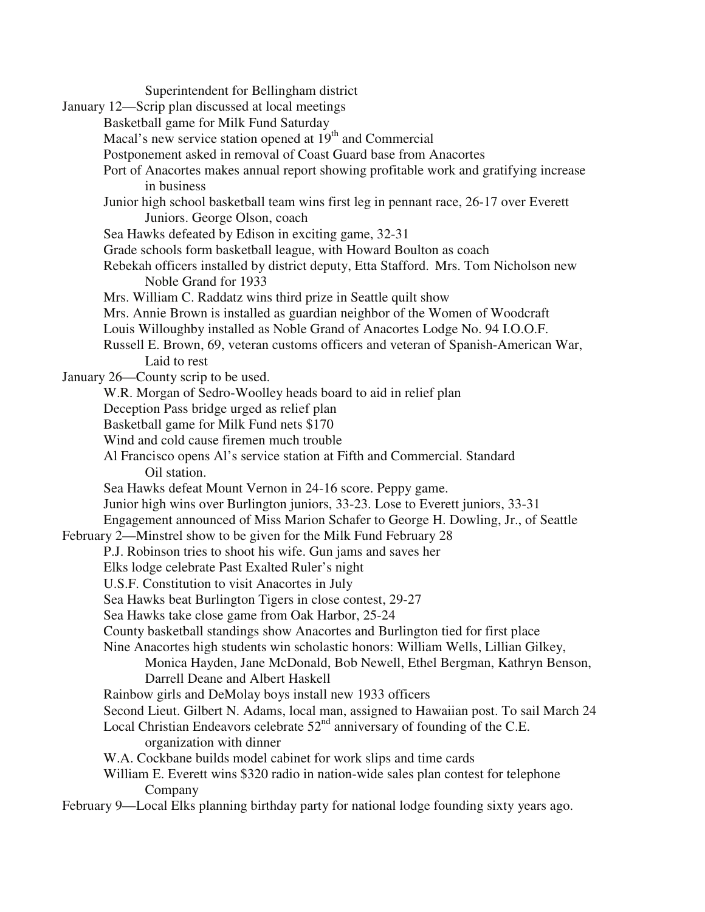Superintendent for Bellingham district January 12—Scrip plan discussed at local meetings Basketball game for Milk Fund Saturday Macal's new service station opened at  $19<sup>th</sup>$  and Commercial Postponement asked in removal of Coast Guard base from Anacortes Port of Anacortes makes annual report showing profitable work and gratifying increase in business Junior high school basketball team wins first leg in pennant race, 26-17 over Everett Juniors. George Olson, coach Sea Hawks defeated by Edison in exciting game, 32-31 Grade schools form basketball league, with Howard Boulton as coach Rebekah officers installed by district deputy, Etta Stafford. Mrs. Tom Nicholson new Noble Grand for 1933 Mrs. William C. Raddatz wins third prize in Seattle quilt show Mrs. Annie Brown is installed as guardian neighbor of the Women of Woodcraft Louis Willoughby installed as Noble Grand of Anacortes Lodge No. 94 I.O.O.F. Russell E. Brown, 69, veteran customs officers and veteran of Spanish-American War, Laid to rest January 26—County scrip to be used. W.R. Morgan of Sedro-Woolley heads board to aid in relief plan Deception Pass bridge urged as relief plan Basketball game for Milk Fund nets \$170 Wind and cold cause firemen much trouble Al Francisco opens Al's service station at Fifth and Commercial. Standard Oil station. Sea Hawks defeat Mount Vernon in 24-16 score. Peppy game. Junior high wins over Burlington juniors, 33-23. Lose to Everett juniors, 33-31 Engagement announced of Miss Marion Schafer to George H. Dowling, Jr., of Seattle February 2—Minstrel show to be given for the Milk Fund February 28 P.J. Robinson tries to shoot his wife. Gun jams and saves her Elks lodge celebrate Past Exalted Ruler's night U.S.F. Constitution to visit Anacortes in July Sea Hawks beat Burlington Tigers in close contest, 29-27 Sea Hawks take close game from Oak Harbor, 25-24 County basketball standings show Anacortes and Burlington tied for first place Nine Anacortes high students win scholastic honors: William Wells, Lillian Gilkey, Monica Hayden, Jane McDonald, Bob Newell, Ethel Bergman, Kathryn Benson, Darrell Deane and Albert Haskell Rainbow girls and DeMolay boys install new 1933 officers Second Lieut. Gilbert N. Adams, local man, assigned to Hawaiian post. To sail March 24 Local Christian Endeavors celebrate  $52<sup>nd</sup>$  anniversary of founding of the C.E. organization with dinner W.A. Cockbane builds model cabinet for work slips and time cards William E. Everett wins \$320 radio in nation-wide sales plan contest for telephone Company February 9—Local Elks planning birthday party for national lodge founding sixty years ago.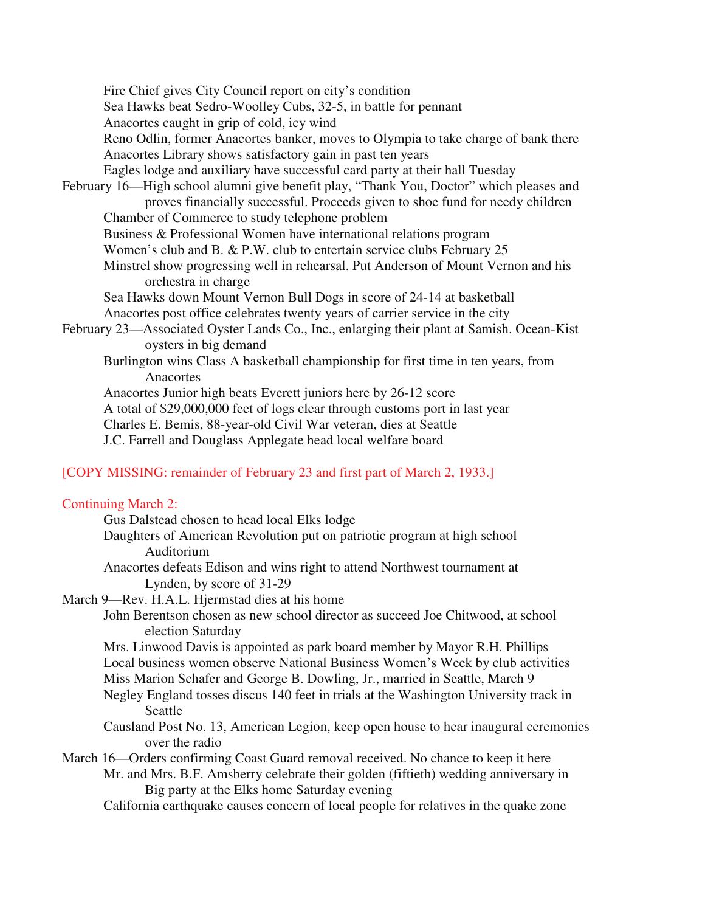Fire Chief gives City Council report on city's condition Sea Hawks beat Sedro-Woolley Cubs, 32-5, in battle for pennant Anacortes caught in grip of cold, icy wind Reno Odlin, former Anacortes banker, moves to Olympia to take charge of bank there Anacortes Library shows satisfactory gain in past ten years Eagles lodge and auxiliary have successful card party at their hall Tuesday February 16—High school alumni give benefit play, "Thank You, Doctor" which pleases and proves financially successful. Proceeds given to shoe fund for needy children Chamber of Commerce to study telephone problem Business & Professional Women have international relations program Women's club and B. & P.W. club to entertain service clubs February 25 Minstrel show progressing well in rehearsal. Put Anderson of Mount Vernon and his orchestra in charge Sea Hawks down Mount Vernon Bull Dogs in score of 24-14 at basketball Anacortes post office celebrates twenty years of carrier service in the city February 23—Associated Oyster Lands Co., Inc., enlarging their plant at Samish. Ocean-Kist oysters in big demand Burlington wins Class A basketball championship for first time in ten years, from Anacortes Anacortes Junior high beats Everett juniors here by 26-12 score A total of \$29,000,000 feet of logs clear through customs port in last year Charles E. Bemis, 88-year-old Civil War veteran, dies at Seattle J.C. Farrell and Douglass Applegate head local welfare board

### [COPY MISSING: remainder of February 23 and first part of March 2, 1933.]

#### Continuing March 2:

| Gus Dalstead chosen to head local Elks lodge                              |
|---------------------------------------------------------------------------|
| Daughters of American Revolution put on patriotic program at high school  |
| Auditorium                                                                |
| Anacortes defeats Edison and wins right to attend Northwest tournament at |
| Lynden, by score of 31-29                                                 |

## March 9—Rev. H.A.L. Hjermstad dies at his home

 John Berentson chosen as new school director as succeed Joe Chitwood, at school election Saturday

 Mrs. Linwood Davis is appointed as park board member by Mayor R.H. Phillips Local business women observe National Business Women's Week by club activities Miss Marion Schafer and George B. Dowling, Jr., married in Seattle, March 9 Negley England tosses discus 140 feet in trials at the Washington University track in

# Seattle

 Causland Post No. 13, American Legion, keep open house to hear inaugural ceremonies over the radio

March 16—Orders confirming Coast Guard removal received. No chance to keep it here

 Mr. and Mrs. B.F. Amsberry celebrate their golden (fiftieth) wedding anniversary in Big party at the Elks home Saturday evening

California earthquake causes concern of local people for relatives in the quake zone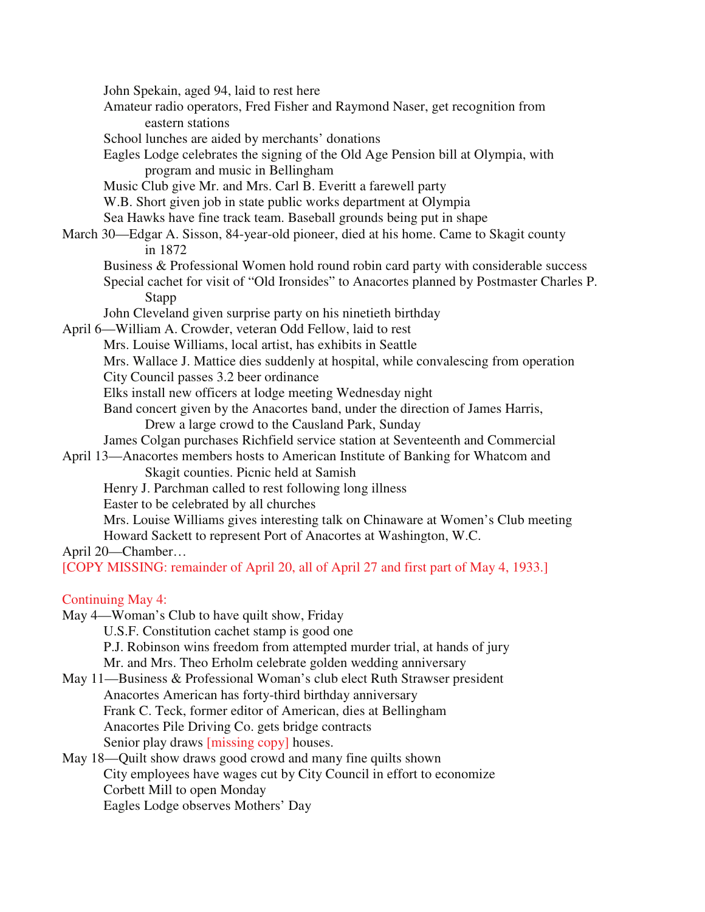John Spekain, aged 94, laid to rest here Amateur radio operators, Fred Fisher and Raymond Naser, get recognition from eastern stations School lunches are aided by merchants' donations Eagles Lodge celebrates the signing of the Old Age Pension bill at Olympia, with program and music in Bellingham Music Club give Mr. and Mrs. Carl B. Everitt a farewell party W.B. Short given job in state public works department at Olympia Sea Hawks have fine track team. Baseball grounds being put in shape March 30—Edgar A. Sisson, 84-year-old pioneer, died at his home. Came to Skagit county in 1872 Business & Professional Women hold round robin card party with considerable success Special cachet for visit of "Old Ironsides" to Anacortes planned by Postmaster Charles P. Stapp John Cleveland given surprise party on his ninetieth birthday April 6—William A. Crowder, veteran Odd Fellow, laid to rest Mrs. Louise Williams, local artist, has exhibits in Seattle Mrs. Wallace J. Mattice dies suddenly at hospital, while convalescing from operation City Council passes 3.2 beer ordinance Elks install new officers at lodge meeting Wednesday night Band concert given by the Anacortes band, under the direction of James Harris, Drew a large crowd to the Causland Park, Sunday James Colgan purchases Richfield service station at Seventeenth and Commercial April 13—Anacortes members hosts to American Institute of Banking for Whatcom and Skagit counties. Picnic held at Samish Henry J. Parchman called to rest following long illness Easter to be celebrated by all churches Mrs. Louise Williams gives interesting talk on Chinaware at Women's Club meeting Howard Sackett to represent Port of Anacortes at Washington, W.C. April 20—Chamber… [COPY MISSING: remainder of April 20, all of April 27 and first part of May 4, 1933.] Continuing May 4: May 4—Woman's Club to have quilt show, Friday U.S.F. Constitution cachet stamp is good one P.J. Robinson wins freedom from attempted murder trial, at hands of jury Mr. and Mrs. Theo Erholm celebrate golden wedding anniversary May 11—Business & Professional Woman's club elect Ruth Strawser president Anacortes American has forty-third birthday anniversary Frank C. Teck, former editor of American, dies at Bellingham

Anacortes Pile Driving Co. gets bridge contracts

Senior play draws [missing copy] houses.

May 18—Quilt show draws good crowd and many fine quilts shown

 City employees have wages cut by City Council in effort to economize Corbett Mill to open Monday

Eagles Lodge observes Mothers' Day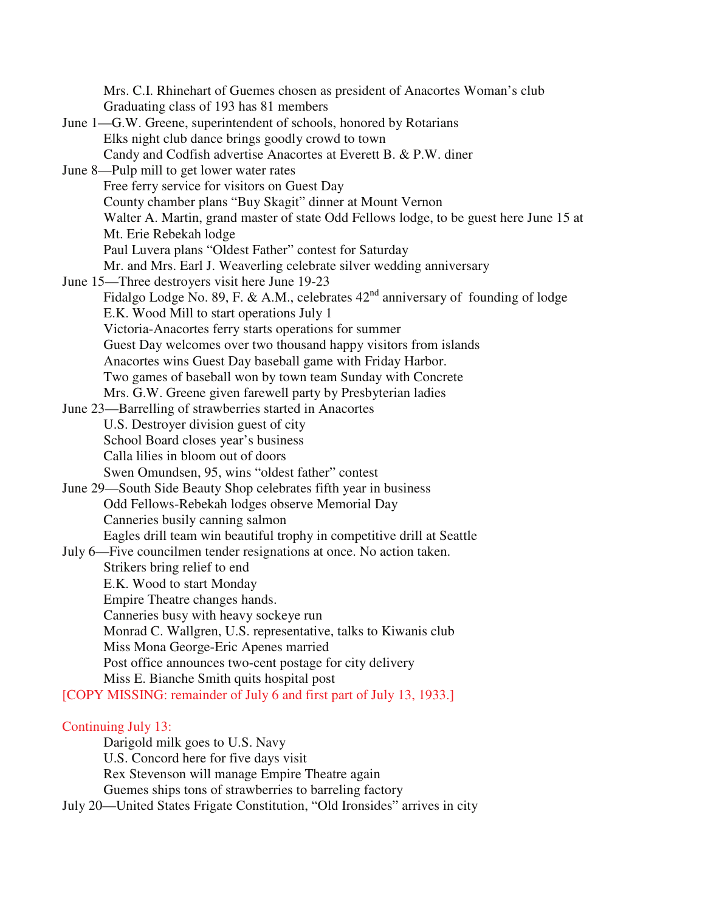Mrs. C.I. Rhinehart of Guemes chosen as president of Anacortes Woman's club Graduating class of 193 has 81 members June 1—G.W. Greene, superintendent of schools, honored by Rotarians Elks night club dance brings goodly crowd to town Candy and Codfish advertise Anacortes at Everett B. & P.W. diner June 8—Pulp mill to get lower water rates Free ferry service for visitors on Guest Day County chamber plans "Buy Skagit" dinner at Mount Vernon Walter A. Martin, grand master of state Odd Fellows lodge, to be guest here June 15 at Mt. Erie Rebekah lodge Paul Luvera plans "Oldest Father" contest for Saturday Mr. and Mrs. Earl J. Weaverling celebrate silver wedding anniversary June 15—Three destroyers visit here June 19-23 Fidalgo Lodge No. 89, F. & A.M., celebrates  $42<sup>nd</sup>$  anniversary of founding of lodge E.K. Wood Mill to start operations July 1 Victoria-Anacortes ferry starts operations for summer Guest Day welcomes over two thousand happy visitors from islands Anacortes wins Guest Day baseball game with Friday Harbor. Two games of baseball won by town team Sunday with Concrete Mrs. G.W. Greene given farewell party by Presbyterian ladies June 23—Barrelling of strawberries started in Anacortes U.S. Destroyer division guest of city School Board closes year's business Calla lilies in bloom out of doors Swen Omundsen, 95, wins "oldest father" contest June 29—South Side Beauty Shop celebrates fifth year in business Odd Fellows-Rebekah lodges observe Memorial Day Canneries busily canning salmon Eagles drill team win beautiful trophy in competitive drill at Seattle July 6—Five councilmen tender resignations at once. No action taken. Strikers bring relief to end E.K. Wood to start Monday Empire Theatre changes hands. Canneries busy with heavy sockeye run Monrad C. Wallgren, U.S. representative, talks to Kiwanis club Miss Mona George-Eric Apenes married Post office announces two-cent postage for city delivery Miss E. Bianche Smith quits hospital post [COPY MISSING: remainder of July 6 and first part of July 13, 1933.] Continuing July 13: Darigold milk goes to U.S. Navy U.S. Concord here for five days visit

Rex Stevenson will manage Empire Theatre again

Guemes ships tons of strawberries to barreling factory

July 20—United States Frigate Constitution, "Old Ironsides" arrives in city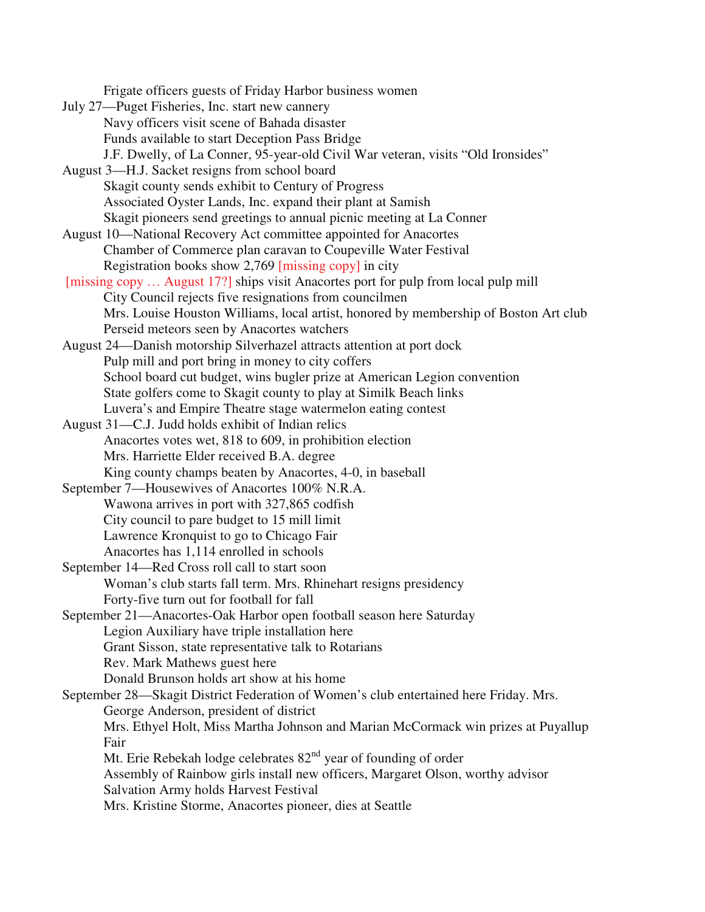July 27—Puget Fisheries, Inc. start new cannery Navy officers visit scene of Bahada disaster Funds available to start Deception Pass Bridge J.F. Dwelly, of La Conner, 95-year-old Civil War veteran, visits "Old Ironsides" August 3—H.J. Sacket resigns from school board

Frigate officers guests of Friday Harbor business women

 Skagit county sends exhibit to Century of Progress Associated Oyster Lands, Inc. expand their plant at Samish Skagit pioneers send greetings to annual picnic meeting at La Conner

August 10—National Recovery Act committee appointed for Anacortes Chamber of Commerce plan caravan to Coupeville Water Festival Registration books show 2,769 [missing copy] in city

 [missing copy … August 17?] ships visit Anacortes port for pulp from local pulp mill City Council rejects five resignations from councilmen Mrs. Louise Houston Williams, local artist, honored by membership of Boston Art club Perseid meteors seen by Anacortes watchers

August 24—Danish motorship Silverhazel attracts attention at port dock Pulp mill and port bring in money to city coffers School board cut budget, wins bugler prize at American Legion convention State golfers come to Skagit county to play at Similk Beach links Luvera's and Empire Theatre stage watermelon eating contest

August 31—C.J. Judd holds exhibit of Indian relics Anacortes votes wet, 818 to 609, in prohibition election Mrs. Harriette Elder received B.A. degree King county champs beaten by Anacortes, 4-0, in baseball

September 7—Housewives of Anacortes 100% N.R.A. Wawona arrives in port with 327,865 codfish City council to pare budget to 15 mill limit Lawrence Kronquist to go to Chicago Fair Anacortes has 1,114 enrolled in schools

September 14—Red Cross roll call to start soon Woman's club starts fall term. Mrs. Rhinehart resigns presidency Forty-five turn out for football for fall

September 21—Anacortes-Oak Harbor open football season here Saturday Legion Auxiliary have triple installation here Grant Sisson, state representative talk to Rotarians Rev. Mark Mathews guest here

Donald Brunson holds art show at his home

September 28—Skagit District Federation of Women's club entertained here Friday. Mrs. George Anderson, president of district Mrs. Ethyel Holt, Miss Martha Johnson and Marian McCormack win prizes at Puyallup Fair Mt. Erie Rebekah lodge celebrates  $82<sup>nd</sup>$  year of founding of order Assembly of Rainbow girls install new officers, Margaret Olson, worthy advisor Salvation Army holds Harvest Festival

Mrs. Kristine Storme, Anacortes pioneer, dies at Seattle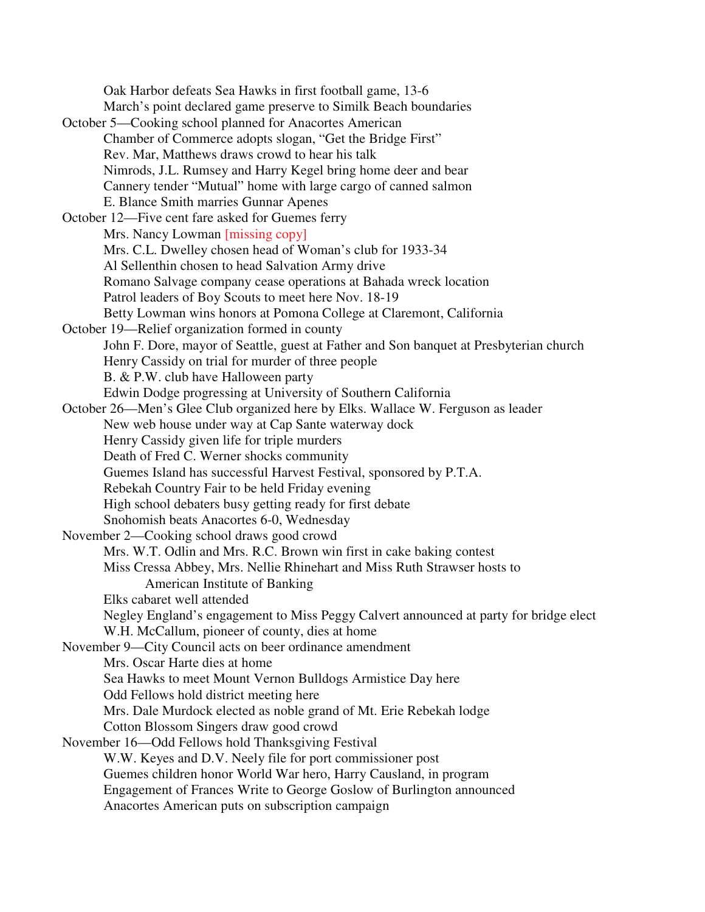Oak Harbor defeats Sea Hawks in first football game, 13-6 March's point declared game preserve to Similk Beach boundaries October 5—Cooking school planned for Anacortes American Chamber of Commerce adopts slogan, "Get the Bridge First" Rev. Mar, Matthews draws crowd to hear his talk Nimrods, J.L. Rumsey and Harry Kegel bring home deer and bear Cannery tender "Mutual" home with large cargo of canned salmon E. Blance Smith marries Gunnar Apenes October 12—Five cent fare asked for Guemes ferry Mrs. Nancy Lowman [missing copy] Mrs. C.L. Dwelley chosen head of Woman's club for 1933-34 Al Sellenthin chosen to head Salvation Army drive Romano Salvage company cease operations at Bahada wreck location Patrol leaders of Boy Scouts to meet here Nov. 18-19 Betty Lowman wins honors at Pomona College at Claremont, California October 19—Relief organization formed in county John F. Dore, mayor of Seattle, guest at Father and Son banquet at Presbyterian church Henry Cassidy on trial for murder of three people B. & P.W. club have Halloween party Edwin Dodge progressing at University of Southern California October 26—Men's Glee Club organized here by Elks. Wallace W. Ferguson as leader New web house under way at Cap Sante waterway dock Henry Cassidy given life for triple murders Death of Fred C. Werner shocks community Guemes Island has successful Harvest Festival, sponsored by P.T.A. Rebekah Country Fair to be held Friday evening High school debaters busy getting ready for first debate Snohomish beats Anacortes 6-0, Wednesday November 2—Cooking school draws good crowd Mrs. W.T. Odlin and Mrs. R.C. Brown win first in cake baking contest Miss Cressa Abbey, Mrs. Nellie Rhinehart and Miss Ruth Strawser hosts to American Institute of Banking Elks cabaret well attended Negley England's engagement to Miss Peggy Calvert announced at party for bridge elect W.H. McCallum, pioneer of county, dies at home November 9—City Council acts on beer ordinance amendment Mrs. Oscar Harte dies at home Sea Hawks to meet Mount Vernon Bulldogs Armistice Day here Odd Fellows hold district meeting here Mrs. Dale Murdock elected as noble grand of Mt. Erie Rebekah lodge Cotton Blossom Singers draw good crowd November 16—Odd Fellows hold Thanksgiving Festival W.W. Keyes and D.V. Neely file for port commissioner post Guemes children honor World War hero, Harry Causland, in program Engagement of Frances Write to George Goslow of Burlington announced Anacortes American puts on subscription campaign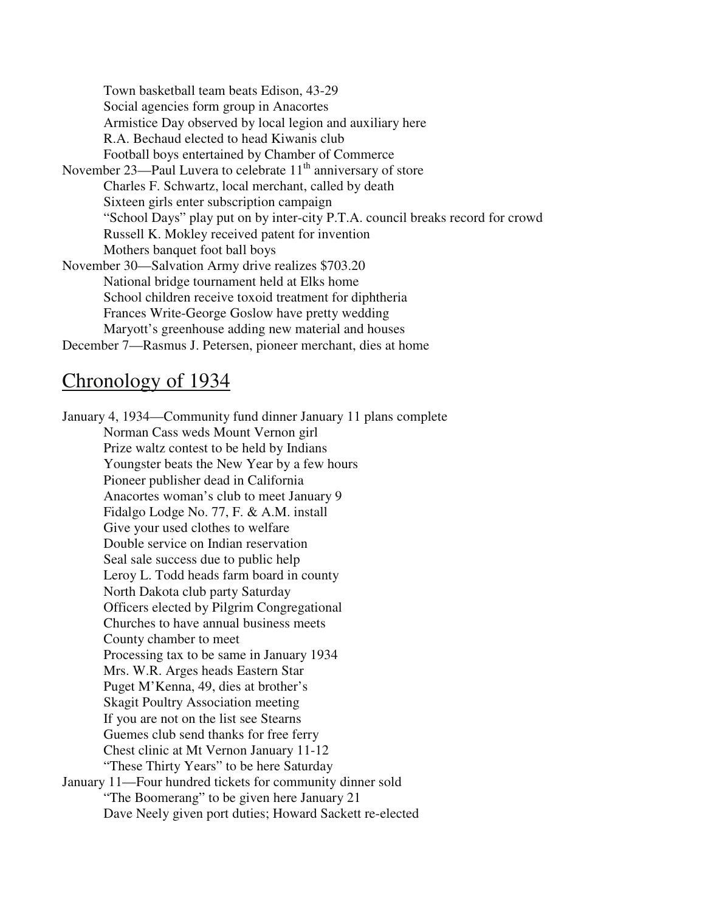Town basketball team beats Edison, 43-29 Social agencies form group in Anacortes Armistice Day observed by local legion and auxiliary here R.A. Bechaud elected to head Kiwanis club Football boys entertained by Chamber of Commerce November 23—Paul Luvera to celebrate  $11<sup>th</sup>$  anniversary of store Charles F. Schwartz, local merchant, called by death Sixteen girls enter subscription campaign "School Days" play put on by inter-city P.T.A. council breaks record for crowd Russell K. Mokley received patent for invention Mothers banquet foot ball boys November 30—Salvation Army drive realizes \$703.20 National bridge tournament held at Elks home School children receive toxoid treatment for diphtheria Frances Write-George Goslow have pretty wedding Maryott's greenhouse adding new material and houses December 7—Rasmus J. Petersen, pioneer merchant, dies at home

# Chronology of 1934

January 4, 1934—Community fund dinner January 11 plans complete Norman Cass weds Mount Vernon girl Prize waltz contest to be held by Indians Youngster beats the New Year by a few hours Pioneer publisher dead in California Anacortes woman's club to meet January 9 Fidalgo Lodge No. 77, F. & A.M. install Give your used clothes to welfare Double service on Indian reservation Seal sale success due to public help Leroy L. Todd heads farm board in county North Dakota club party Saturday Officers elected by Pilgrim Congregational Churches to have annual business meets County chamber to meet Processing tax to be same in January 1934 Mrs. W.R. Arges heads Eastern Star Puget M'Kenna, 49, dies at brother's Skagit Poultry Association meeting If you are not on the list see Stearns Guemes club send thanks for free ferry Chest clinic at Mt Vernon January 11-12 "These Thirty Years" to be here Saturday January 11—Four hundred tickets for community dinner sold "The Boomerang" to be given here January 21 Dave Neely given port duties; Howard Sackett re-elected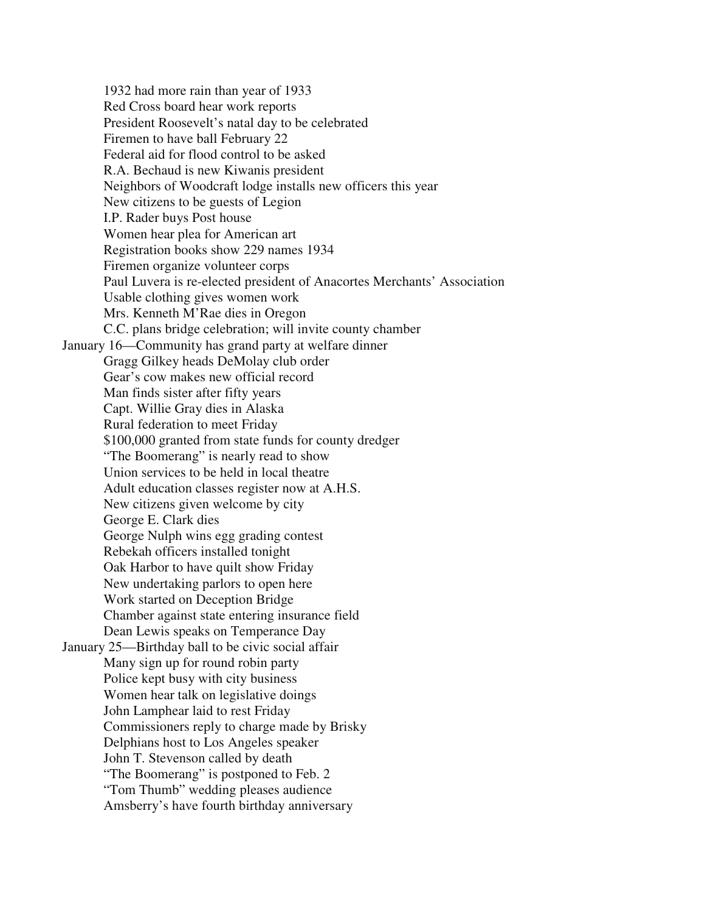1932 had more rain than year of 1933 Red Cross board hear work reports President Roosevelt's natal day to be celebrated Firemen to have ball February 22 Federal aid for flood control to be asked R.A. Bechaud is new Kiwanis president Neighbors of Woodcraft lodge installs new officers this year New citizens to be guests of Legion I.P. Rader buys Post house Women hear plea for American art Registration books show 229 names 1934 Firemen organize volunteer corps Paul Luvera is re-elected president of Anacortes Merchants' Association Usable clothing gives women work Mrs. Kenneth M'Rae dies in Oregon C.C. plans bridge celebration; will invite county chamber January 16—Community has grand party at welfare dinner Gragg Gilkey heads DeMolay club order Gear's cow makes new official record Man finds sister after fifty years Capt. Willie Gray dies in Alaska Rural federation to meet Friday \$100,000 granted from state funds for county dredger "The Boomerang" is nearly read to show Union services to be held in local theatre Adult education classes register now at A.H.S. New citizens given welcome by city George E. Clark dies George Nulph wins egg grading contest Rebekah officers installed tonight Oak Harbor to have quilt show Friday New undertaking parlors to open here Work started on Deception Bridge Chamber against state entering insurance field Dean Lewis speaks on Temperance Day January 25—Birthday ball to be civic social affair Many sign up for round robin party Police kept busy with city business Women hear talk on legislative doings John Lamphear laid to rest Friday Commissioners reply to charge made by Brisky Delphians host to Los Angeles speaker John T. Stevenson called by death "The Boomerang" is postponed to Feb. 2 "Tom Thumb" wedding pleases audience Amsberry's have fourth birthday anniversary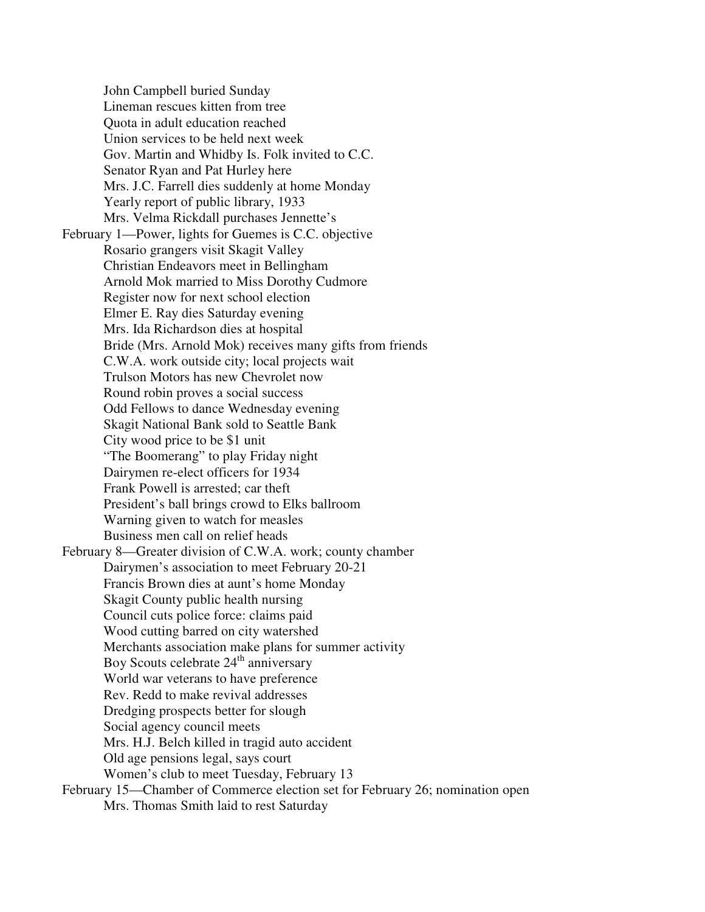John Campbell buried Sunday Lineman rescues kitten from tree Quota in adult education reached Union services to be held next week Gov. Martin and Whidby Is. Folk invited to C.C. Senator Ryan and Pat Hurley here Mrs. J.C. Farrell dies suddenly at home Monday Yearly report of public library, 1933 Mrs. Velma Rickdall purchases Jennette's February 1—Power, lights for Guemes is C.C. objective Rosario grangers visit Skagit Valley Christian Endeavors meet in Bellingham Arnold Mok married to Miss Dorothy Cudmore Register now for next school election Elmer E. Ray dies Saturday evening Mrs. Ida Richardson dies at hospital Bride (Mrs. Arnold Mok) receives many gifts from friends C.W.A. work outside city; local projects wait Trulson Motors has new Chevrolet now Round robin proves a social success Odd Fellows to dance Wednesday evening Skagit National Bank sold to Seattle Bank City wood price to be \$1 unit "The Boomerang" to play Friday night Dairymen re-elect officers for 1934 Frank Powell is arrested; car theft President's ball brings crowd to Elks ballroom Warning given to watch for measles Business men call on relief heads February 8—Greater division of C.W.A. work; county chamber Dairymen's association to meet February 20-21 Francis Brown dies at aunt's home Monday Skagit County public health nursing Council cuts police force: claims paid Wood cutting barred on city watershed Merchants association make plans for summer activity Boy Scouts celebrate  $24<sup>th</sup>$  anniversary World war veterans to have preference Rev. Redd to make revival addresses Dredging prospects better for slough Social agency council meets Mrs. H.J. Belch killed in tragid auto accident Old age pensions legal, says court Women's club to meet Tuesday, February 13 February 15—Chamber of Commerce election set for February 26; nomination open Mrs. Thomas Smith laid to rest Saturday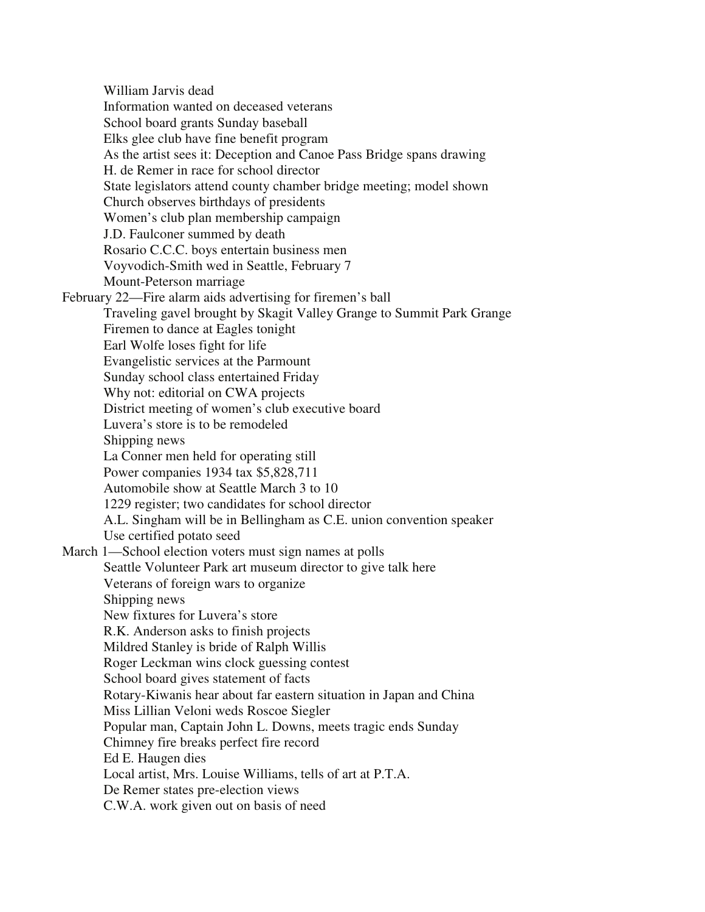William Jarvis dead Information wanted on deceased veterans School board grants Sunday baseball Elks glee club have fine benefit program As the artist sees it: Deception and Canoe Pass Bridge spans drawing H. de Remer in race for school director State legislators attend county chamber bridge meeting; model shown Church observes birthdays of presidents Women's club plan membership campaign J.D. Faulconer summed by death Rosario C.C.C. boys entertain business men Voyvodich-Smith wed in Seattle, February 7 Mount-Peterson marriage February 22—Fire alarm aids advertising for firemen's ball Traveling gavel brought by Skagit Valley Grange to Summit Park Grange Firemen to dance at Eagles tonight Earl Wolfe loses fight for life Evangelistic services at the Parmount Sunday school class entertained Friday Why not: editorial on CWA projects District meeting of women's club executive board Luvera's store is to be remodeled Shipping news La Conner men held for operating still Power companies 1934 tax \$5,828,711 Automobile show at Seattle March 3 to 10 1229 register; two candidates for school director A.L. Singham will be in Bellingham as C.E. union convention speaker Use certified potato seed March 1—School election voters must sign names at polls Seattle Volunteer Park art museum director to give talk here Veterans of foreign wars to organize Shipping news New fixtures for Luvera's store R.K. Anderson asks to finish projects Mildred Stanley is bride of Ralph Willis Roger Leckman wins clock guessing contest School board gives statement of facts Rotary-Kiwanis hear about far eastern situation in Japan and China Miss Lillian Veloni weds Roscoe Siegler Popular man, Captain John L. Downs, meets tragic ends Sunday Chimney fire breaks perfect fire record Ed E. Haugen dies Local artist, Mrs. Louise Williams, tells of art at P.T.A. De Remer states pre-election views C.W.A. work given out on basis of need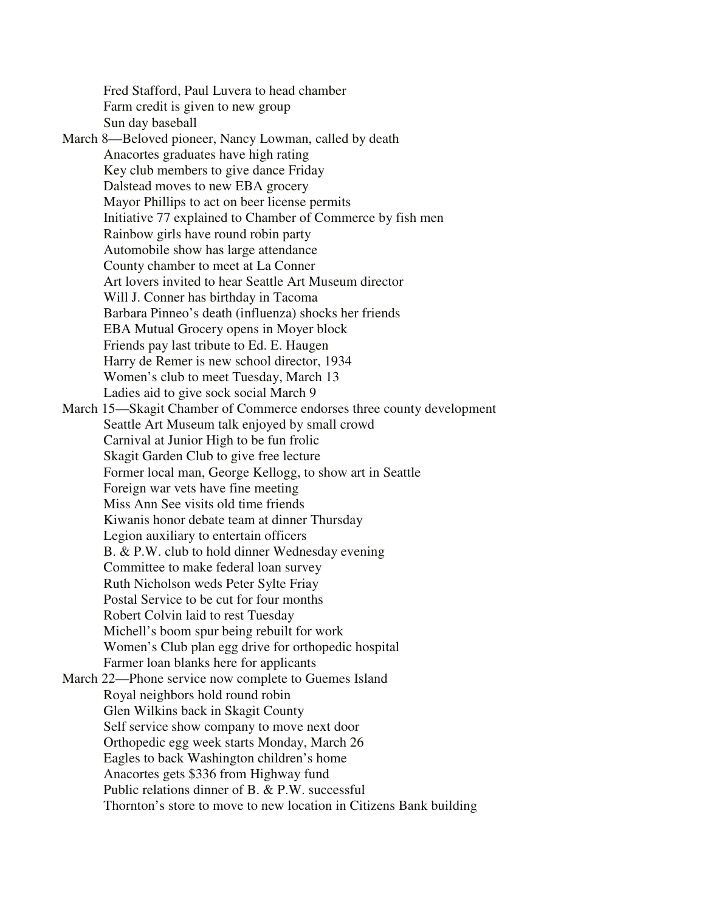Fred Stafford, Paul Luvera to head chamber Farm credit is given to new group Sun day baseball

March 8—Beloved pioneer, Nancy Lowman, called by death Anacortes graduates have high rating Key club members to give dance Friday Dalstead moves to new EBA grocery Mayor Phillips to act on beer license permits Initiative 77 explained to Chamber of Commerce by fish men Rainbow girls have round robin party Automobile show has large attendance County chamber to meet at La Conner Art lovers invited to hear Seattle Art Museum director Will J. Conner has birthday in Tacoma Barbara Pinneo's death (influenza) shocks her friends EBA Mutual Grocery opens in Moyer block Friends pay last tribute to Ed. E. Haugen Harry de Remer is new school director, 1934 Women's club to meet Tuesday, March 13 Ladies aid to give sock social March 9 March 15—Skagit Chamber of Commerce endorses three county development

 Seattle Art Museum talk enjoyed by small crowd Carnival at Junior High to be fun frolic Skagit Garden Club to give free lecture Former local man, George Kellogg, to show art in Seattle Foreign war vets have fine meeting Miss Ann See visits old time friends Kiwanis honor debate team at dinner Thursday Legion auxiliary to entertain officers B. & P.W. club to hold dinner Wednesday evening Committee to make federal loan survey Ruth Nicholson weds Peter Sylte Friay Postal Service to be cut for four months Robert Colvin laid to rest Tuesday Michell's boom spur being rebuilt for work Women's Club plan egg drive for orthopedic hospital Farmer loan blanks here for applicants March 22—Phone service now complete to Guemes Island Royal neighbors hold round robin Glen Wilkins back in Skagit County Self service show company to move next door Orthopedic egg week starts Monday, March 26 Eagles to back Washington children's home Anacortes gets \$336 from Highway fund

Public relations dinner of B. & P.W. successful

Thornton's store to move to new location in Citizens Bank building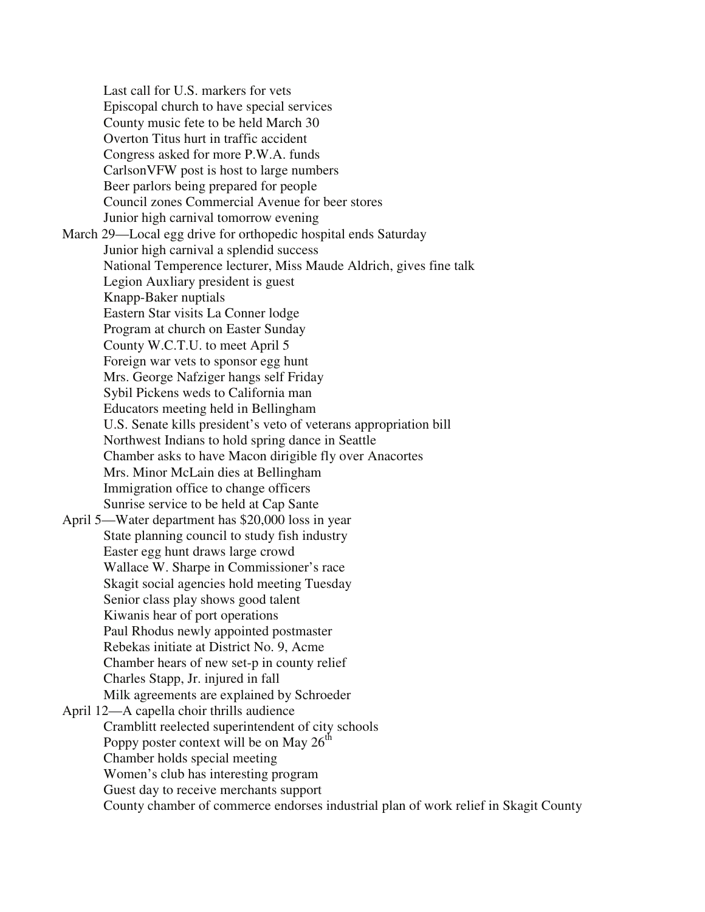Last call for U.S. markers for vets Episcopal church to have special services County music fete to be held March 30 Overton Titus hurt in traffic accident Congress asked for more P.W.A. funds CarlsonVFW post is host to large numbers Beer parlors being prepared for people Council zones Commercial Avenue for beer stores Junior high carnival tomorrow evening March 29—Local egg drive for orthopedic hospital ends Saturday Junior high carnival a splendid success National Temperence lecturer, Miss Maude Aldrich, gives fine talk Legion Auxliary president is guest Knapp-Baker nuptials Eastern Star visits La Conner lodge Program at church on Easter Sunday County W.C.T.U. to meet April 5 Foreign war vets to sponsor egg hunt Mrs. George Nafziger hangs self Friday Sybil Pickens weds to California man Educators meeting held in Bellingham U.S. Senate kills president's veto of veterans appropriation bill Northwest Indians to hold spring dance in Seattle Chamber asks to have Macon dirigible fly over Anacortes Mrs. Minor McLain dies at Bellingham Immigration office to change officers Sunrise service to be held at Cap Sante April 5—Water department has \$20,000 loss in year State planning council to study fish industry Easter egg hunt draws large crowd Wallace W. Sharpe in Commissioner's race Skagit social agencies hold meeting Tuesday Senior class play shows good talent Kiwanis hear of port operations Paul Rhodus newly appointed postmaster Rebekas initiate at District No. 9, Acme Chamber hears of new set-p in county relief Charles Stapp, Jr. injured in fall Milk agreements are explained by Schroeder April 12—A capella choir thrills audience Cramblitt reelected superintendent of city schools Poppy poster context will be on May  $26<sup>th</sup>$  Chamber holds special meeting Women's club has interesting program Guest day to receive merchants support County chamber of commerce endorses industrial plan of work relief in Skagit County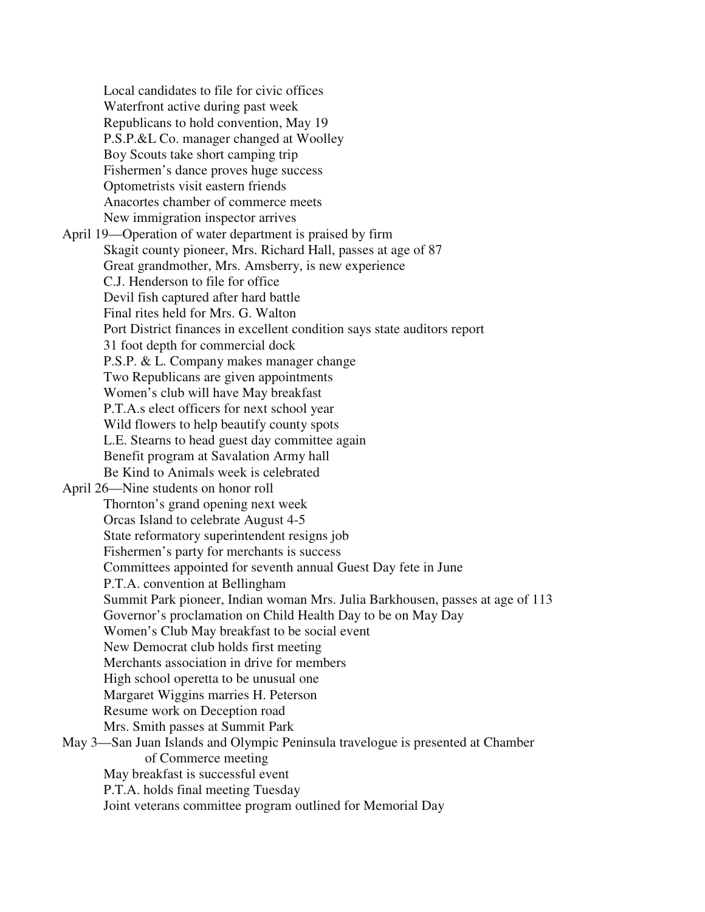Local candidates to file for civic offices Waterfront active during past week Republicans to hold convention, May 19 P.S.P.&L Co. manager changed at Woolley Boy Scouts take short camping trip Fishermen's dance proves huge success Optometrists visit eastern friends Anacortes chamber of commerce meets New immigration inspector arrives April 19—Operation of water department is praised by firm Skagit county pioneer, Mrs. Richard Hall, passes at age of 87 Great grandmother, Mrs. Amsberry, is new experience C.J. Henderson to file for office Devil fish captured after hard battle Final rites held for Mrs. G. Walton Port District finances in excellent condition says state auditors report 31 foot depth for commercial dock P.S.P. & L. Company makes manager change Two Republicans are given appointments Women's club will have May breakfast P.T.A.s elect officers for next school year Wild flowers to help beautify county spots L.E. Stearns to head guest day committee again Benefit program at Savalation Army hall Be Kind to Animals week is celebrated April 26—Nine students on honor roll Thornton's grand opening next week Orcas Island to celebrate August 4-5 State reformatory superintendent resigns job Fishermen's party for merchants is success Committees appointed for seventh annual Guest Day fete in June P.T.A. convention at Bellingham Summit Park pioneer, Indian woman Mrs. Julia Barkhousen, passes at age of 113 Governor's proclamation on Child Health Day to be on May Day Women's Club May breakfast to be social event New Democrat club holds first meeting Merchants association in drive for members High school operetta to be unusual one Margaret Wiggins marries H. Peterson Resume work on Deception road Mrs. Smith passes at Summit Park May 3—San Juan Islands and Olympic Peninsula travelogue is presented at Chamber of Commerce meeting May breakfast is successful event P.T.A. holds final meeting Tuesday Joint veterans committee program outlined for Memorial Day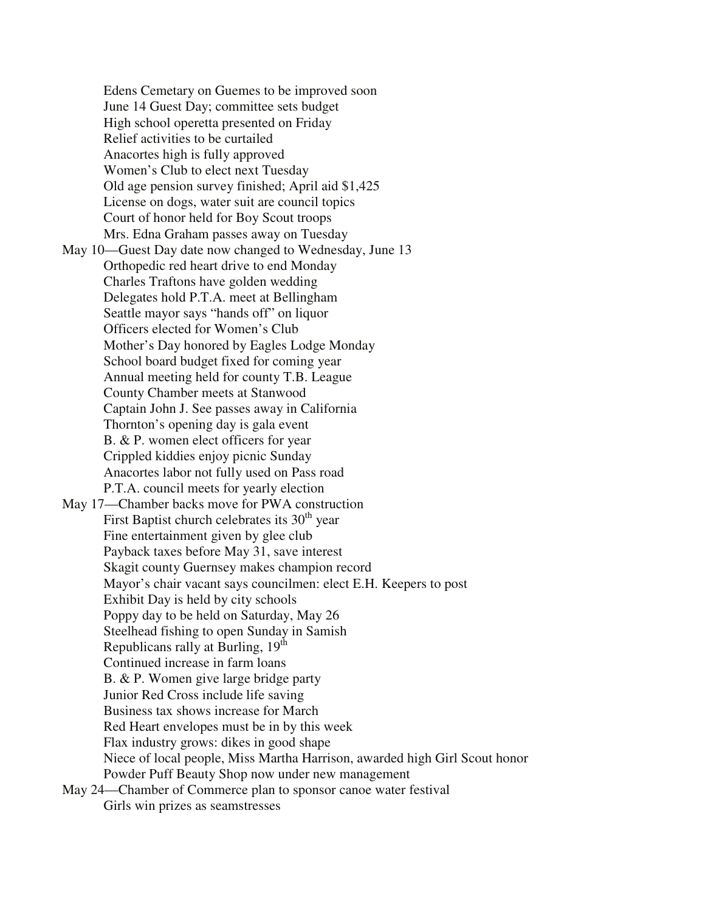Edens Cemetary on Guemes to be improved soon June 14 Guest Day; committee sets budget High school operetta presented on Friday Relief activities to be curtailed Anacortes high is fully approved Women's Club to elect next Tuesday Old age pension survey finished; April aid \$1,425 License on dogs, water suit are council topics Court of honor held for Boy Scout troops Mrs. Edna Graham passes away on Tuesday May 10—Guest Day date now changed to Wednesday, June 13 Orthopedic red heart drive to end Monday Charles Traftons have golden wedding Delegates hold P.T.A. meet at Bellingham Seattle mayor says "hands off" on liquor Officers elected for Women's Club Mother's Day honored by Eagles Lodge Monday School board budget fixed for coming year Annual meeting held for county T.B. League County Chamber meets at Stanwood Captain John J. See passes away in California Thornton's opening day is gala event B. & P. women elect officers for year Crippled kiddies enjoy picnic Sunday Anacortes labor not fully used on Pass road P.T.A. council meets for yearly election May 17—Chamber backs move for PWA construction First Baptist church celebrates its  $30<sup>th</sup>$  year Fine entertainment given by glee club Payback taxes before May 31, save interest Skagit county Guernsey makes champion record Mayor's chair vacant says councilmen: elect E.H. Keepers to post Exhibit Day is held by city schools Poppy day to be held on Saturday, May 26 Steelhead fishing to open Sunday in Samish Republicans rally at Burling,  $19<sup>th</sup>$  Continued increase in farm loans B. & P. Women give large bridge party Junior Red Cross include life saving Business tax shows increase for March Red Heart envelopes must be in by this week Flax industry grows: dikes in good shape Niece of local people, Miss Martha Harrison, awarded high Girl Scout honor Powder Puff Beauty Shop now under new management May 24—Chamber of Commerce plan to sponsor canoe water festival

Girls win prizes as seamstresses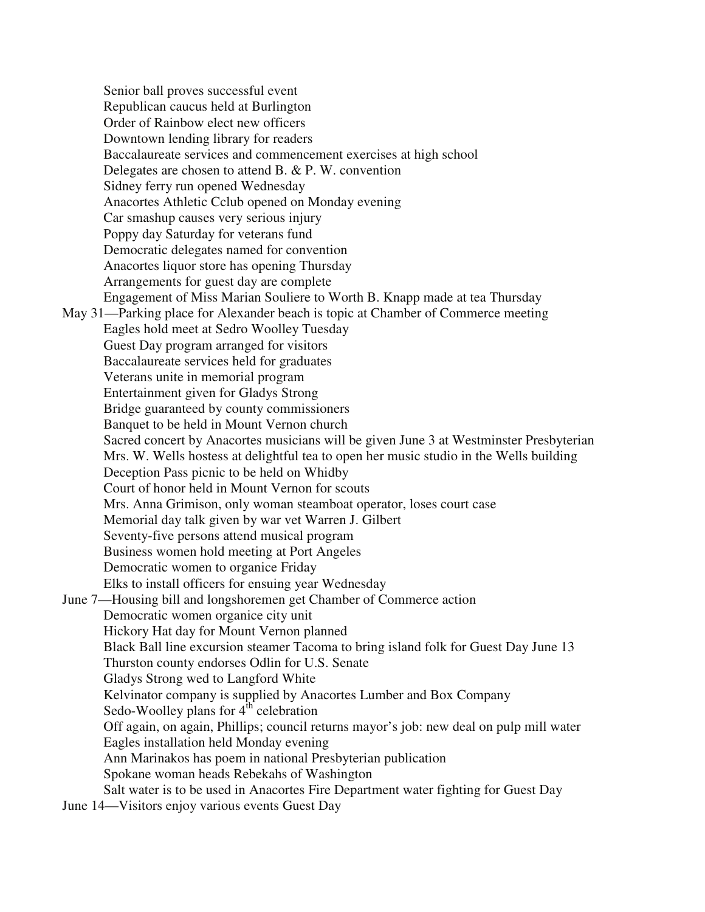Senior ball proves successful event Republican caucus held at Burlington Order of Rainbow elect new officers Downtown lending library for readers Baccalaureate services and commencement exercises at high school Delegates are chosen to attend B. & P. W. convention Sidney ferry run opened Wednesday Anacortes Athletic Cclub opened on Monday evening Car smashup causes very serious injury Poppy day Saturday for veterans fund Democratic delegates named for convention Anacortes liquor store has opening Thursday Arrangements for guest day are complete Engagement of Miss Marian Souliere to Worth B. Knapp made at tea Thursday May 31—Parking place for Alexander beach is topic at Chamber of Commerce meeting Eagles hold meet at Sedro Woolley Tuesday Guest Day program arranged for visitors Baccalaureate services held for graduates Veterans unite in memorial program Entertainment given for Gladys Strong Bridge guaranteed by county commissioners Banquet to be held in Mount Vernon church Sacred concert by Anacortes musicians will be given June 3 at Westminster Presbyterian Mrs. W. Wells hostess at delightful tea to open her music studio in the Wells building Deception Pass picnic to be held on Whidby Court of honor held in Mount Vernon for scouts Mrs. Anna Grimison, only woman steamboat operator, loses court case Memorial day talk given by war vet Warren J. Gilbert Seventy-five persons attend musical program Business women hold meeting at Port Angeles Democratic women to organice Friday Elks to install officers for ensuing year Wednesday June 7—Housing bill and longshoremen get Chamber of Commerce action Democratic women organice city unit Hickory Hat day for Mount Vernon planned Black Ball line excursion steamer Tacoma to bring island folk for Guest Day June 13 Thurston county endorses Odlin for U.S. Senate Gladys Strong wed to Langford White Kelvinator company is supplied by Anacortes Lumber and Box Company Sedo-Woolley plans for  $4^{\text{th}}$  celebration Off again, on again, Phillips; council returns mayor's job: new deal on pulp mill water Eagles installation held Monday evening Ann Marinakos has poem in national Presbyterian publication Spokane woman heads Rebekahs of Washington Salt water is to be used in Anacortes Fire Department water fighting for Guest Day June 14—Visitors enjoy various events Guest Day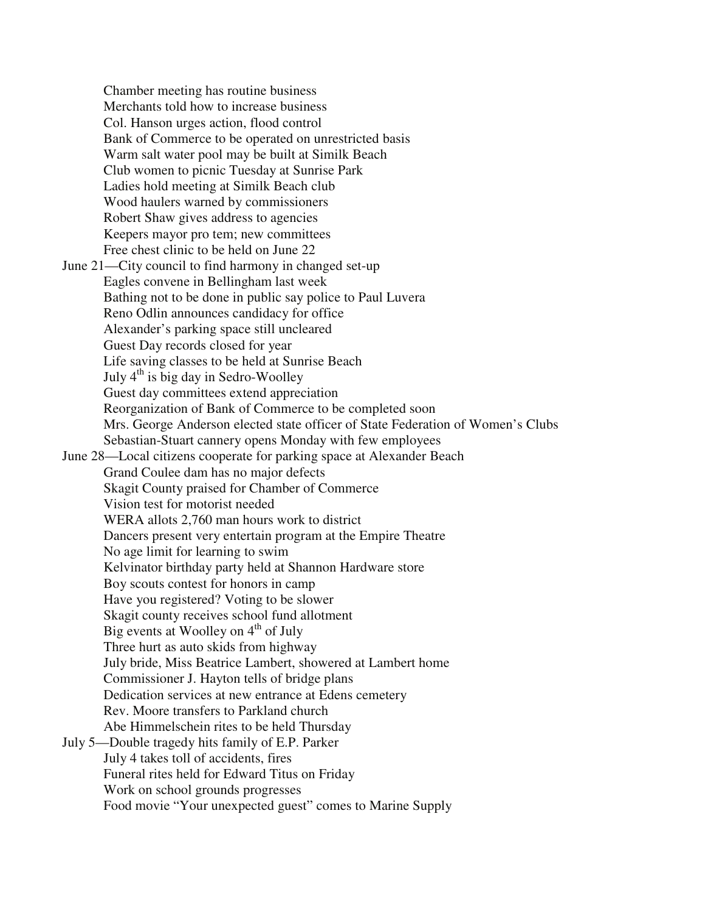Chamber meeting has routine business Merchants told how to increase business Col. Hanson urges action, flood control Bank of Commerce to be operated on unrestricted basis Warm salt water pool may be built at Similk Beach Club women to picnic Tuesday at Sunrise Park Ladies hold meeting at Similk Beach club Wood haulers warned by commissioners Robert Shaw gives address to agencies Keepers mayor pro tem; new committees Free chest clinic to be held on June 22 June 21—City council to find harmony in changed set-up Eagles convene in Bellingham last week Bathing not to be done in public say police to Paul Luvera Reno Odlin announces candidacy for office Alexander's parking space still uncleared Guest Day records closed for year Life saving classes to be held at Sunrise Beach July  $4<sup>th</sup>$  is big day in Sedro-Woolley Guest day committees extend appreciation Reorganization of Bank of Commerce to be completed soon Mrs. George Anderson elected state officer of State Federation of Women's Clubs Sebastian-Stuart cannery opens Monday with few employees June 28—Local citizens cooperate for parking space at Alexander Beach Grand Coulee dam has no major defects Skagit County praised for Chamber of Commerce Vision test for motorist needed WERA allots 2,760 man hours work to district Dancers present very entertain program at the Empire Theatre No age limit for learning to swim Kelvinator birthday party held at Shannon Hardware store Boy scouts contest for honors in camp Have you registered? Voting to be slower Skagit county receives school fund allotment Big events at Woolley on  $4<sup>th</sup>$  of July Three hurt as auto skids from highway July bride, Miss Beatrice Lambert, showered at Lambert home Commissioner J. Hayton tells of bridge plans Dedication services at new entrance at Edens cemetery Rev. Moore transfers to Parkland church Abe Himmelschein rites to be held Thursday July 5—Double tragedy hits family of E.P. Parker July 4 takes toll of accidents, fires Funeral rites held for Edward Titus on Friday Work on school grounds progresses Food movie "Your unexpected guest" comes to Marine Supply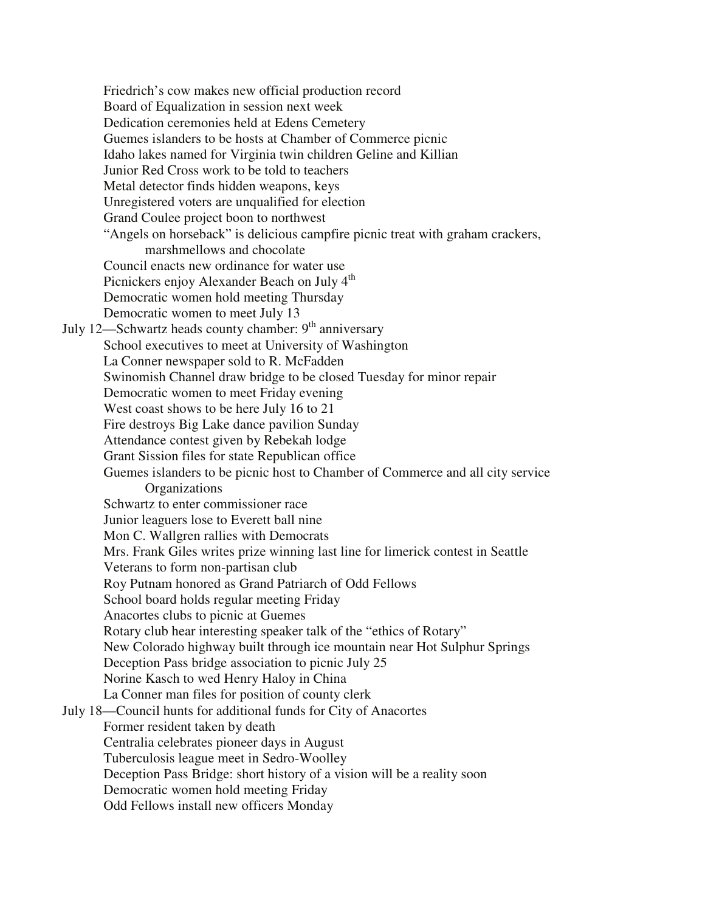Friedrich's cow makes new official production record Board of Equalization in session next week Dedication ceremonies held at Edens Cemetery Guemes islanders to be hosts at Chamber of Commerce picnic Idaho lakes named for Virginia twin children Geline and Killian Junior Red Cross work to be told to teachers Metal detector finds hidden weapons, keys Unregistered voters are unqualified for election Grand Coulee project boon to northwest "Angels on horseback" is delicious campfire picnic treat with graham crackers, marshmellows and chocolate Council enacts new ordinance for water use Picnickers enjoy Alexander Beach on July 4<sup>th</sup> Democratic women hold meeting Thursday Democratic women to meet July 13 July 12—Schwartz heads county chamber:  $9<sup>th</sup>$  anniversary School executives to meet at University of Washington La Conner newspaper sold to R. McFadden Swinomish Channel draw bridge to be closed Tuesday for minor repair Democratic women to meet Friday evening West coast shows to be here July 16 to 21 Fire destroys Big Lake dance pavilion Sunday Attendance contest given by Rebekah lodge Grant Sission files for state Republican office Guemes islanders to be picnic host to Chamber of Commerce and all city service **Organizations** Schwartz to enter commissioner race Junior leaguers lose to Everett ball nine Mon C. Wallgren rallies with Democrats Mrs. Frank Giles writes prize winning last line for limerick contest in Seattle Veterans to form non-partisan club Roy Putnam honored as Grand Patriarch of Odd Fellows School board holds regular meeting Friday Anacortes clubs to picnic at Guemes Rotary club hear interesting speaker talk of the "ethics of Rotary" New Colorado highway built through ice mountain near Hot Sulphur Springs Deception Pass bridge association to picnic July 25 Norine Kasch to wed Henry Haloy in China La Conner man files for position of county clerk July 18—Council hunts for additional funds for City of Anacortes Former resident taken by death Centralia celebrates pioneer days in August Tuberculosis league meet in Sedro-Woolley Deception Pass Bridge: short history of a vision will be a reality soon Democratic women hold meeting Friday Odd Fellows install new officers Monday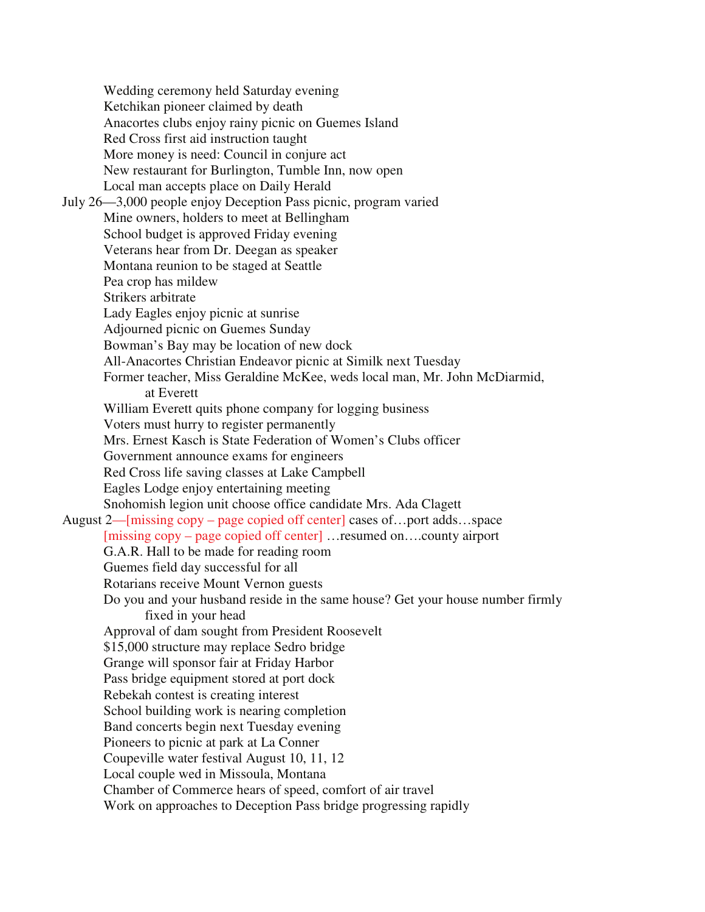Wedding ceremony held Saturday evening Ketchikan pioneer claimed by death Anacortes clubs enjoy rainy picnic on Guemes Island Red Cross first aid instruction taught More money is need: Council in conjure act New restaurant for Burlington, Tumble Inn, now open Local man accepts place on Daily Herald July 26—3,000 people enjoy Deception Pass picnic, program varied Mine owners, holders to meet at Bellingham School budget is approved Friday evening Veterans hear from Dr. Deegan as speaker Montana reunion to be staged at Seattle Pea crop has mildew Strikers arbitrate Lady Eagles enjoy picnic at sunrise Adjourned picnic on Guemes Sunday Bowman's Bay may be location of new dock All-Anacortes Christian Endeavor picnic at Similk next Tuesday Former teacher, Miss Geraldine McKee, weds local man, Mr. John McDiarmid, at Everett William Everett quits phone company for logging business Voters must hurry to register permanently Mrs. Ernest Kasch is State Federation of Women's Clubs officer Government announce exams for engineers Red Cross life saving classes at Lake Campbell Eagles Lodge enjoy entertaining meeting Snohomish legion unit choose office candidate Mrs. Ada Clagett August 2—[missing copy – page copied off center] cases of…port adds…space [missing copy – page copied off center] …resumed on….county airport G.A.R. Hall to be made for reading room Guemes field day successful for all Rotarians receive Mount Vernon guests Do you and your husband reside in the same house? Get your house number firmly fixed in your head Approval of dam sought from President Roosevelt \$15,000 structure may replace Sedro bridge Grange will sponsor fair at Friday Harbor Pass bridge equipment stored at port dock Rebekah contest is creating interest School building work is nearing completion Band concerts begin next Tuesday evening Pioneers to picnic at park at La Conner Coupeville water festival August 10, 11, 12 Local couple wed in Missoula, Montana Chamber of Commerce hears of speed, comfort of air travel Work on approaches to Deception Pass bridge progressing rapidly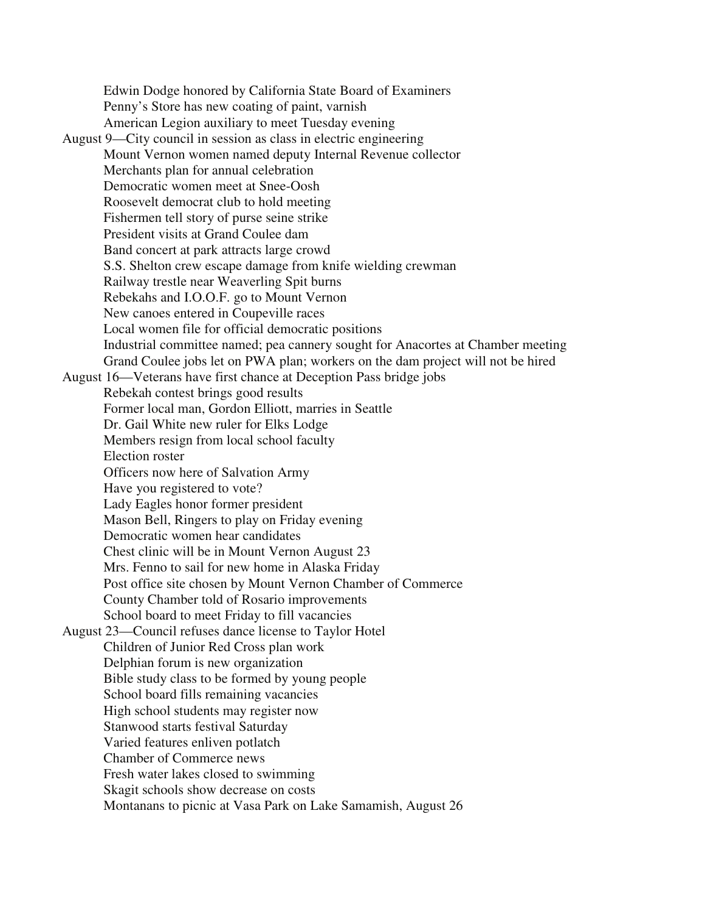Edwin Dodge honored by California State Board of Examiners Penny's Store has new coating of paint, varnish American Legion auxiliary to meet Tuesday evening August 9—City council in session as class in electric engineering Mount Vernon women named deputy Internal Revenue collector Merchants plan for annual celebration Democratic women meet at Snee-Oosh Roosevelt democrat club to hold meeting Fishermen tell story of purse seine strike President visits at Grand Coulee dam Band concert at park attracts large crowd S.S. Shelton crew escape damage from knife wielding crewman Railway trestle near Weaverling Spit burns Rebekahs and I.O.O.F. go to Mount Vernon New canoes entered in Coupeville races Local women file for official democratic positions Industrial committee named; pea cannery sought for Anacortes at Chamber meeting Grand Coulee jobs let on PWA plan; workers on the dam project will not be hired August 16—Veterans have first chance at Deception Pass bridge jobs Rebekah contest brings good results Former local man, Gordon Elliott, marries in Seattle Dr. Gail White new ruler for Elks Lodge Members resign from local school faculty Election roster Officers now here of Salvation Army Have you registered to vote? Lady Eagles honor former president Mason Bell, Ringers to play on Friday evening Democratic women hear candidates Chest clinic will be in Mount Vernon August 23 Mrs. Fenno to sail for new home in Alaska Friday Post office site chosen by Mount Vernon Chamber of Commerce County Chamber told of Rosario improvements School board to meet Friday to fill vacancies August 23—Council refuses dance license to Taylor Hotel Children of Junior Red Cross plan work Delphian forum is new organization Bible study class to be formed by young people School board fills remaining vacancies High school students may register now Stanwood starts festival Saturday Varied features enliven potlatch Chamber of Commerce news Fresh water lakes closed to swimming Skagit schools show decrease on costs Montanans to picnic at Vasa Park on Lake Samamish, August 26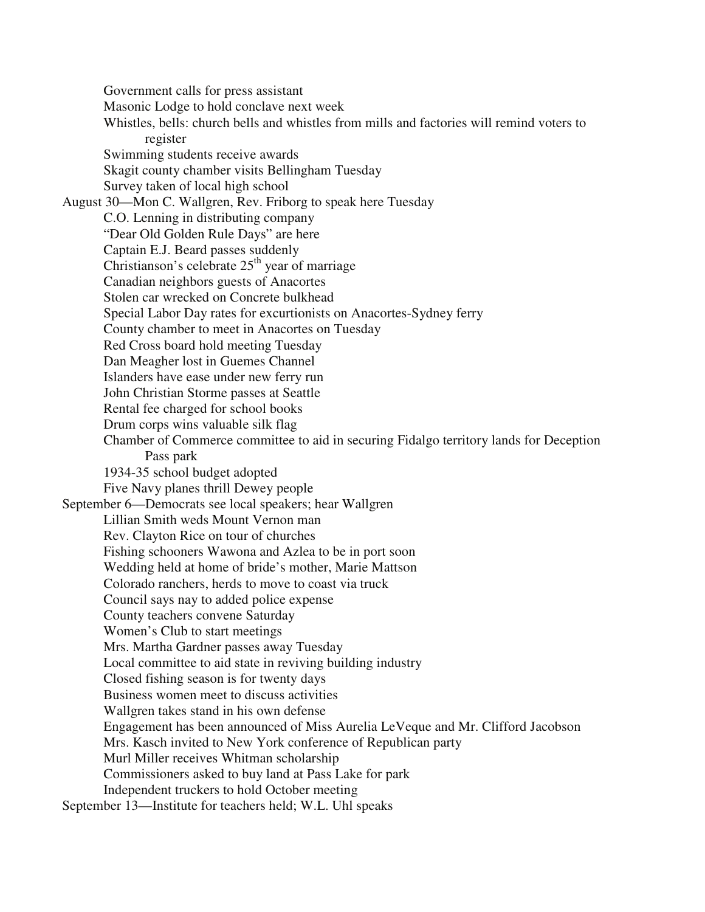Government calls for press assistant Masonic Lodge to hold conclave next week Whistles, bells: church bells and whistles from mills and factories will remind voters to register Swimming students receive awards Skagit county chamber visits Bellingham Tuesday Survey taken of local high school August 30—Mon C. Wallgren, Rev. Friborg to speak here Tuesday C.O. Lenning in distributing company "Dear Old Golden Rule Days" are here Captain E.J. Beard passes suddenly Christianson's celebrate  $25<sup>th</sup>$  year of marriage Canadian neighbors guests of Anacortes Stolen car wrecked on Concrete bulkhead Special Labor Day rates for excurtionists on Anacortes-Sydney ferry County chamber to meet in Anacortes on Tuesday Red Cross board hold meeting Tuesday Dan Meagher lost in Guemes Channel Islanders have ease under new ferry run John Christian Storme passes at Seattle Rental fee charged for school books Drum corps wins valuable silk flag Chamber of Commerce committee to aid in securing Fidalgo territory lands for Deception Pass park 1934-35 school budget adopted Five Navy planes thrill Dewey people September 6—Democrats see local speakers; hear Wallgren Lillian Smith weds Mount Vernon man Rev. Clayton Rice on tour of churches Fishing schooners Wawona and Azlea to be in port soon Wedding held at home of bride's mother, Marie Mattson Colorado ranchers, herds to move to coast via truck Council says nay to added police expense County teachers convene Saturday Women's Club to start meetings Mrs. Martha Gardner passes away Tuesday Local committee to aid state in reviving building industry Closed fishing season is for twenty days Business women meet to discuss activities Wallgren takes stand in his own defense Engagement has been announced of Miss Aurelia LeVeque and Mr. Clifford Jacobson Mrs. Kasch invited to New York conference of Republican party Murl Miller receives Whitman scholarship Commissioners asked to buy land at Pass Lake for park Independent truckers to hold October meeting

September 13—Institute for teachers held; W.L. Uhl speaks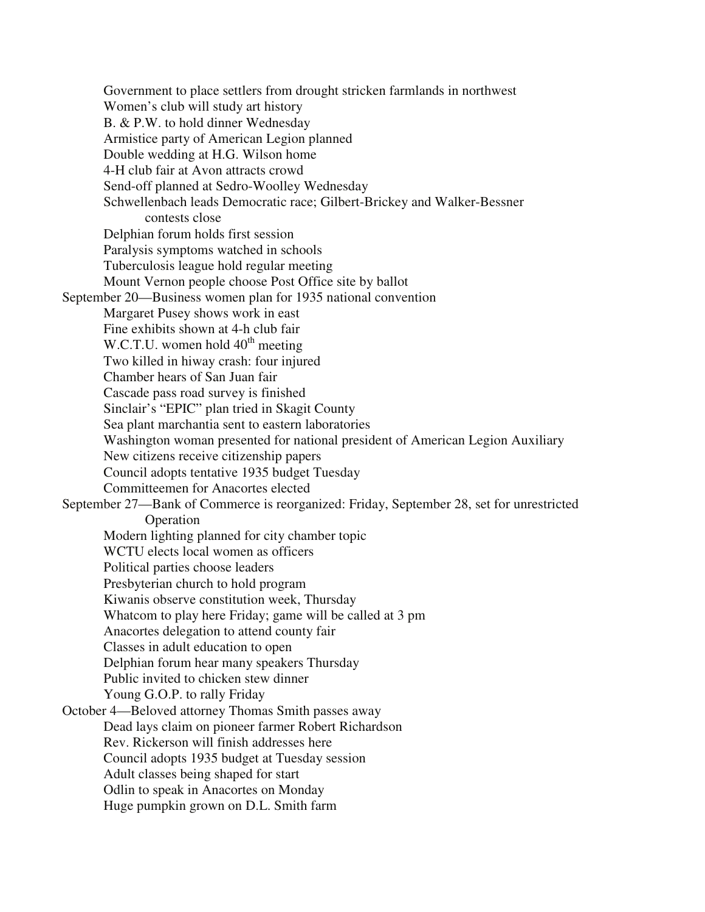Government to place settlers from drought stricken farmlands in northwest Women's club will study art history B. & P.W. to hold dinner Wednesday Armistice party of American Legion planned Double wedding at H.G. Wilson home 4-H club fair at Avon attracts crowd Send-off planned at Sedro-Woolley Wednesday Schwellenbach leads Democratic race; Gilbert-Brickey and Walker-Bessner contests close Delphian forum holds first session Paralysis symptoms watched in schools Tuberculosis league hold regular meeting Mount Vernon people choose Post Office site by ballot September 20—Business women plan for 1935 national convention Margaret Pusey shows work in east Fine exhibits shown at 4-h club fair W.C.T.U. women hold  $40<sup>th</sup>$  meeting Two killed in hiway crash: four injured Chamber hears of San Juan fair Cascade pass road survey is finished Sinclair's "EPIC" plan tried in Skagit County Sea plant marchantia sent to eastern laboratories Washington woman presented for national president of American Legion Auxiliary New citizens receive citizenship papers Council adopts tentative 1935 budget Tuesday Committeemen for Anacortes elected September 27—Bank of Commerce is reorganized: Friday, September 28, set for unrestricted Operation Modern lighting planned for city chamber topic WCTU elects local women as officers Political parties choose leaders Presbyterian church to hold program Kiwanis observe constitution week, Thursday Whatcom to play here Friday; game will be called at 3 pm Anacortes delegation to attend county fair Classes in adult education to open Delphian forum hear many speakers Thursday Public invited to chicken stew dinner Young G.O.P. to rally Friday October 4—Beloved attorney Thomas Smith passes away Dead lays claim on pioneer farmer Robert Richardson Rev. Rickerson will finish addresses here Council adopts 1935 budget at Tuesday session Adult classes being shaped for start Odlin to speak in Anacortes on Monday Huge pumpkin grown on D.L. Smith farm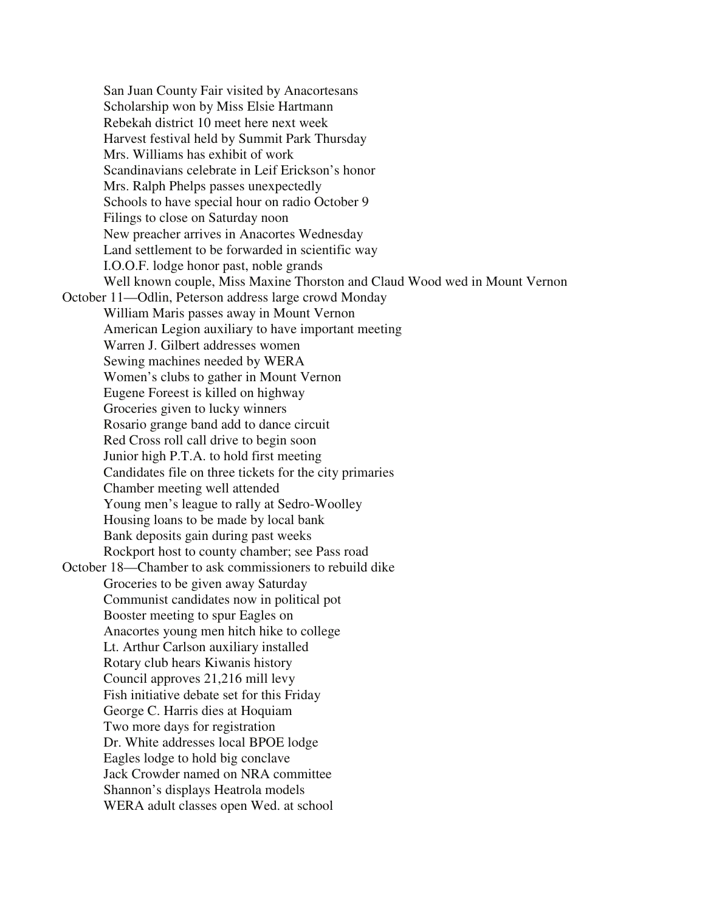San Juan County Fair visited by Anacortesans Scholarship won by Miss Elsie Hartmann Rebekah district 10 meet here next week Harvest festival held by Summit Park Thursday Mrs. Williams has exhibit of work Scandinavians celebrate in Leif Erickson's honor Mrs. Ralph Phelps passes unexpectedly Schools to have special hour on radio October 9 Filings to close on Saturday noon New preacher arrives in Anacortes Wednesday Land settlement to be forwarded in scientific way I.O.O.F. lodge honor past, noble grands Well known couple, Miss Maxine Thorston and Claud Wood wed in Mount Vernon October 11—Odlin, Peterson address large crowd Monday William Maris passes away in Mount Vernon American Legion auxiliary to have important meeting Warren J. Gilbert addresses women Sewing machines needed by WERA Women's clubs to gather in Mount Vernon Eugene Foreest is killed on highway Groceries given to lucky winners Rosario grange band add to dance circuit Red Cross roll call drive to begin soon Junior high P.T.A. to hold first meeting Candidates file on three tickets for the city primaries Chamber meeting well attended Young men's league to rally at Sedro-Woolley Housing loans to be made by local bank Bank deposits gain during past weeks Rockport host to county chamber; see Pass road October 18—Chamber to ask commissioners to rebuild dike Groceries to be given away Saturday Communist candidates now in political pot Booster meeting to spur Eagles on Anacortes young men hitch hike to college Lt. Arthur Carlson auxiliary installed Rotary club hears Kiwanis history Council approves 21,216 mill levy Fish initiative debate set for this Friday George C. Harris dies at Hoquiam Two more days for registration Dr. White addresses local BPOE lodge Eagles lodge to hold big conclave Jack Crowder named on NRA committee Shannon's displays Heatrola models WERA adult classes open Wed. at school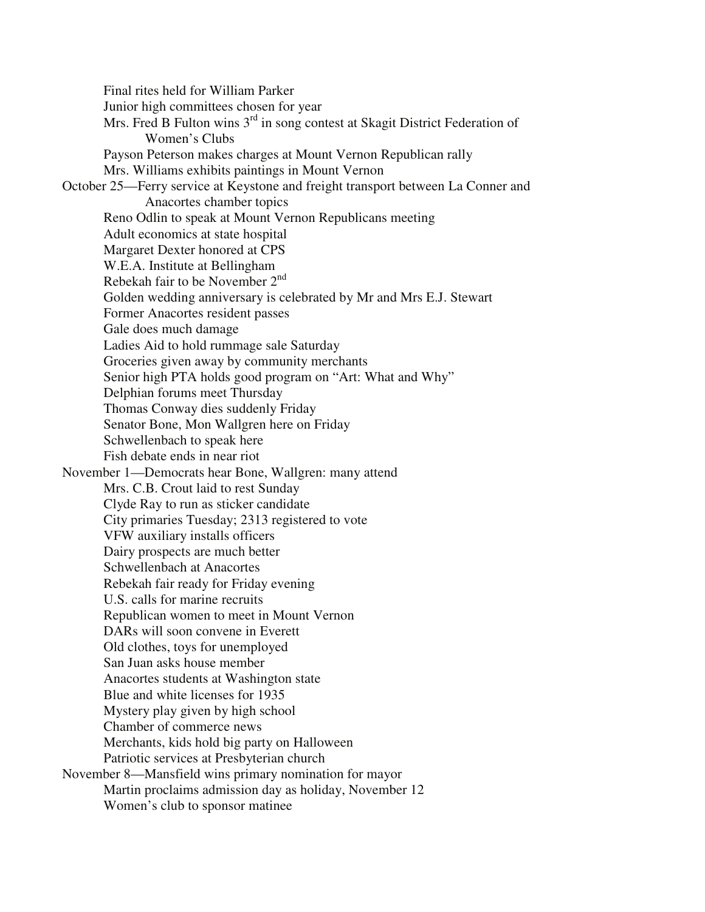Final rites held for William Parker Junior high committees chosen for year Mrs. Fred B Fulton wins 3<sup>rd</sup> in song contest at Skagit District Federation of Women's Clubs Payson Peterson makes charges at Mount Vernon Republican rally Mrs. Williams exhibits paintings in Mount Vernon October 25—Ferry service at Keystone and freight transport between La Conner and Anacortes chamber topics Reno Odlin to speak at Mount Vernon Republicans meeting Adult economics at state hospital Margaret Dexter honored at CPS W.E.A. Institute at Bellingham Rebekah fair to be November 2nd Golden wedding anniversary is celebrated by Mr and Mrs E.J. Stewart Former Anacortes resident passes Gale does much damage Ladies Aid to hold rummage sale Saturday Groceries given away by community merchants Senior high PTA holds good program on "Art: What and Why" Delphian forums meet Thursday Thomas Conway dies suddenly Friday Senator Bone, Mon Wallgren here on Friday Schwellenbach to speak here Fish debate ends in near riot November 1—Democrats hear Bone, Wallgren: many attend Mrs. C.B. Crout laid to rest Sunday Clyde Ray to run as sticker candidate City primaries Tuesday; 2313 registered to vote VFW auxiliary installs officers Dairy prospects are much better Schwellenbach at Anacortes Rebekah fair ready for Friday evening U.S. calls for marine recruits Republican women to meet in Mount Vernon DARs will soon convene in Everett Old clothes, toys for unemployed San Juan asks house member Anacortes students at Washington state Blue and white licenses for 1935 Mystery play given by high school Chamber of commerce news Merchants, kids hold big party on Halloween Patriotic services at Presbyterian church November 8—Mansfield wins primary nomination for mayor Martin proclaims admission day as holiday, November 12 Women's club to sponsor matinee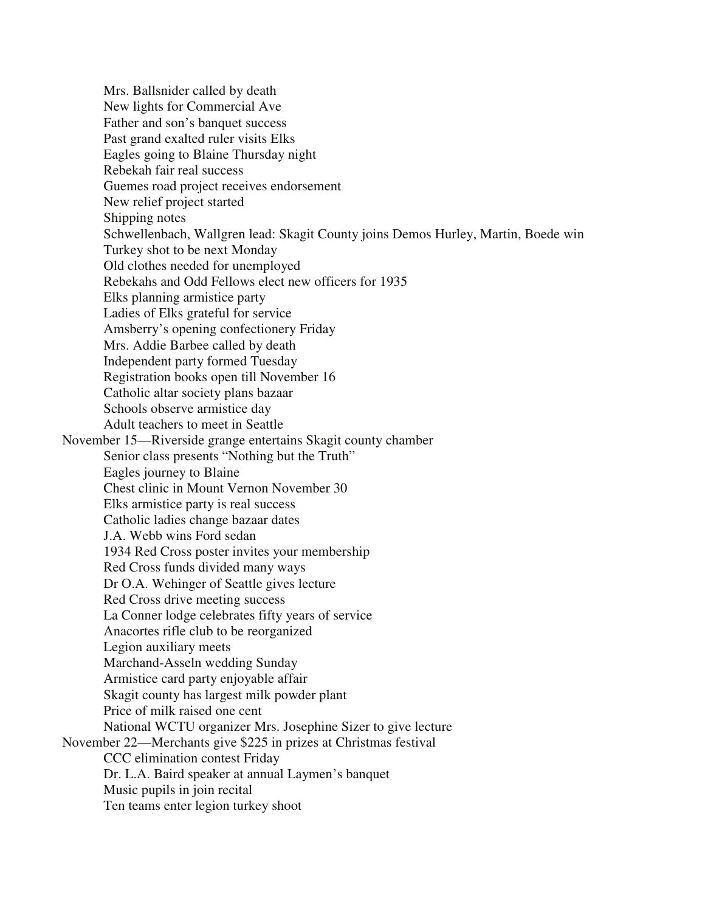Mrs. Ballsnider called by death New lights for Commercial Ave Father and son's banquet success Past grand exalted ruler visits Elks Eagles going to Blaine Thursday night Rebekah fair real success Guemes road project receives endorsement New relief project started Shipping notes Schwellenbach, Wallgren lead: Skagit County joins Demos Hurley, Martin, Boede win Turkey shot to be next Monday Old clothes needed for unemployed Rebekahs and Odd Fellows elect new officers for 1935 Elks planning armistice party Ladies of Elks grateful for service Amsberry's opening confectionery Friday Mrs. Addie Barbee called by death Independent party formed Tuesday Registration books open till November 16 Catholic altar society plans bazaar Schools observe armistice day Adult teachers to meet in Seattle November 15—Riverside grange entertains Skagit county chamber Senior class presents "Nothing but the Truth" Eagles journey to Blaine Chest clinic in Mount Vernon November 30 Elks armistice party is real success Catholic ladies change bazaar dates J.A. Webb wins Ford sedan 1934 Red Cross poster invites your membership Red Cross funds divided many ways Dr O.A. Wehinger of Seattle gives lecture Red Cross drive meeting success La Conner lodge celebrates fifty years of service Anacortes rifle club to be reorganized Legion auxiliary meets Marchand-Asseln wedding Sunday Armistice card party enjoyable affair Skagit county has largest milk powder plant Price of milk raised one cent National WCTU organizer Mrs. Josephine Sizer to give lecture November 22—Merchants give \$225 in prizes at Christmas festival CCC elimination contest Friday Dr. L.A. Baird speaker at annual Laymen's banquet Music pupils in join recital Ten teams enter legion turkey shoot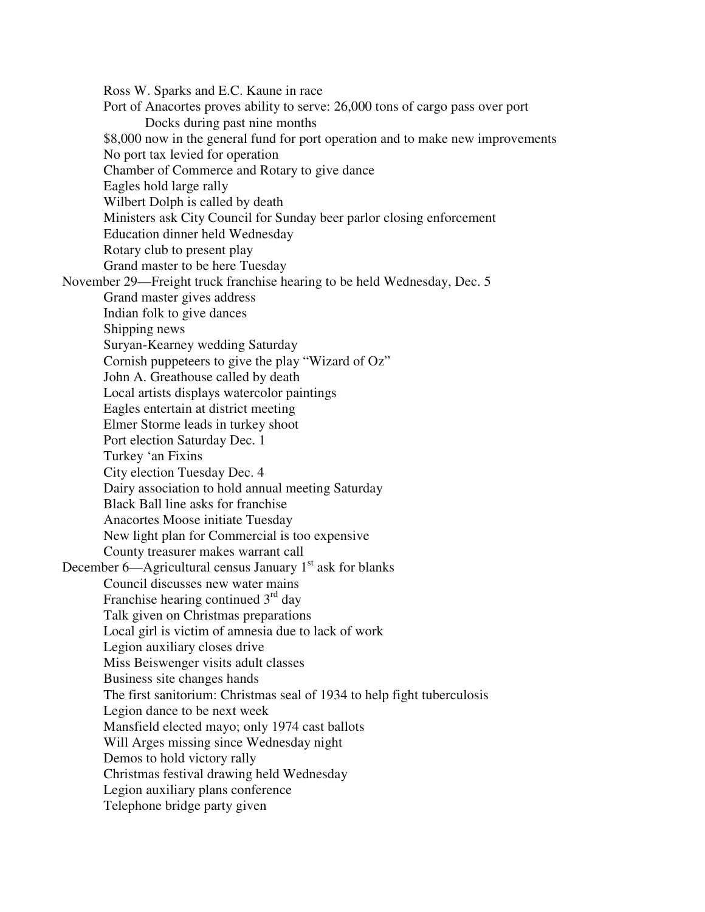Ross W. Sparks and E.C. Kaune in race Port of Anacortes proves ability to serve: 26,000 tons of cargo pass over port Docks during past nine months \$8,000 now in the general fund for port operation and to make new improvements No port tax levied for operation Chamber of Commerce and Rotary to give dance Eagles hold large rally Wilbert Dolph is called by death Ministers ask City Council for Sunday beer parlor closing enforcement Education dinner held Wednesday Rotary club to present play Grand master to be here Tuesday November 29—Freight truck franchise hearing to be held Wednesday, Dec. 5 Grand master gives address Indian folk to give dances Shipping news Suryan-Kearney wedding Saturday Cornish puppeteers to give the play "Wizard of Oz" John A. Greathouse called by death Local artists displays watercolor paintings Eagles entertain at district meeting Elmer Storme leads in turkey shoot Port election Saturday Dec. 1 Turkey 'an Fixins City election Tuesday Dec. 4 Dairy association to hold annual meeting Saturday Black Ball line asks for franchise Anacortes Moose initiate Tuesday New light plan for Commercial is too expensive County treasurer makes warrant call December 6—Agricultural census January  $1<sup>st</sup>$  ask for blanks Council discusses new water mains Franchise hearing continued  $3<sup>rd</sup>$  day Talk given on Christmas preparations Local girl is victim of amnesia due to lack of work Legion auxiliary closes drive Miss Beiswenger visits adult classes Business site changes hands The first sanitorium: Christmas seal of 1934 to help fight tuberculosis Legion dance to be next week Mansfield elected mayo; only 1974 cast ballots Will Arges missing since Wednesday night Demos to hold victory rally Christmas festival drawing held Wednesday Legion auxiliary plans conference Telephone bridge party given